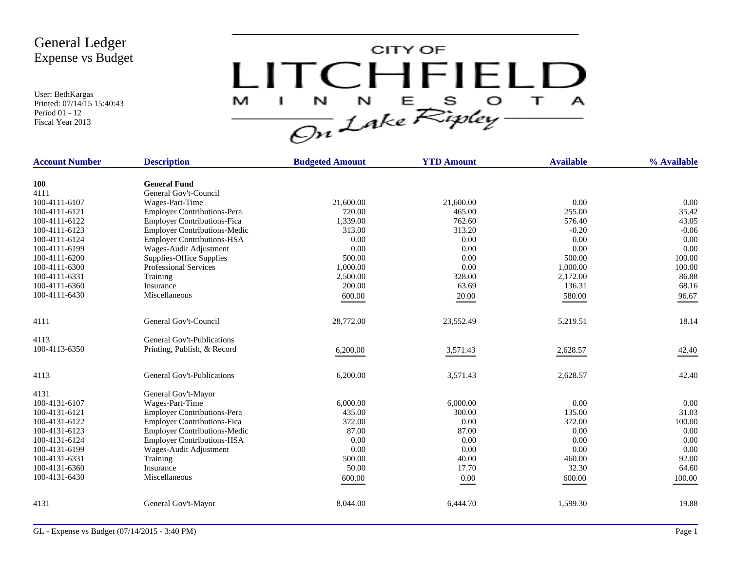User: BethKargas Printed: 07/14/15 15:40:43 Period 01 - 12 Fiscal Year 2013



| <b>Account Number</b> | <b>Description</b>                  | <b>Budgeted Amount</b> | <b>YTD Amount</b> | <b>Available</b> | % Available |
|-----------------------|-------------------------------------|------------------------|-------------------|------------------|-------------|
| <b>100</b>            | <b>General Fund</b>                 |                        |                   |                  |             |
| 4111                  | General Gov't-Council               |                        |                   |                  |             |
| 100-4111-6107         | Wages-Part-Time                     | 21,600.00              | 21,600.00         | 0.00             | 0.00        |
| 100-4111-6121         | <b>Employer Contributions-Pera</b>  | 720.00                 | 465.00            | 255.00           | 35.42       |
| 100-4111-6122         | <b>Employer Contributions-Fica</b>  | 1,339.00               | 762.60            | 576.40           | 43.05       |
| 100-4111-6123         | <b>Employer Contributions-Medic</b> | 313.00                 | 313.20            | $-0.20$          | $-0.06$     |
| 100-4111-6124         | <b>Employer Contributions-HSA</b>   | 0.00                   | 0.00              | 0.00             | 0.00        |
| 100-4111-6199         | Wages-Audit Adjustment              | 0.00                   | 0.00              | 0.00             | 0.00        |
| 100-4111-6200         | Supplies-Office Supplies            | 500.00                 | 0.00              | 500.00           | 100.00      |
| 100-4111-6300         | <b>Professional Services</b>        | 1,000.00               | 0.00              | 1,000.00         | 100.00      |
| 100-4111-6331         | Training                            | 2,500.00               | 328.00            | 2,172.00         | 86.88       |
| 100-4111-6360         | Insurance                           | 200.00                 | 63.69             | 136.31           | 68.16       |
| 100-4111-6430         | Miscellaneous                       | 600.00                 | 20.00             | 580.00           | 96.67       |
|                       |                                     |                        |                   |                  |             |
| 4111                  | General Gov't-Council               | 28,772.00              | 23,552.49         | 5,219.51         | 18.14       |
| 4113                  | General Gov't-Publications          |                        |                   |                  |             |
| 100-4113-6350         | Printing, Publish, & Record         | 6,200.00               | 3,571.43          | 2,628.57         | 42.40       |
| 4113                  | General Gov't-Publications          | 6,200.00               | 3,571.43          | 2,628.57         | 42.40       |
| 4131                  | General Gov't-Mayor                 |                        |                   |                  |             |
| 100-4131-6107         | Wages-Part-Time                     | 6,000.00               | 6,000.00          | 0.00             | 0.00        |
| 100-4131-6121         | <b>Employer Contributions-Pera</b>  | 435.00                 | 300.00            | 135.00           | 31.03       |
| 100-4131-6122         | <b>Employer Contributions-Fica</b>  | 372.00                 | 0.00              | 372.00           | 100.00      |
| 100-4131-6123         | <b>Employer Contributions-Medic</b> | 87.00                  | 87.00             | 0.00             | 0.00        |
| 100-4131-6124         | <b>Employer Contributions-HSA</b>   | 0.00                   | 0.00              | 0.00             | 0.00        |
| 100-4131-6199         | Wages-Audit Adjustment              | 0.00                   | 0.00              | 0.00             | 0.00        |
| 100-4131-6331         | Training                            | 500.00                 | 40.00             | 460.00           | 92.00       |
| 100-4131-6360         | Insurance                           | 50.00                  | 17.70             | 32.30            | 64.60       |
| 100-4131-6430         | Miscellaneous                       | 600.00                 | $0.00\,$          | 600.00           | 100.00      |
| 4131                  | General Gov't-Mayor                 | 8,044.00               | 6,444.70          | 1,599.30         | 19.88       |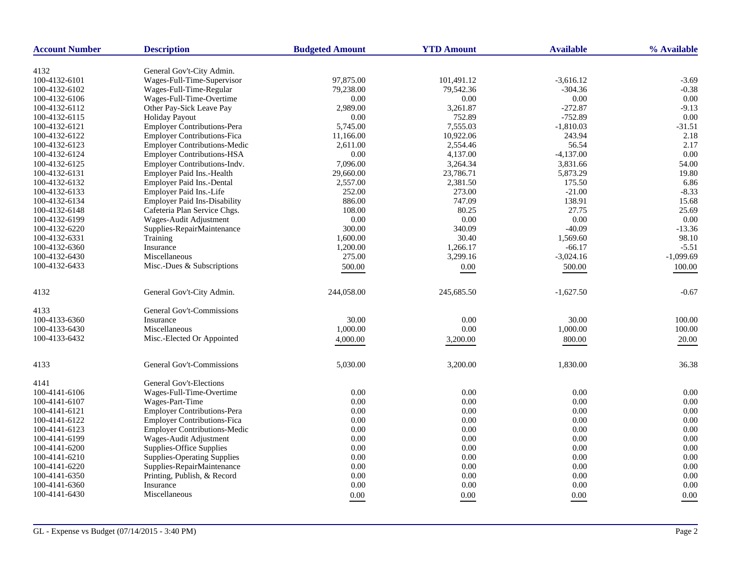| <b>Account Number</b> | <b>Description</b>                  | <b>Budgeted Amount</b> | <b>YTD Amount</b> | <b>Available</b> | % Available |
|-----------------------|-------------------------------------|------------------------|-------------------|------------------|-------------|
|                       |                                     |                        |                   |                  |             |
| 4132                  | General Gov't-City Admin.           |                        |                   |                  |             |
| 100-4132-6101         | Wages-Full-Time-Supervisor          | 97,875.00              | 101,491.12        | $-3,616.12$      | $-3.69$     |
| 100-4132-6102         | Wages-Full-Time-Regular             | 79,238.00              | 79,542.36         | $-304.36$        | $-0.38$     |
| 100-4132-6106         | Wages-Full-Time-Overtime            | 0.00                   | 0.00              | 0.00             | 0.00        |
| 100-4132-6112         | Other Pay-Sick Leave Pay            | 2,989.00               | 3,261.87          | $-272.87$        | $-9.13$     |
| 100-4132-6115         | <b>Holiday Payout</b>               | 0.00                   | 752.89            | $-752.89$        | 0.00        |
| 100-4132-6121         | Employer Contributions-Pera         | 5,745.00               | 7,555.03          | $-1,810.03$      | $-31.51$    |
| 100-4132-6122         | <b>Employer Contributions-Fica</b>  | 11,166.00              | 10,922.06         | 243.94           | 2.18        |
| 100-4132-6123         | <b>Employer Contributions-Medic</b> | 2,611.00               | 2,554.46          | 56.54            | 2.17        |
| 100-4132-6124         | <b>Employer Contributions-HSA</b>   | 0.00                   | 4,137.00          | $-4,137.00$      | 0.00        |
| 100-4132-6125         | Employer Contributions-Indv.        | 7,096.00               | 3,264.34          | 3,831.66         | 54.00       |
| 100-4132-6131         | Employer Paid Ins.-Health           | 29,660.00              | 23,786.71         | 5,873.29         | 19.80       |
| 100-4132-6132         | Employer Paid Ins.-Dental           | 2,557.00               | 2,381.50          | 175.50           | 6.86        |
| 100-4132-6133         | Employer Paid Ins.-Life             | 252.00                 | 273.00            | $-21.00$         | $-8.33$     |
| 100-4132-6134         | <b>Employer Paid Ins-Disability</b> | 886.00                 | 747.09            | 138.91           | 15.68       |
| 100-4132-6148         | Cafeteria Plan Service Chgs.        | 108.00                 | 80.25             | 27.75            | 25.69       |
| 100-4132-6199         | Wages-Audit Adjustment              | $0.00\,$               | 0.00              | 0.00             | 0.00        |
| 100-4132-6220         | Supplies-RepairMaintenance          | 300.00                 | 340.09            | $-40.09$         | $-13.36$    |
| 100-4132-6331         | Training                            | 1,600.00               | 30.40             | 1,569.60         | 98.10       |
| 100-4132-6360         | Insurance                           | 1,200.00               | 1,266.17          | $-66.17$         | $-5.51$     |
| 100-4132-6430         | Miscellaneous                       | 275.00                 | 3,299.16          | $-3,024.16$      | $-1,099.69$ |
| 100-4132-6433         | Misc.-Dues & Subscriptions          | 500.00                 | 0.00              | 500.00           | 100.00      |
| 4132                  | General Gov't-City Admin.           | 244,058.00             | 245,685.50        | $-1,627.50$      | $-0.67$     |
|                       |                                     |                        |                   |                  |             |
| 4133                  | General Gov't-Commissions           |                        |                   |                  |             |
| 100-4133-6360         | Insurance                           | 30.00                  | 0.00              | 30.00            | 100.00      |
| 100-4133-6430         | Miscellaneous                       | 1,000.00               | 0.00              | 1,000.00         | 100.00      |
| 100-4133-6432         | Misc.-Elected Or Appointed          | 4,000.00               | 3,200.00          | 800.00           | 20.00       |
| 4133                  | General Gov't-Commissions           | 5,030.00               | 3,200.00          | 1,830.00         | 36.38       |
| 4141                  | General Gov't-Elections             |                        |                   |                  |             |
| 100-4141-6106         | Wages-Full-Time-Overtime            | 0.00                   | 0.00              | 0.00             | 0.00        |
| 100-4141-6107         | Wages-Part-Time                     | 0.00                   | 0.00              | 0.00             | 0.00        |
| 100-4141-6121         | Employer Contributions-Pera         | 0.00                   | 0.00              | 0.00             | 0.00        |
| 100-4141-6122         | <b>Employer Contributions-Fica</b>  | 0.00                   | 0.00              | 0.00             | 0.00        |
| 100-4141-6123         | <b>Employer Contributions-Medic</b> | 0.00                   | 0.00              | 0.00             | 0.00        |
| 100-4141-6199         | Wages-Audit Adjustment              | 0.00                   | 0.00              | 0.00             | 0.00        |
| 100-4141-6200         | Supplies-Office Supplies            | 0.00                   | 0.00              | 0.00             | 0.00        |
| 100-4141-6210         | <b>Supplies-Operating Supplies</b>  | 0.00                   | 0.00              | 0.00             | 0.00        |
| 100-4141-6220         | Supplies-RepairMaintenance          | 0.00                   | $0.00\,$          | 0.00             | 0.00        |
| 100-4141-6350         | Printing, Publish, & Record         | 0.00                   | 0.00              | 0.00             | 0.00        |
| 100-4141-6360         | Insurance                           | 0.00                   | 0.00              | 0.00             | 0.00        |
| 100-4141-6430         | Miscellaneous                       | 0.00                   | 0.00              | 0.00             | 0.00        |
|                       |                                     |                        |                   |                  |             |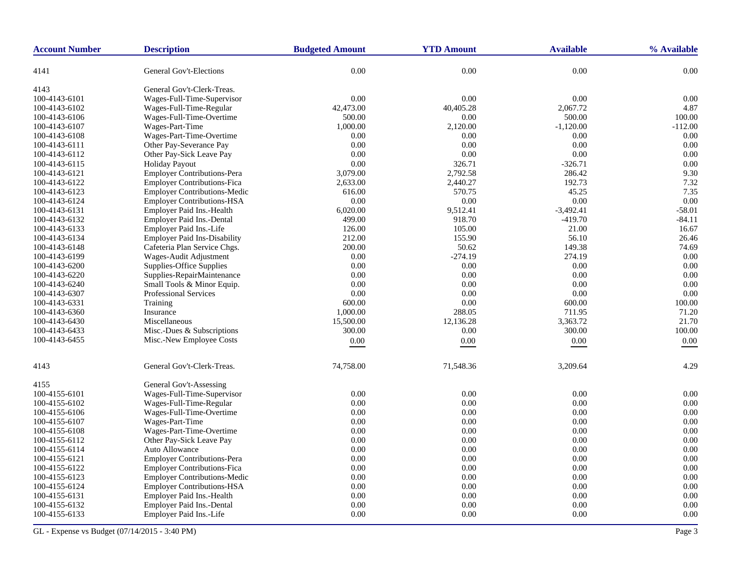| <b>Account Number</b> | <b>Description</b>                  | <b>Budgeted Amount</b> | <b>YTD Amount</b> | <b>Available</b> | % Available |
|-----------------------|-------------------------------------|------------------------|-------------------|------------------|-------------|
| 4141                  | General Gov't-Elections             | 0.00                   | $0.00\,$          | 0.00             | 0.00        |
| 4143                  | General Gov't-Clerk-Treas.          |                        |                   |                  |             |
| 100-4143-6101         | Wages-Full-Time-Supervisor          | 0.00                   | 0.00              | 0.00             | 0.00        |
| 100-4143-6102         | Wages-Full-Time-Regular             | 42,473.00              | 40,405.28         | 2,067.72         | 4.87        |
| 100-4143-6106         | Wages-Full-Time-Overtime            | 500.00                 | 0.00              | 500.00           | 100.00      |
| 100-4143-6107         | Wages-Part-Time                     | 1,000.00               | 2,120.00          | $-1,120.00$      | $-112.00$   |
| 100-4143-6108         | Wages-Part-Time-Overtime            | 0.00                   | 0.00              | 0.00             | 0.00        |
| 100-4143-6111         | Other Pay-Severance Pay             | 0.00                   | 0.00              | 0.00             | 0.00        |
| 100-4143-6112         | Other Pay-Sick Leave Pay            | 0.00                   | 0.00              | 0.00             | 0.00        |
| 100-4143-6115         | <b>Holiday Payout</b>               | 0.00                   | 326.71            | $-326.71$        | 0.00        |
| 100-4143-6121         | Employer Contributions-Pera         | 3,079.00               | 2,792.58          | 286.42           | 9.30        |
| 100-4143-6122         | <b>Employer Contributions-Fica</b>  | 2,633.00               | 2,440.27          | 192.73           | 7.32        |
| 100-4143-6123         | <b>Employer Contributions-Medic</b> | 616.00                 | 570.75            | 45.25            | 7.35        |
| 100-4143-6124         | <b>Employer Contributions-HSA</b>   | 0.00                   | 0.00              | 0.00             | 0.00        |
| 100-4143-6131         | Employer Paid Ins.-Health           | 6,020.00               | 9,512.41          | $-3,492.41$      | $-58.01$    |
| 100-4143-6132         | Employer Paid Ins.-Dental           | 499.00                 | 918.70            | $-419.70$        | $-84.11$    |
| 100-4143-6133         | Employer Paid Ins.-Life             | 126.00                 | 105.00            | 21.00            | 16.67       |
| 100-4143-6134         | <b>Employer Paid Ins-Disability</b> | 212.00                 | 155.90            | 56.10            | 26.46       |
| 100-4143-6148         | Cafeteria Plan Service Chgs.        | 200.00                 | 50.62             | 149.38           | 74.69       |
| 100-4143-6199         | Wages-Audit Adjustment              | 0.00                   | $-274.19$         | 274.19           | 0.00        |
| 100-4143-6200         | Supplies-Office Supplies            | 0.00                   | 0.00              | 0.00             | 0.00        |
| 100-4143-6220         | Supplies-RepairMaintenance          | 0.00                   | 0.00              | 0.00             | 0.00        |
| 100-4143-6240         | Small Tools & Minor Equip.          | 0.00                   | 0.00              | 0.00             | 0.00        |
| 100-4143-6307         | Professional Services               | 0.00                   | 0.00              | 0.00             | 0.00        |
| 100-4143-6331         | Training                            | 600.00                 | 0.00              | 600.00           | 100.00      |
| 100-4143-6360         | Insurance                           | 1,000.00               | 288.05            | 711.95           | 71.20       |
| 100-4143-6430         | Miscellaneous                       | 15,500.00              | 12,136.28         | 3,363.72         | 21.70       |
| 100-4143-6433         | Misc.-Dues & Subscriptions          | 300.00                 | 0.00              | 300.00           | 100.00      |
| 100-4143-6455         | Misc.-New Employee Costs            | 0.00                   | 0.00              | 0.00             | $0.00\,$    |
| 4143                  | General Gov't-Clerk-Treas.          | 74,758.00              | 71,548.36         | 3,209.64         | 4.29        |
| 4155                  | General Gov't-Assessing             |                        |                   |                  |             |
| 100-4155-6101         | Wages-Full-Time-Supervisor          | 0.00                   | 0.00              | 0.00             | 0.00        |
| 100-4155-6102         | Wages-Full-Time-Regular             | 0.00                   | 0.00              | 0.00             | 0.00        |
| 100-4155-6106         | Wages-Full-Time-Overtime            | 0.00                   | 0.00              | 0.00             | 0.00        |
| 100-4155-6107         | Wages-Part-Time                     | 0.00                   | 0.00              | 0.00             | 0.00        |
| 100-4155-6108         | Wages-Part-Time-Overtime            | 0.00                   | 0.00              | 0.00             | 0.00        |
| 100-4155-6112         | Other Pay-Sick Leave Pay            | 0.00                   | 0.00              | 0.00             | 0.00        |
| 100-4155-6114         | <b>Auto Allowance</b>               | 0.00                   | 0.00              | 0.00             | 0.00        |
| 100-4155-6121         | Employer Contributions-Pera         | 0.00                   | 0.00              | 0.00             | 0.00        |
| 100-4155-6122         | <b>Employer Contributions-Fica</b>  | 0.00                   | 0.00              | 0.00             | 0.00        |
| 100-4155-6123         | <b>Employer Contributions-Medic</b> | 0.00                   | 0.00              | 0.00             | 0.00        |
| 100-4155-6124         | <b>Employer Contributions-HSA</b>   | 0.00                   | 0.00              | 0.00             | 0.00        |
| 100-4155-6131         | Employer Paid Ins.-Health           | 0.00                   | 0.00              | 0.00             | 0.00        |
| 100-4155-6132         | <b>Employer Paid Ins.-Dental</b>    | 0.00                   | 0.00              | 0.00             | 0.00        |
| 100-4155-6133         | Employer Paid Ins.-Life             | 0.00                   | 0.00              | 0.00             | 0.00        |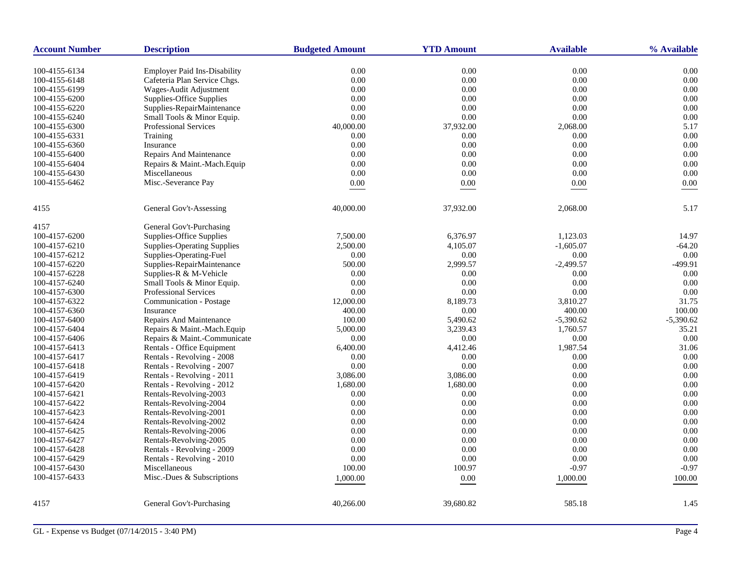| <b>Account Number</b> | <b>Description</b>                                                  | <b>Budgeted Amount</b> | <b>YTD Amount</b> | <b>Available</b> | % Available |
|-----------------------|---------------------------------------------------------------------|------------------------|-------------------|------------------|-------------|
| 100-4155-6134         |                                                                     | 0.00                   | 0.00              | 0.00             | 0.00        |
| 100-4155-6148         | <b>Employer Paid Ins-Disability</b><br>Cafeteria Plan Service Chgs. | 0.00                   | 0.00              | 0.00             | 0.00        |
| 100-4155-6199         | Wages-Audit Adjustment                                              | 0.00                   | 0.00              | 0.00             | 0.00        |
| 100-4155-6200         | Supplies-Office Supplies                                            | 0.00                   | 0.00              | 0.00             | 0.00        |
| 100-4155-6220         | Supplies-RepairMaintenance                                          | 0.00                   | 0.00              | 0.00             | 0.00        |
| 100-4155-6240         | Small Tools & Minor Equip.                                          | 0.00                   | 0.00              | 0.00             | 0.00        |
| 100-4155-6300         | Professional Services                                               | 40,000.00              | 37,932.00         | 2,068.00         | 5.17        |
| 100-4155-6331         | Training                                                            | 0.00                   | 0.00              | 0.00             | 0.00        |
| 100-4155-6360         | Insurance                                                           | 0.00                   | 0.00              | 0.00             | 0.00        |
| 100-4155-6400         | Repairs And Maintenance                                             | 0.00                   | 0.00              | 0.00             | 0.00        |
| 100-4155-6404         | Repairs & Maint.-Mach.Equip                                         | 0.00                   | 0.00              | 0.00             | 0.00        |
| 100-4155-6430         | Miscellaneous                                                       | 0.00                   | 0.00              | 0.00             | 0.00        |
| 100-4155-6462         | Misc.-Severance Pay                                                 | $0.00\,$               |                   | 0.00             | $0.00\,$    |
|                       |                                                                     |                        | 0.00              |                  |             |
| 4155                  | General Gov't-Assessing                                             | 40,000.00              | 37,932.00         | 2,068.00         | 5.17        |
| 4157                  | General Gov't-Purchasing                                            |                        |                   |                  |             |
| 100-4157-6200         | <b>Supplies-Office Supplies</b>                                     | 7,500.00               | 6,376.97          | 1,123.03         | 14.97       |
| 100-4157-6210         | <b>Supplies-Operating Supplies</b>                                  | 2,500.00               | 4,105.07          | $-1,605.07$      | $-64.20$    |
| 100-4157-6212         | Supplies-Operating-Fuel                                             | 0.00                   | 0.00              | 0.00             | 0.00        |
| 100-4157-6220         | Supplies-RepairMaintenance                                          | 500.00                 | 2,999.57          | $-2,499.57$      | -499.91     |
| 100-4157-6228         | Supplies-R & M-Vehicle                                              | 0.00                   | 0.00              | 0.00             | 0.00        |
| 100-4157-6240         | Small Tools & Minor Equip.                                          | 0.00                   | 0.00              | 0.00             | 0.00        |
| 100-4157-6300         | <b>Professional Services</b>                                        | 0.00                   | 0.00              | 0.00             | 0.00        |
| 100-4157-6322         | Communication - Postage                                             | 12,000.00              | 8,189.73          | 3,810.27         | 31.75       |
| 100-4157-6360         | Insurance                                                           | 400.00                 | 0.00              | 400.00           | 100.00      |
| 100-4157-6400         | Repairs And Maintenance                                             | 100.00                 | 5,490.62          | $-5,390.62$      | $-5,390.62$ |
| 100-4157-6404         | Repairs & Maint.-Mach.Equip                                         | 5,000.00               | 3,239.43          | 1,760.57         | 35.21       |
| 100-4157-6406         | Repairs & Maint.-Communicate                                        | $0.00\,$               | 0.00              | $0.00\,$         | 0.00        |
| 100-4157-6413         | Rentals - Office Equipment                                          | 6,400.00               | 4,412.46          | 1,987.54         | 31.06       |
| 100-4157-6417         | Rentals - Revolving - 2008                                          | 0.00                   | 0.00              | 0.00             | 0.00        |
| 100-4157-6418         | Rentals - Revolving - 2007                                          | 0.00                   | 0.00              | 0.00             | 0.00        |
| 100-4157-6419         | Rentals - Revolving - 2011                                          | 3,086.00               | 3,086.00          | 0.00             | 0.00        |
| 100-4157-6420         | Rentals - Revolving - 2012                                          | 1,680.00               | 1,680.00          | 0.00             | 0.00        |
| 100-4157-6421         | Rentals-Revolving-2003                                              | 0.00                   | 0.00              | 0.00             | 0.00        |
| 100-4157-6422         | Rentals-Revolving-2004                                              | 0.00                   | 0.00              | 0.00             | 0.00        |
| 100-4157-6423         | Rentals-Revolving-2001                                              | 0.00                   | 0.00              | 0.00             | 0.00        |
| 100-4157-6424         | Rentals-Revolving-2002                                              | 0.00                   | 0.00              | 0.00             | 0.00        |
| 100-4157-6425         | Rentals-Revolving-2006                                              | 0.00                   | 0.00              | 0.00             | 0.00        |
| 100-4157-6427         | Rentals-Revolving-2005                                              | 0.00                   | 0.00              | 0.00             | 0.00        |
| 100-4157-6428         | Rentals - Revolving - 2009                                          | 0.00                   | 0.00              | 0.00             | 0.00        |
| 100-4157-6429         | Rentals - Revolving - 2010                                          | 0.00                   | 0.00              | 0.00             | 0.00        |
| 100-4157-6430         | Miscellaneous                                                       | 100.00                 | 100.97            | $-0.97$          | $-0.97$     |
| 100-4157-6433         | Misc.-Dues & Subscriptions                                          | 1,000.00               | $0.00\,$          | 1,000.00         | 100.00      |
| 4157                  | General Gov't-Purchasing                                            | 40,266.00              | 39,680.82         | 585.18           | 1.45        |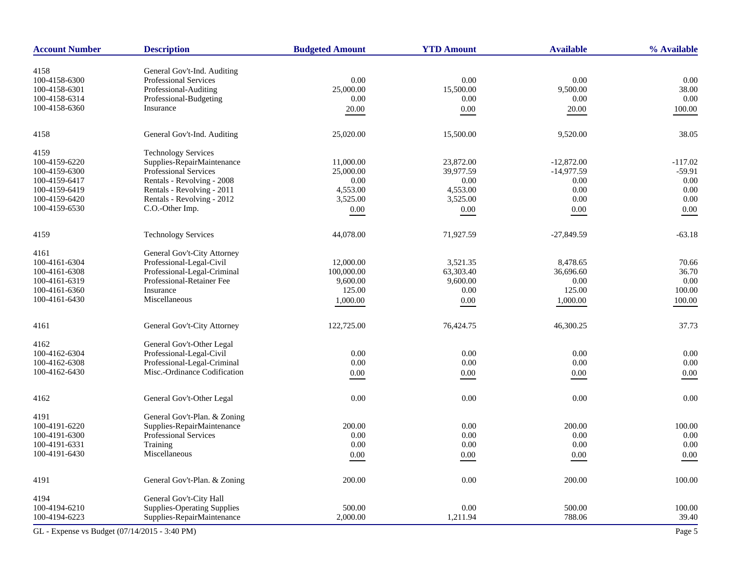| <b>Account Number</b>                         | <b>Description</b>                                   | <b>Budgeted Amount</b> | <b>YTD Amount</b> | <b>Available</b> | % Available    |
|-----------------------------------------------|------------------------------------------------------|------------------------|-------------------|------------------|----------------|
|                                               |                                                      |                        |                   |                  |                |
| 4158<br>100-4158-6300                         | General Gov't-Ind. Auditing<br>Professional Services | 0.00                   | 0.00              | 0.00             | 0.00           |
| 100-4158-6301                                 | Professional-Auditing                                | 25,000.00              | 15,500.00         | 9,500.00         | 38.00          |
| 100-4158-6314                                 | Professional-Budgeting                               | 0.00                   | 0.00              | 0.00             | 0.00           |
| 100-4158-6360                                 | Insurance                                            |                        |                   |                  |                |
|                                               |                                                      | 20.00                  | 0.00              | 20.00            | 100.00         |
| 4158                                          | General Gov't-Ind. Auditing                          | 25,020.00              | 15,500.00         | 9,520.00         | 38.05          |
| 4159                                          | <b>Technology Services</b>                           |                        |                   |                  |                |
| 100-4159-6220                                 | Supplies-RepairMaintenance                           | 11,000.00              | 23,872.00         | $-12,872.00$     | $-117.02$      |
| 100-4159-6300                                 | Professional Services                                | 25,000.00              | 39,977.59         | $-14,977.59$     | $-59.91$       |
| 100-4159-6417                                 | Rentals - Revolving - 2008                           | 0.00                   | 0.00              | 0.00             | 0.00           |
| 100-4159-6419                                 | Rentals - Revolving - 2011                           | 4,553.00               | 4,553.00          | 0.00             | 0.00           |
| 100-4159-6420                                 | Rentals - Revolving - 2012                           | 3,525.00               | 3,525.00          | 0.00             | 0.00           |
| 100-4159-6530                                 | C.O.-Other Imp.                                      | 0.00                   | 0.00              | $0.00\,$         | 0.00           |
| 4159                                          | <b>Technology Services</b>                           | 44,078.00              | 71,927.59         | $-27,849.59$     | $-63.18$       |
| 4161                                          | General Gov't-City Attorney                          |                        |                   |                  |                |
|                                               |                                                      |                        |                   |                  |                |
| 100-4161-6304                                 | Professional-Legal-Civil                             | 12,000.00              | 3,521.35          | 8,478.65         | 70.66          |
| 100-4161-6308                                 | Professional-Legal-Criminal                          | 100,000.00             | 63,303.40         | 36,696.60        | 36.70          |
| 100-4161-6319<br>100-4161-6360                | Professional-Retainer Fee<br>Insurance               | 9,600.00<br>125.00     | 9,600.00<br>0.00  | 0.00<br>125.00   | 0.00<br>100.00 |
| 100-4161-6430                                 | Miscellaneous                                        |                        |                   |                  |                |
|                                               |                                                      | 1,000.00               | 0.00              | 1,000.00         | 100.00         |
| 4161                                          | General Gov't-City Attorney                          | 122,725.00             | 76,424.75         | 46,300.25        | 37.73          |
| 4162                                          | General Gov't-Other Legal                            |                        |                   |                  |                |
| 100-4162-6304                                 | Professional-Legal-Civil                             | 0.00                   | 0.00              | 0.00             | 0.00           |
| 100-4162-6308                                 | Professional-Legal-Criminal                          | 0.00                   | 0.00              | 0.00             | 0.00           |
| 100-4162-6430                                 | Misc.-Ordinance Codification                         | 0.00                   | 0.00              | $0.00\,$         | 0.00           |
|                                               |                                                      |                        |                   |                  |                |
| 4162                                          | General Gov't-Other Legal                            | 0.00                   | 0.00              | 0.00             | 0.00           |
| 4191                                          | General Gov't-Plan. & Zoning                         |                        |                   |                  |                |
| 100-4191-6220                                 | Supplies-RepairMaintenance                           | 200.00                 | 0.00              | 200.00           | 100.00         |
| 100-4191-6300                                 | Professional Services                                | 0.00                   | $0.00\,$          | 0.00             | 0.00           |
| 100-4191-6331                                 | Training                                             | 0.00                   | 0.00              | 0.00             | 0.00           |
| 100-4191-6430                                 | Miscellaneous                                        | $0.00\,$               | $0.00\,$          | $0.00\,$         | $0.00\,$       |
|                                               |                                                      |                        |                   |                  |                |
| 4191                                          | General Gov't-Plan. & Zoning                         | 200.00                 | $0.00\,$          | 200.00           | 100.00         |
| 4194                                          | General Gov't-City Hall                              |                        |                   |                  |                |
| 100-4194-6210                                 | <b>Supplies-Operating Supplies</b>                   | 500.00                 | 0.00              | 500.00           | 100.00         |
| 100-4194-6223                                 | Supplies-RepairMaintenance                           | 2,000.00               | 1,211.94          | 788.06           | 39.40          |
| GL - Expense vs Budget (07/14/2015 - 3:40 PM) |                                                      |                        |                   |                  | Page 5         |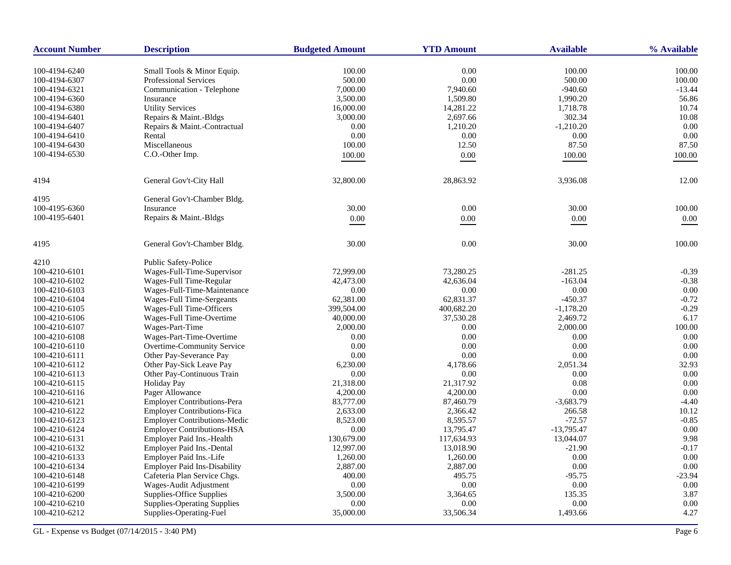| <b>Account Number</b> | <b>Description</b>                  | <b>Budgeted Amount</b> | <b>YTD Amount</b> | <b>Available</b> | % Available |
|-----------------------|-------------------------------------|------------------------|-------------------|------------------|-------------|
| 100-4194-6240         | Small Tools & Minor Equip.          | 100.00                 | 0.00              | 100.00           | 100.00      |
| 100-4194-6307         | Professional Services               | 500.00                 | 0.00              | 500.00           | 100.00      |
| 100-4194-6321         | Communication - Telephone           | 7,000.00               | 7,940.60          | $-940.60$        | $-13.44$    |
| 100-4194-6360         | Insurance                           | 3,500.00               | 1,509.80          | 1,990.20         | 56.86       |
| 100-4194-6380         | <b>Utility Services</b>             | 16,000.00              | 14,281.22         | 1,718.78         | 10.74       |
| 100-4194-6401         | Repairs & Maint.-Bldgs              | 3,000.00               | 2,697.66          | 302.34           | 10.08       |
| 100-4194-6407         | Repairs & Maint.-Contractual        | 0.00                   | 1,210.20          | $-1,210.20$      | 0.00        |
| 100-4194-6410         | Rental                              | 0.00                   | 0.00              | 0.00             | 0.00        |
| 100-4194-6430         | Miscellaneous                       | 100.00                 | 12.50             | 87.50            | 87.50       |
| 100-4194-6530         | C.O.-Other Imp.                     | 100.00                 | 0.00              | 100.00           | 100.00      |
|                       |                                     |                        |                   |                  |             |
| 4194                  | General Gov't-City Hall             | 32,800.00              | 28,863.92         | 3,936.08         | 12.00       |
| 4195                  | General Gov't-Chamber Bldg.         |                        |                   |                  |             |
| 100-4195-6360         | Insurance                           | 30.00                  | 0.00              | 30.00            | 100.00      |
| 100-4195-6401         | Repairs & Maint.-Bldgs              | 0.00                   | 0.00              | 0.00             | $0.00\,$    |
| 4195                  | General Gov't-Chamber Bldg.         | 30.00                  | 0.00              | 30.00            | 100.00      |
| 4210                  | Public Safety-Police                |                        |                   |                  |             |
| 100-4210-6101         | Wages-Full-Time-Supervisor          | 72,999.00              | 73,280.25         | $-281.25$        | $-0.39$     |
| 100-4210-6102         | Wages-Full Time-Regular             | 42,473.00              | 42,636.04         | $-163.04$        | $-0.38$     |
| 100-4210-6103         | Wages-Full-Time-Maintenance         | $0.00\,$               | 0.00              | 0.00             | 0.00        |
| 100-4210-6104         | Wages-Full Time-Sergeants           | 62,381.00              | 62,831.37         | $-450.37$        | $-0.72$     |
| 100-4210-6105         | Wages-Full Time-Officers            | 399,504.00             | 400,682.20        | $-1,178.20$      | $-0.29$     |
| 100-4210-6106         | Wages-Full Time-Overtime            | 40,000.00              | 37,530.28         | 2,469.72         | 6.17        |
| 100-4210-6107         | Wages-Part-Time                     | 2,000.00               | 0.00              | 2,000.00         | 100.00      |
| 100-4210-6108         | Wages-Part-Time-Overtime            | 0.00                   | 0.00              | 0.00             | 0.00        |
| 100-4210-6110         | Overtime-Community Service          | 0.00                   | 0.00              | 0.00             | 0.00        |
| 100-4210-6111         | Other Pay-Severance Pay             | 0.00                   | 0.00              | 0.00             | 0.00        |
| 100-4210-6112         | Other Pay-Sick Leave Pay            | 6,230.00               | 4,178.66          | 2,051.34         | 32.93       |
| 100-4210-6113         | Other Pay-Continuous Train          | 0.00                   | 0.00              | 0.00             | 0.00        |
| 100-4210-6115         | Holiday Pay                         | 21,318.00              | 21,317.92         | 0.08             | 0.00        |
| 100-4210-6116         | Pager Allowance                     | 4,200.00               | 4,200.00          | 0.00             | 0.00        |
| 100-4210-6121         | <b>Employer Contributions-Pera</b>  | 83,777.00              | 87,460.79         | $-3,683.79$      | $-4.40$     |
| 100-4210-6122         | <b>Employer Contributions-Fica</b>  | 2,633.00               | 2,366.42          | 266.58           | 10.12       |
| 100-4210-6123         | <b>Employer Contributions-Medic</b> | 8,523.00               | 8,595.57          | $-72.57$         | $-0.85$     |
| 100-4210-6124         | <b>Employer Contributions-HSA</b>   | 0.00                   | 13,795.47         | $-13,795.47$     | 0.00        |
| 100-4210-6131         | Employer Paid Ins.-Health           | 130,679.00             | 117,634.93        | 13,044.07        | 9.98        |
| 100-4210-6132         | <b>Employer Paid Ins.-Dental</b>    | 12,997.00              | 13,018.90         | $-21.90$         | $-0.17$     |
| 100-4210-6133         | Employer Paid Ins.-Life             | 1,260.00               | 1,260.00          | 0.00             | 0.00        |
| 100-4210-6134         | <b>Employer Paid Ins-Disability</b> | 2,887.00               | 2,887.00          | 0.00             | 0.00        |
| 100-4210-6148         | Cafeteria Plan Service Chgs.        | 400.00                 | 495.75            | $-95.75$         | $-23.94$    |
| 100-4210-6199         | Wages-Audit Adjustment              | 0.00                   | 0.00              | $0.00\,$         | 0.00        |
| 100-4210-6200         | Supplies-Office Supplies            | 3,500.00               | 3,364.65          | 135.35           | 3.87        |
| 100-4210-6210         | <b>Supplies-Operating Supplies</b>  | 0.00                   | 0.00              | 0.00             | 0.00        |
| 100-4210-6212         | Supplies-Operating-Fuel             | 35,000.00              | 33,506.34         | 1,493.66         | 4.27        |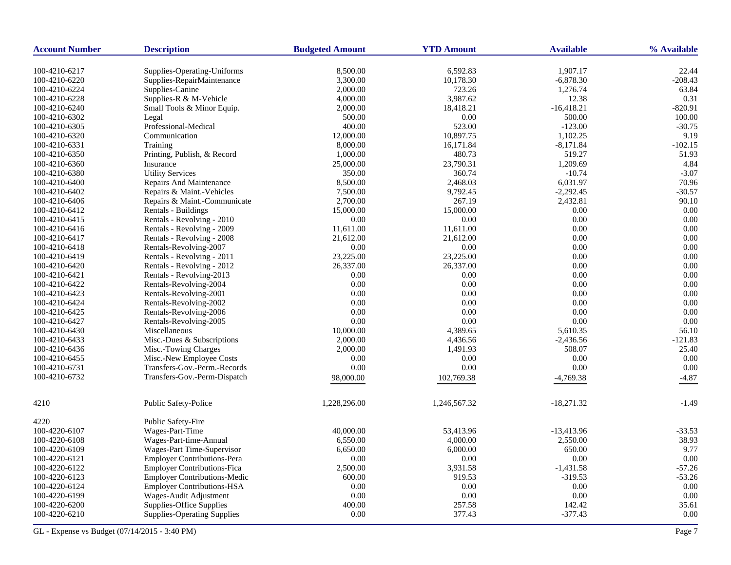| <b>Account Number</b> | <b>Description</b>                                        | <b>Budgeted Amount</b> | <b>YTD Amount</b> | <b>Available</b> | % Available |
|-----------------------|-----------------------------------------------------------|------------------------|-------------------|------------------|-------------|
| 100-4210-6217         |                                                           | 8,500.00               | 6,592.83          | 1,907.17         | 22.44       |
| 100-4210-6220         | Supplies-Operating-Uniforms<br>Supplies-RepairMaintenance | 3,300.00               | 10,178.30         | $-6,878.30$      | $-208.43$   |
| 100-4210-6224         | Supplies-Canine                                           | 2,000.00               | 723.26            | 1,276.74         | 63.84       |
| 100-4210-6228         | Supplies-R & M-Vehicle                                    | 4,000.00               | 3,987.62          | 12.38            | 0.31        |
| 100-4210-6240         | Small Tools & Minor Equip.                                | 2,000.00               | 18,418.21         | $-16,418.21$     | $-820.91$   |
| 100-4210-6302         | Legal                                                     | 500.00                 | 0.00              | 500.00           | 100.00      |
| 100-4210-6305         | Professional-Medical                                      | 400.00                 | 523.00            | $-123.00$        | $-30.75$    |
| 100-4210-6320         | Communication                                             | 12,000.00              | 10,897.75         | 1,102.25         | 9.19        |
| 100-4210-6331         | Training                                                  | 8,000.00               | 16,171.84         | $-8,171.84$      | $-102.15$   |
| 100-4210-6350         | Printing, Publish, & Record                               | 1,000.00               | 480.73            | 519.27           | 51.93       |
| 100-4210-6360         | Insurance                                                 | 25,000.00              | 23,790.31         | 1,209.69         | 4.84        |
| 100-4210-6380         | <b>Utility Services</b>                                   | 350.00                 | 360.74            | $-10.74$         | $-3.07$     |
| 100-4210-6400         | Repairs And Maintenance                                   | 8,500.00               | 2,468.03          | 6,031.97         | 70.96       |
| 100-4210-6402         | Repairs & Maint.-Vehicles                                 | 7,500.00               | 9,792.45          | $-2,292.45$      | $-30.57$    |
| 100-4210-6406         | Repairs & Maint.-Communicate                              | 2,700.00               | 267.19            | 2,432.81         | 90.10       |
| 100-4210-6412         | Rentals - Buildings                                       | 15,000.00              | 15,000.00         | 0.00             | 0.00        |
| 100-4210-6415         | Rentals - Revolving - 2010                                | 0.00                   | 0.00              | 0.00             | 0.00        |
| 100-4210-6416         | Rentals - Revolving - 2009                                | 11,611.00              | 11,611.00         | 0.00             | 0.00        |
| 100-4210-6417         | Rentals - Revolving - 2008                                | 21,612.00              | 21,612.00         | 0.00             | 0.00        |
| 100-4210-6418         | Rentals-Revolving-2007                                    | 0.00                   | 0.00              | 0.00             | 0.00        |
| 100-4210-6419         | Rentals - Revolving - 2011                                | 23,225.00              | 23,225.00         | $0.00\,$         | 0.00        |
| 100-4210-6420         | Rentals - Revolving - 2012                                | 26,337.00              | 26,337.00         | 0.00             | 0.00        |
| 100-4210-6421         | Rentals - Revolving-2013                                  | 0.00                   | 0.00              | 0.00             | 0.00        |
| 100-4210-6422         | Rentals-Revolving-2004                                    | 0.00                   | 0.00              | 0.00             | 0.00        |
| 100-4210-6423         | Rentals-Revolving-2001                                    | 0.00                   | 0.00              | 0.00             | 0.00        |
| 100-4210-6424         | Rentals-Revolving-2002                                    | 0.00                   | 0.00              | 0.00             | 0.00        |
| 100-4210-6425         | Rentals-Revolving-2006                                    | 0.00                   | 0.00              | 0.00             | 0.00        |
| 100-4210-6427         | Rentals-Revolving-2005                                    | 0.00                   | 0.00              | 0.00             | 0.00        |
| 100-4210-6430         | Miscellaneous                                             | 10,000.00              | 4,389.65          | 5,610.35         | 56.10       |
| 100-4210-6433         | Misc.-Dues & Subscriptions                                | 2,000.00               | 4,436.56          | $-2,436.56$      | $-121.83$   |
| 100-4210-6436         | Misc.-Towing Charges                                      | 2,000.00               | 1,491.93          | 508.07           | 25.40       |
| 100-4210-6455         | Misc.-New Employee Costs                                  | 0.00                   | 0.00              | 0.00             | 0.00        |
| 100-4210-6731         | Transfers-Gov.-Perm.-Records                              | 0.00                   | 0.00              | 0.00             | 0.00        |
| 100-4210-6732         | Transfers-Gov.-Perm-Dispatch                              |                        |                   |                  |             |
|                       |                                                           | 98,000.00              | 102,769.38        | $-4,769.38$      | $-4.87$     |
| 4210                  | Public Safety-Police                                      | 1,228,296.00           | 1,246,567.32      | $-18,271.32$     | $-1.49$     |
| 4220                  | <b>Public Safety-Fire</b>                                 |                        |                   |                  |             |
| 100-4220-6107         | Wages-Part-Time                                           | 40,000.00              | 53,413.96         | $-13,413.96$     | $-33.53$    |
| 100-4220-6108         | Wages-Part-time-Annual                                    | 6,550.00               | 4,000.00          | 2,550.00         | 38.93       |
| 100-4220-6109         | Wages-Part Time-Supervisor                                | 6,650.00               | 6,000.00          | 650.00           | 9.77        |
| 100-4220-6121         | <b>Employer Contributions-Pera</b>                        | 0.00                   | 0.00              | 0.00             | 0.00        |
| 100-4220-6122         | <b>Employer Contributions-Fica</b>                        | 2,500.00               | 3,931.58          | $-1,431.58$      | $-57.26$    |
| 100-4220-6123         | <b>Employer Contributions-Medic</b>                       | 600.00                 | 919.53            | $-319.53$        | $-53.26$    |
| 100-4220-6124         | <b>Employer Contributions-HSA</b>                         | $0.00\,$               | 0.00              | 0.00             | 0.00        |
| 100-4220-6199         | Wages-Audit Adjustment                                    | 0.00                   | 0.00              | 0.00             | 0.00        |
| 100-4220-6200         | Supplies-Office Supplies                                  | 400.00                 | 257.58            | 142.42           | 35.61       |
| 100-4220-6210         | <b>Supplies-Operating Supplies</b>                        | 0.00                   | 377.43            | $-377.43$        | 0.00        |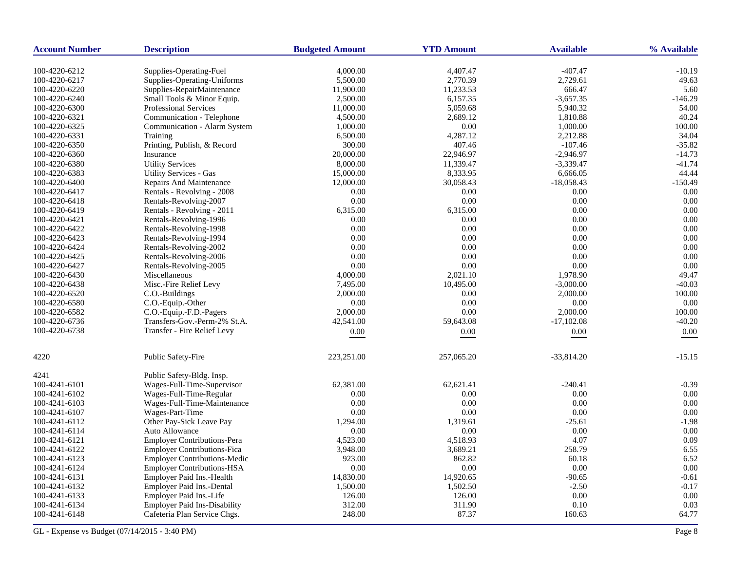| <b>Account Number</b> | <b>Description</b>                  | <b>Budgeted Amount</b> | <b>YTD Amount</b> | <b>Available</b> | % Available |
|-----------------------|-------------------------------------|------------------------|-------------------|------------------|-------------|
| 100-4220-6212         | Supplies-Operating-Fuel             | 4,000.00               | 4,407.47          | $-407.47$        | $-10.19$    |
| 100-4220-6217         | Supplies-Operating-Uniforms         | 5,500.00               | 2,770.39          | 2,729.61         | 49.63       |
| 100-4220-6220         | Supplies-RepairMaintenance          | 11,900.00              | 11,233.53         | 666.47           | 5.60        |
| 100-4220-6240         | Small Tools & Minor Equip.          | 2,500.00               | 6,157.35          | $-3,657.35$      | $-146.29$   |
| 100-4220-6300         | <b>Professional Services</b>        | 11,000.00              | 5,059.68          | 5,940.32         | 54.00       |
| 100-4220-6321         | Communication - Telephone           | 4,500.00               | 2,689.12          | 1,810.88         | 40.24       |
| 100-4220-6325         | Communication - Alarm System        | 1,000.00               | 0.00              | 1,000.00         | 100.00      |
| 100-4220-6331         | Training                            | 6,500.00               | 4,287.12          | 2,212.88         | 34.04       |
| 100-4220-6350         | Printing, Publish, & Record         | 300.00                 | 407.46            | $-107.46$        | $-35.82$    |
| 100-4220-6360         | Insurance                           | 20,000.00              | 22,946.97         | $-2,946.97$      | $-14.73$    |
| 100-4220-6380         | <b>Utility Services</b>             | 8,000.00               | 11,339.47         | $-3,339.47$      | $-41.74$    |
| 100-4220-6383         | <b>Utility Services - Gas</b>       | 15,000.00              | 8,333.95          | 6,666.05         | 44.44       |
| 100-4220-6400         | <b>Repairs And Maintenance</b>      | 12,000.00              | 30,058.43         | $-18,058.43$     | $-150.49$   |
| 100-4220-6417         | Rentals - Revolving - 2008          | 0.00                   | 0.00              | 0.00             | 0.00        |
| 100-4220-6418         | Rentals-Revolving-2007              | 0.00                   | 0.00              | 0.00             | 0.00        |
| 100-4220-6419         | Rentals - Revolving - 2011          | 6,315.00               | 6,315.00          | 0.00             | 0.00        |
| 100-4220-6421         | Rentals-Revolving-1996              | 0.00                   | 0.00              | 0.00             | 0.00        |
| 100-4220-6422         | Rentals-Revolving-1998              | 0.00                   | 0.00              | 0.00             | 0.00        |
| 100-4220-6423         | Rentals-Revolving-1994              | 0.00                   | 0.00              | 0.00             | 0.00        |
| 100-4220-6424         | Rentals-Revolving-2002              | 0.00                   | 0.00              | 0.00             | 0.00        |
| 100-4220-6425         | Rentals-Revolving-2006              | 0.00                   | 0.00              | 0.00             | 0.00        |
| 100-4220-6427         | Rentals-Revolving-2005              | 0.00                   | 0.00              | 0.00             | 0.00        |
| 100-4220-6430         | Miscellaneous                       | 4,000.00               | 2,021.10          | 1,978.90         | 49.47       |
| 100-4220-6438         | Misc.-Fire Relief Levy              | 7,495.00               | 10,495.00         | $-3,000.00$      | $-40.03$    |
| 100-4220-6520         | C.O.-Buildings                      | 2,000.00               | 0.00              | 2,000.00         | 100.00      |
| 100-4220-6580         | C.O.-Equip.-Other                   | 0.00                   | 0.00              | 0.00             | 0.00        |
| 100-4220-6582         | C.O.-Equip.-F.D.-Pagers             | 2,000.00               | 0.00              | 2,000.00         | 100.00      |
| 100-4220-6736         | Transfers-Gov.-Perm-2% St.A.        | 42,541.00              | 59,643.08         | $-17,102.08$     | $-40.20$    |
| 100-4220-6738         | Transfer - Fire Relief Levy         | 0.00                   | $0.00\,$          | $0.00\,$         | 0.00        |
|                       |                                     |                        |                   |                  |             |
| 4220                  | Public Safety-Fire                  | 223,251.00             | 257,065.20        | $-33,814.20$     | $-15.15$    |
| 4241                  | Public Safety-Bldg. Insp.           |                        |                   |                  |             |
| 100-4241-6101         | Wages-Full-Time-Supervisor          | 62,381.00              | 62,621.41         | $-240.41$        | $-0.39$     |
| 100-4241-6102         | Wages-Full-Time-Regular             | 0.00                   | 0.00              | 0.00             | $0.00\,$    |
| 100-4241-6103         | Wages-Full-Time-Maintenance         | 0.00                   | 0.00              | 0.00             | 0.00        |
| 100-4241-6107         | Wages-Part-Time                     | 0.00                   | 0.00              | 0.00             | 0.00        |
| 100-4241-6112         | Other Pay-Sick Leave Pay            | 1,294.00               | 1,319.61          | $-25.61$         | $-1.98$     |
| 100-4241-6114         | Auto Allowance                      | 0.00                   | 0.00              | 0.00             | 0.00        |
| 100-4241-6121         | Employer Contributions-Pera         | 4,523.00               | 4,518.93          | 4.07             | 0.09        |
| 100-4241-6122         | <b>Employer Contributions-Fica</b>  | 3,948.00               | 3,689.21          | 258.79           | 6.55        |
| 100-4241-6123         | <b>Employer Contributions-Medic</b> | 923.00                 | 862.82            | 60.18            | 6.52        |
| 100-4241-6124         | <b>Employer Contributions-HSA</b>   | 0.00                   | 0.00              | 0.00             | 0.00        |
| 100-4241-6131         | Employer Paid Ins.-Health           | 14,830.00              | 14,920.65         | $-90.65$         | $-0.61$     |
| 100-4241-6132         | Employer Paid Ins.-Dental           | 1,500.00               | 1,502.50          | $-2.50$          | $-0.17$     |
| 100-4241-6133         | Employer Paid Ins.-Life             | 126.00                 | 126.00            | 0.00             | 0.00        |
| 100-4241-6134         | <b>Employer Paid Ins-Disability</b> | 312.00                 | 311.90            | 0.10             | 0.03        |
| 100-4241-6148         | Cafeteria Plan Service Chgs.        | 248.00                 | 87.37             | 160.63           | 64.77       |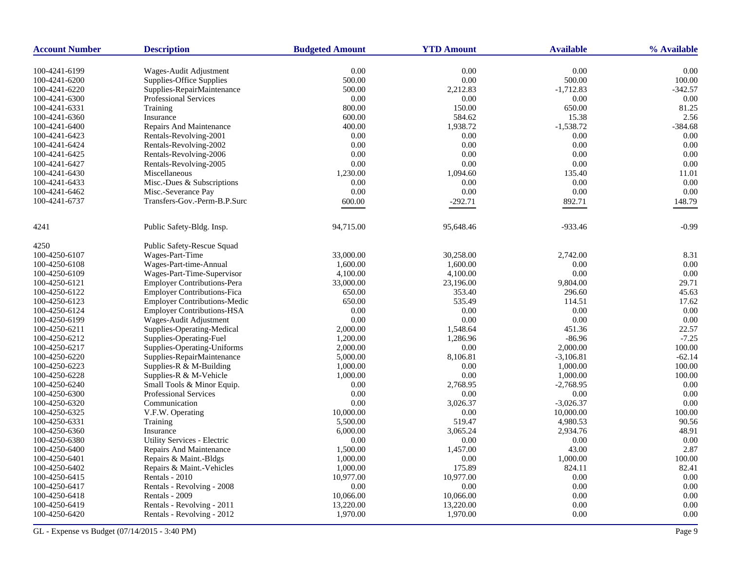| <b>Account Number</b> | <b>Description</b>                  | <b>Budgeted Amount</b> | <b>YTD Amount</b> | <b>Available</b> | % Available |
|-----------------------|-------------------------------------|------------------------|-------------------|------------------|-------------|
| 100-4241-6199         | Wages-Audit Adjustment              | 0.00                   | 0.00              | 0.00             | 0.00        |
| 100-4241-6200         | Supplies-Office Supplies            | 500.00                 | 0.00              | 500.00           | 100.00      |
| 100-4241-6220         | Supplies-RepairMaintenance          | 500.00                 | 2,212.83          | $-1,712.83$      | $-342.57$   |
| 100-4241-6300         | <b>Professional Services</b>        | 0.00                   | 0.00              | 0.00             | 0.00        |
| 100-4241-6331         | Training                            | 800.00                 | 150.00            | 650.00           | 81.25       |
| 100-4241-6360         | Insurance                           | 600.00                 | 584.62            | 15.38            | 2.56        |
| 100-4241-6400         | Repairs And Maintenance             | 400.00                 | 1,938.72          | $-1,538.72$      | -384.68     |
| 100-4241-6423         | Rentals-Revolving-2001              | 0.00                   | 0.00              | 0.00             | 0.00        |
|                       |                                     | 0.00                   | 0.00              | 0.00             | 0.00        |
| 100-4241-6424         | Rentals-Revolving-2002              |                        |                   |                  |             |
| 100-4241-6425         | Rentals-Revolving-2006              | 0.00                   | 0.00              | 0.00             | 0.00        |
| 100-4241-6427         | Rentals-Revolving-2005              | 0.00                   | 0.00              | 0.00             | 0.00        |
| 100-4241-6430         | Miscellaneous                       | 1,230.00               | 1,094.60          | 135.40           | 11.01       |
| 100-4241-6433         | Misc.-Dues & Subscriptions          | 0.00                   | 0.00              | 0.00             | 0.00        |
| 100-4241-6462         | Misc.-Severance Pay                 | 0.00                   | 0.00              | 0.00             | 0.00        |
| 100-4241-6737         | Transfers-Gov.-Perm-B.P.Surc        | 600.00                 | $-292.71$         | 892.71           | 148.79      |
| 4241                  | Public Safety-Bldg. Insp.           | 94,715.00              | 95,648.46         | $-933.46$        | $-0.99$     |
| 4250                  | Public Safety-Rescue Squad          |                        |                   |                  |             |
| 100-4250-6107         | Wages-Part-Time                     | 33,000.00              | 30,258.00         | 2,742.00         | 8.31        |
| 100-4250-6108         | Wages-Part-time-Annual              | 1,600.00               | 1,600.00          | 0.00             | 0.00        |
| 100-4250-6109         | Wages-Part-Time-Supervisor          | 4,100.00               | 4,100.00          | 0.00             | 0.00        |
| 100-4250-6121         | <b>Employer Contributions-Pera</b>  | 33,000.00              | 23,196.00         | 9,804.00         | 29.71       |
| 100-4250-6122         | <b>Employer Contributions-Fica</b>  | 650.00                 | 353.40            | 296.60           | 45.63       |
| 100-4250-6123         | <b>Employer Contributions-Medic</b> | 650.00                 | 535.49            | 114.51           | 17.62       |
| 100-4250-6124         | <b>Employer Contributions-HSA</b>   | $0.00\,$               | 0.00              | $0.00\,$         | 0.00        |
| 100-4250-6199         | Wages-Audit Adjustment              | 0.00                   | 0.00              | 0.00             | 0.00        |
| 100-4250-6211         | Supplies-Operating-Medical          | 2,000.00               | 1,548.64          | 451.36           | 22.57       |
| 100-4250-6212         | Supplies-Operating-Fuel             | 1,200.00               | 1,286.96          | $-86.96$         | $-7.25$     |
| 100-4250-6217         | Supplies-Operating-Uniforms         | 2,000.00               | 0.00              | 2,000.00         | 100.00      |
| 100-4250-6220         | Supplies-RepairMaintenance          | 5,000.00               | 8,106.81          | $-3,106.81$      | $-62.14$    |
| 100-4250-6223         | Supplies-R & M-Building             | 1,000.00               | 0.00              | 1,000.00         | 100.00      |
| 100-4250-6228         | Supplies-R & M-Vehicle              | 1,000.00               | 0.00              | 1,000.00         | 100.00      |
| 100-4250-6240         | Small Tools & Minor Equip.          | 0.00                   | 2,768.95          | $-2,768.95$      | 0.00        |
| 100-4250-6300         | Professional Services               | 0.00                   | 0.00              | 0.00             | 0.00        |
| 100-4250-6320         | Communication                       | 0.00                   | 3,026.37          | $-3,026.37$      | 0.00        |
|                       |                                     |                        | 0.00              |                  |             |
| 100-4250-6325         | V.F.W. Operating                    | 10,000.00              |                   | 10,000.00        | 100.00      |
| 100-4250-6331         | Training                            | 5,500.00               | 519.47            | 4,980.53         | 90.56       |
| 100-4250-6360         | Insurance                           | 6,000.00               | 3,065.24          | 2,934.76         | 48.91       |
| 100-4250-6380         | Utility Services - Electric         | 0.00                   | 0.00              | 0.00             | 0.00        |
| 100-4250-6400         | <b>Repairs And Maintenance</b>      | 1,500.00               | 1,457.00          | 43.00            | 2.87        |
| 100-4250-6401         | Repairs & Maint.-Bldgs              | 1,000.00               | 0.00              | 1,000.00         | 100.00      |
| 100-4250-6402         | Repairs & Maint.-Vehicles           | 1,000.00               | 175.89            | 824.11           | 82.41       |
| 100-4250-6415         | Rentals - 2010                      | 10,977.00              | 10,977.00         | 0.00             | 0.00        |
| 100-4250-6417         | Rentals - Revolving - 2008          | 0.00                   | 0.00              | 0.00             | 0.00        |
| 100-4250-6418         | Rentals - 2009                      | 10,066.00              | 10,066.00         | 0.00             | 0.00        |
| 100-4250-6419         | Rentals - Revolving - 2011          | 13,220.00              | 13,220.00         | 0.00             | 0.00        |
| 100-4250-6420         | Rentals - Revolving - 2012          | 1,970.00               | 1,970.00          | 0.00             | 0.00        |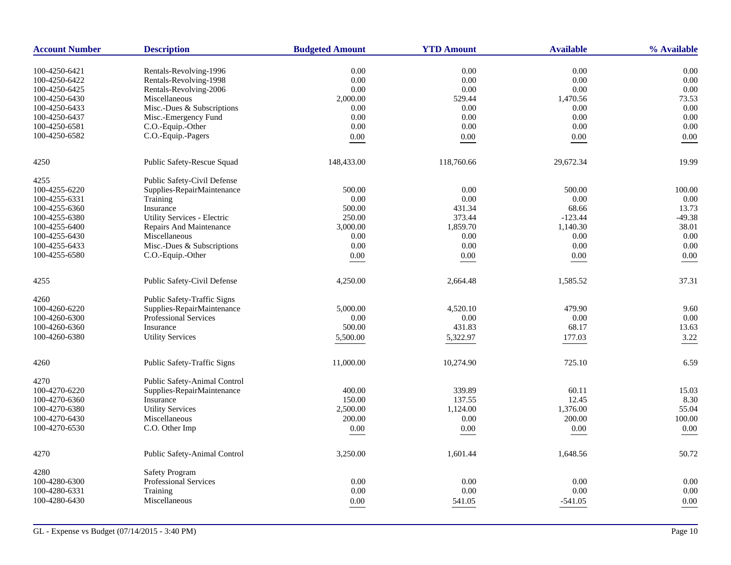| <b>Account Number</b> | <b>Description</b>           | <b>Budgeted Amount</b> | <b>YTD Amount</b> | <b>Available</b> | % Available |
|-----------------------|------------------------------|------------------------|-------------------|------------------|-------------|
| 100-4250-6421         | Rentals-Revolving-1996       | 0.00                   | 0.00              | 0.00             | 0.00        |
| 100-4250-6422         | Rentals-Revolving-1998       | 0.00                   | 0.00              | 0.00             | 0.00        |
| 100-4250-6425         | Rentals-Revolving-2006       | 0.00                   | 0.00              | 0.00             | 0.00        |
| 100-4250-6430         | Miscellaneous                | 2,000.00               | 529.44            | 1,470.56         | 73.53       |
| 100-4250-6433         | Misc.-Dues & Subscriptions   | 0.00                   | 0.00              | 0.00             | 0.00        |
| 100-4250-6437         | Misc.-Emergency Fund         | 0.00                   | 0.00              | 0.00             | 0.00        |
| 100-4250-6581         | C.O.-Equip.-Other            | 0.00                   | 0.00              | 0.00             | 0.00        |
| 100-4250-6582         | C.O.-Equip.-Pagers           | $0.00\,$               | 0.00              | $0.00\,$         | 0.00        |
|                       |                              |                        |                   |                  |             |
| 4250                  | Public Safety-Rescue Squad   | 148,433.00             | 118,760.66        | 29,672.34        | 19.99       |
| 4255                  | Public Safety-Civil Defense  |                        |                   |                  |             |
| 100-4255-6220         | Supplies-RepairMaintenance   | 500.00                 | 0.00              | 500.00           | 100.00      |
| 100-4255-6331         | Training                     | 0.00                   | 0.00              | 0.00             | 0.00        |
| 100-4255-6360         | Insurance                    | 500.00                 | 431.34            | 68.66            | 13.73       |
| 100-4255-6380         | Utility Services - Electric  | 250.00                 | 373.44            | $-123.44$        | $-49.38$    |
| 100-4255-6400         | Repairs And Maintenance      | 3,000.00               | 1,859.70          | 1,140.30         | 38.01       |
| 100-4255-6430         | Miscellaneous                | 0.00                   | $0.00\,$          | 0.00             | 0.00        |
| 100-4255-6433         | Misc.-Dues & Subscriptions   | 0.00                   | 0.00              | 0.00             | 0.00        |
| 100-4255-6580         | C.O.-Equip.-Other            | $0.00\,$               | 0.00              | $0.00\,$         | 0.00        |
| 4255                  | Public Safety-Civil Defense  | 4,250.00               | 2,664.48          | 1,585.52         | 37.31       |
| 4260                  | Public Safety-Traffic Signs  |                        |                   |                  |             |
| 100-4260-6220         | Supplies-RepairMaintenance   | 5,000.00               | 4,520.10          | 479.90           | 9.60        |
| 100-4260-6300         | <b>Professional Services</b> | 0.00                   | 0.00              | 0.00             | 0.00        |
| 100-4260-6360         | Insurance                    | 500.00                 | 431.83            | 68.17            | 13.63       |
| 100-4260-6380         | <b>Utility Services</b>      |                        |                   |                  |             |
|                       |                              | 5,500.00               | 5,322.97          | 177.03           | 3.22        |
| 4260                  | Public Safety-Traffic Signs  | 11,000.00              | 10,274.90         | 725.10           | 6.59        |
| 4270                  | Public Safety-Animal Control |                        |                   |                  |             |
| 100-4270-6220         | Supplies-RepairMaintenance   | 400.00                 | 339.89            | 60.11            | 15.03       |
| 100-4270-6360         | Insurance                    | 150.00                 | 137.55            | 12.45            | 8.30        |
| 100-4270-6380         | <b>Utility Services</b>      | 2,500.00               | 1,124.00          | 1,376.00         | 55.04       |
| 100-4270-6430         | Miscellaneous                | 200.00                 | 0.00              | 200.00           | 100.00      |
| 100-4270-6530         | C.O. Other Imp               | 0.00                   | 0.00              | 0.00             | 0.00        |
|                       |                              |                        |                   |                  |             |
| 4270                  | Public Safety-Animal Control | 3,250.00               | 1,601.44          | 1,648.56         | 50.72       |
| 4280                  | <b>Safety Program</b>        |                        |                   |                  |             |
| 100-4280-6300         | <b>Professional Services</b> | 0.00                   | 0.00              | 0.00             | 0.00        |
| 100-4280-6331         | Training                     | 0.00                   | 0.00              | 0.00             | 0.00        |
| 100-4280-6430         | Miscellaneous                | 0.00                   | 541.05            | $-541.05$        | 0.00        |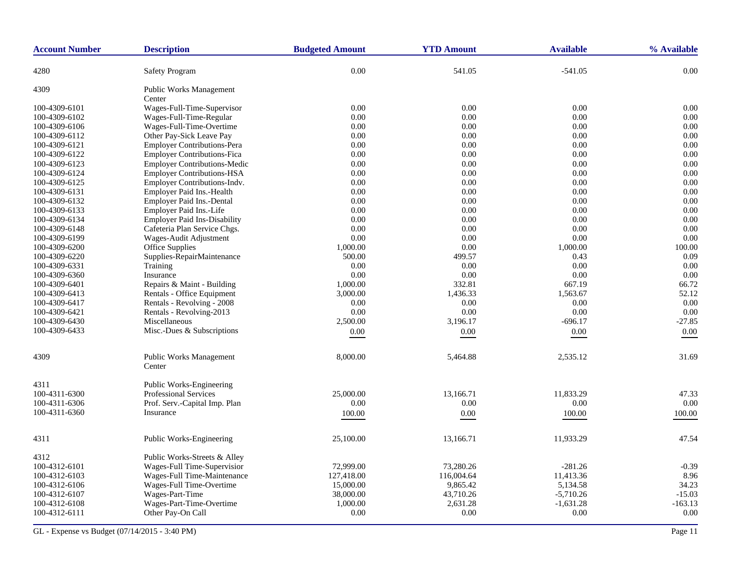| <b>Account Number</b> | <b>Description</b>                       | <b>Budgeted Amount</b> | <b>YTD Amount</b> | <b>Available</b> | % Available |
|-----------------------|------------------------------------------|------------------------|-------------------|------------------|-------------|
| 4280                  | <b>Safety Program</b>                    | 0.00                   | 541.05            | $-541.05$        | 0.00        |
| 4309                  | Public Works Management                  |                        |                   |                  |             |
|                       | Center                                   |                        |                   |                  |             |
| 100-4309-6101         | Wages-Full-Time-Supervisor               | 0.00                   | 0.00              | 0.00             | 0.00        |
| 100-4309-6102         | Wages-Full-Time-Regular                  | 0.00                   | 0.00              | 0.00             | 0.00        |
| 100-4309-6106         | Wages-Full-Time-Overtime                 | 0.00                   | 0.00              | 0.00             | 0.00        |
| 100-4309-6112         | Other Pay-Sick Leave Pay                 | 0.00                   | 0.00              | 0.00             | 0.00        |
| 100-4309-6121         | <b>Employer Contributions-Pera</b>       | 0.00                   | 0.00              | 0.00             | 0.00        |
| 100-4309-6122         | <b>Employer Contributions-Fica</b>       | 0.00                   | 0.00              | 0.00             | 0.00        |
| 100-4309-6123         | <b>Employer Contributions-Medic</b>      | 0.00                   | 0.00              | 0.00             | 0.00        |
| 100-4309-6124         | <b>Employer Contributions-HSA</b>        | 0.00                   | 0.00              | 0.00             | 0.00        |
| 100-4309-6125         | Employer Contributions-Indv.             | 0.00                   | 0.00              | 0.00             | 0.00        |
| 100-4309-6131         | Employer Paid Ins.-Health                | 0.00                   | 0.00              | 0.00             | 0.00        |
| 100-4309-6132         | <b>Employer Paid Ins.-Dental</b>         | 0.00                   | 0.00              | 0.00             | 0.00        |
| 100-4309-6133         | Employer Paid Ins.-Life                  | 0.00                   | 0.00              | 0.00             | 0.00        |
| 100-4309-6134         | <b>Employer Paid Ins-Disability</b>      | 0.00                   | 0.00              | 0.00             | 0.00        |
| 100-4309-6148         | Cafeteria Plan Service Chgs.             | 0.00                   | 0.00              | 0.00             | 0.00        |
| 100-4309-6199         | Wages-Audit Adjustment                   | 0.00                   | 0.00              | 0.00             | 0.00        |
| 100-4309-6200         | Office Supplies                          | 1,000.00               | 0.00              | 1,000.00         | 100.00      |
| 100-4309-6220         | Supplies-RepairMaintenance               | 500.00                 | 499.57            | 0.43             | 0.09        |
| 100-4309-6331         | Training                                 | 0.00                   | 0.00              | 0.00             | 0.00        |
| 100-4309-6360         | Insurance                                | 0.00                   | 0.00              | 0.00             | 0.00        |
| 100-4309-6401         | Repairs & Maint - Building               | 1,000.00               | 332.81            | 667.19           | 66.72       |
| 100-4309-6413         | Rentals - Office Equipment               | 3,000.00               | 1,436.33          | 1,563.67         | 52.12       |
| 100-4309-6417         | Rentals - Revolving - 2008               | 0.00                   | 0.00              | 0.00             | 0.00        |
| 100-4309-6421         | Rentals - Revolving-2013                 | 0.00                   | 0.00              | 0.00             | 0.00        |
| 100-4309-6430         | Miscellaneous                            | 2,500.00               | 3,196.17          | $-696.17$        | $-27.85$    |
| 100-4309-6433         | Misc.-Dues & Subscriptions               | $0.00\,$               | $0.00\,$          | $0.00\,$         | $0.00\,$    |
|                       |                                          |                        |                   |                  |             |
| 4309                  | <b>Public Works Management</b><br>Center | 8,000.00               | 5,464.88          | 2,535.12         | 31.69       |
| 4311                  | <b>Public Works-Engineering</b>          |                        |                   |                  |             |
| 100-4311-6300         | <b>Professional Services</b>             | 25,000.00              | 13,166.71         | 11.833.29        | 47.33       |
| 100-4311-6306         | Prof. Serv.-Capital Imp. Plan            | 0.00                   | 0.00              | 0.00             | 0.00        |
| 100-4311-6360         | Insurance                                | 100.00                 | 0.00              | 100.00           | 100.00      |
|                       |                                          |                        |                   |                  |             |
| 4311                  | Public Works-Engineering                 | 25,100.00              | 13,166.71         | 11,933.29        | 47.54       |
| 4312                  | Public Works-Streets & Alley             |                        |                   |                  |             |
| 100-4312-6101         | Wages-Full Time-Supervision              | 72,999.00              | 73,280.26         | $-281.26$        | $-0.39$     |
| 100-4312-6103         | Wages-Full Time-Maintenance              | 127,418.00             | 116,004.64        | 11,413.36        | 8.96        |
| 100-4312-6106         | Wages-Full Time-Overtime                 | 15,000.00              | 9,865.42          | 5,134.58         | 34.23       |
| 100-4312-6107         | Wages-Part-Time                          | 38,000.00              | 43,710.26         | $-5,710.26$      | $-15.03$    |
| 100-4312-6108         | Wages-Part-Time-Overtime                 | 1,000.00               | 2,631.28          | $-1,631.28$      | $-163.13$   |
| 100-4312-6111         | Other Pay-On Call                        | 0.00                   | 0.00              | 0.00             | 0.00        |
|                       |                                          |                        |                   |                  |             |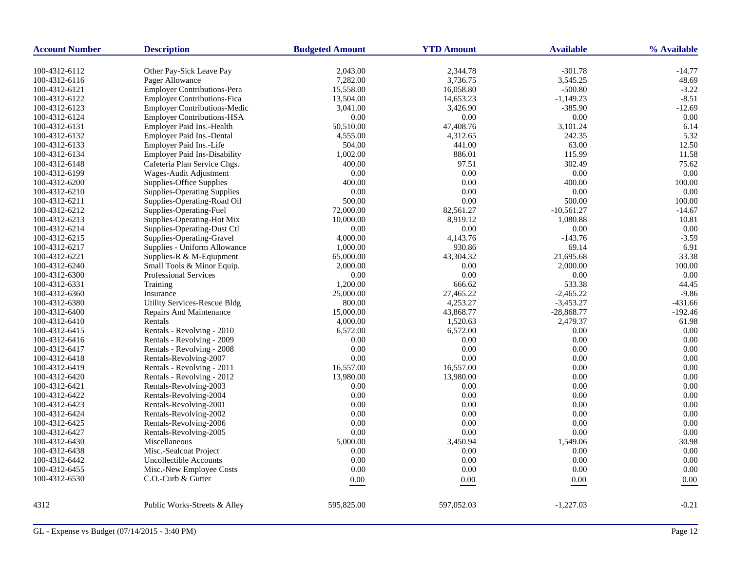| <b>Account Number</b> | <b>Description</b>                             | <b>Budgeted Amount</b> | <b>YTD Amount</b> | <b>Available</b>      | % Available        |
|-----------------------|------------------------------------------------|------------------------|-------------------|-----------------------|--------------------|
|                       |                                                |                        |                   |                       |                    |
| 100-4312-6112         | Other Pay-Sick Leave Pay                       | 2,043.00<br>7,282.00   | 2,344.78          | $-301.78$<br>3,545.25 | $-14.77$           |
| 100-4312-6116         | Pager Allowance<br>Employer Contributions-Pera |                        | 3,736.75          | $-500.80$             | 48.69              |
| 100-4312-6121         | <b>Employer Contributions-Fica</b>             | 15,558.00              | 16,058.80         |                       | $-3.22$<br>$-8.51$ |
| 100-4312-6122         |                                                | 13,504.00              | 14,653.23         | $-1,149.23$           |                    |
| 100-4312-6123         | <b>Employer Contributions-Medic</b>            | 3,041.00               | 3,426.90          | $-385.90$             | $-12.69$           |
| 100-4312-6124         | <b>Employer Contributions-HSA</b>              | 0.00                   | $0.00\,$          | 0.00                  | 0.00               |
| 100-4312-6131         | Employer Paid Ins.-Health                      | 50,510.00              | 47,408.76         | 3,101.24              | 6.14               |
| 100-4312-6132         | Employer Paid Ins.-Dental                      | 4,555.00               | 4,312.65          | 242.35                | 5.32               |
| 100-4312-6133         | Employer Paid Ins.-Life                        | 504.00                 | 441.00            | 63.00                 | 12.50              |
| 100-4312-6134         | <b>Employer Paid Ins-Disability</b>            | 1,002.00               | 886.01            | 115.99                | 11.58              |
| 100-4312-6148         | Cafeteria Plan Service Chgs.                   | 400.00                 | 97.51             | 302.49                | 75.62              |
| 100-4312-6199         | Wages-Audit Adjustment                         | 0.00                   | 0.00              | 0.00                  | 0.00               |
| 100-4312-6200         | Supplies-Office Supplies                       | 400.00                 | 0.00              | 400.00                | 100.00             |
| 100-4312-6210         | <b>Supplies-Operating Supplies</b>             | 0.00                   | 0.00              | 0.00                  | 0.00               |
| 100-4312-6211         | Supplies-Operating-Road Oil                    | 500.00                 | 0.00              | 500.00                | 100.00             |
| 100-4312-6212         | Supplies-Operating-Fuel                        | 72,000.00              | 82,561.27         | $-10,561.27$          | $-14.67$           |
| 100-4312-6213         | Supplies-Operating-Hot Mix                     | 10,000.00              | 8,919.12          | 1,080.88              | 10.81              |
| 100-4312-6214         | Supplies-Operating-Dust Ctl                    | 0.00                   | 0.00              | 0.00                  | 0.00               |
| 100-4312-6215         | Supplies-Operating-Gravel                      | 4,000.00               | 4,143.76          | $-143.76$             | $-3.59$            |
| 100-4312-6217         | Supplies - Uniform Allowance                   | 1,000.00               | 930.86            | 69.14                 | 6.91               |
| 100-4312-6221         | Supplies-R & M-Eqiupment                       | 65,000.00              | 43,304.32         | 21,695.68             | 33.38              |
| 100-4312-6240         | Small Tools & Minor Equip.                     | 2,000.00               | 0.00              | 2,000.00              | 100.00             |
| 100-4312-6300         | <b>Professional Services</b>                   | 0.00                   | 0.00              | 0.00                  | 0.00               |
| 100-4312-6331         | Training                                       | 1,200.00               | 666.62            | 533.38                | 44.45              |
| 100-4312-6360         | Insurance                                      | 25,000.00              | 27,465.22         | $-2,465.22$           | $-9.86$            |
| 100-4312-6380         | <b>Utility Services-Rescue Bldg</b>            | 800.00                 | 4,253.27          | $-3,453.27$           | $-431.66$          |
| 100-4312-6400         | Repairs And Maintenance                        | 15,000.00              | 43,868.77         | $-28,868.77$          | $-192.46$          |
| 100-4312-6410         | Rentals                                        | 4,000.00               | 1,520.63          | 2,479.37              | 61.98              |
| 100-4312-6415         | Rentals - Revolving - 2010                     | 6,572.00               | 6,572.00          | 0.00                  | 0.00               |
| 100-4312-6416         | Rentals - Revolving - 2009                     | 0.00                   | $0.00\,$          | 0.00                  | 0.00               |
| 100-4312-6417         | Rentals - Revolving - 2008                     | 0.00                   | 0.00              | 0.00                  | 0.00               |
| 100-4312-6418         | Rentals-Revolving-2007                         | 0.00                   | $0.00\,$          | 0.00                  | 0.00               |
| 100-4312-6419         | Rentals - Revolving - 2011                     | 16,557.00              | 16,557.00         | 0.00                  | 0.00               |
| 100-4312-6420         | Rentals - Revolving - 2012                     | 13,980.00              | 13,980.00         | 0.00                  | 0.00               |
| 100-4312-6421         | Rentals-Revolving-2003                         | 0.00                   | 0.00              | 0.00                  | 0.00               |
| 100-4312-6422         | Rentals-Revolving-2004                         | 0.00                   | 0.00              | 0.00                  | 0.00               |
| 100-4312-6423         | Rentals-Revolving-2001                         | 0.00                   | 0.00              | 0.00                  | 0.00               |
| 100-4312-6424         | Rentals-Revolving-2002                         | 0.00                   | 0.00              | 0.00                  | 0.00               |
| 100-4312-6425         | Rentals-Revolving-2006                         | 0.00                   | $0.00\,$          | 0.00                  | 0.00               |
| 100-4312-6427         | Rentals-Revolving-2005                         | 0.00                   | 0.00              | 0.00                  | 0.00               |
| 100-4312-6430         | Miscellaneous                                  | 5,000.00               | 3,450.94          | 1,549.06              | 30.98              |
| 100-4312-6438         | Misc.-Sealcoat Project                         | 0.00                   | 0.00              | 0.00                  | 0.00               |
| 100-4312-6442         | Uncollectible Accounts                         | 0.00                   | 0.00              | 0.00                  | 0.00               |
| 100-4312-6455         | Misc.-New Employee Costs                       | 0.00                   | 0.00              | 0.00                  | 0.00               |
| 100-4312-6530         | C.O.-Curb & Gutter                             |                        |                   |                       |                    |
|                       |                                                | 0.00                   | 0.00              | $0.00\,$              | 0.00               |
| 4312                  | Public Works-Streets & Alley                   | 595,825.00             | 597,052.03        | $-1,227.03$           | $-0.21$            |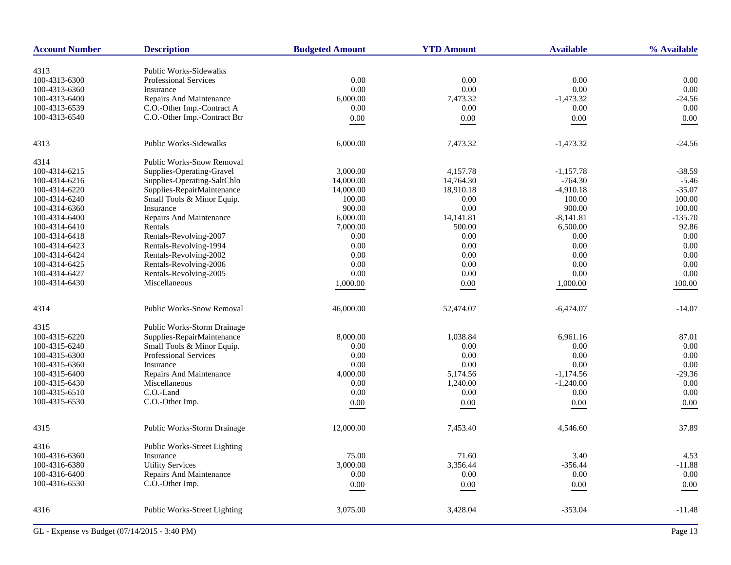| <b>Account Number</b> | <b>Description</b>                  | <b>Budgeted Amount</b> | <b>YTD Amount</b> | <b>Available</b> | % Available |
|-----------------------|-------------------------------------|------------------------|-------------------|------------------|-------------|
| 4313                  | <b>Public Works-Sidewalks</b>       |                        |                   |                  |             |
| 100-4313-6300         | Professional Services               | 0.00                   | 0.00              | 0.00             | 0.00        |
| 100-4313-6360         | Insurance                           | 0.00                   | 0.00              | 0.00             | $0.00\,$    |
| 100-4313-6400         | Repairs And Maintenance             | 6,000.00               | 7,473.32          | $-1,473.32$      | $-24.56$    |
| 100-4313-6539         | C.O.-Other Imp.-Contract A          | 0.00                   | 0.00              | 0.00             | 0.00        |
|                       |                                     |                        |                   |                  |             |
| 100-4313-6540         | C.O.-Other Imp.-Contract Btr        | $0.00\,$               | 0.00              | $0.00\,$         | 0.00        |
| 4313                  | <b>Public Works-Sidewalks</b>       | 6,000.00               | 7,473.32          | $-1,473.32$      | $-24.56$    |
| 4314                  | <b>Public Works-Snow Removal</b>    |                        |                   |                  |             |
| 100-4314-6215         | Supplies-Operating-Gravel           | 3,000.00               | 4,157.78          | $-1,157.78$      | $-38.59$    |
| 100-4314-6216         | Supplies-Operating-SaltChlo         | 14,000.00              | 14,764.30         | $-764.30$        | $-5.46$     |
| 100-4314-6220         | Supplies-RepairMaintenance          | 14,000.00              | 18,910.18         | $-4,910.18$      | $-35.07$    |
| 100-4314-6240         | Small Tools & Minor Equip.          | 100.00                 | 0.00              | 100.00           | 100.00      |
| 100-4314-6360         | Insurance                           | 900.00                 | 0.00              | 900.00           | 100.00      |
| 100-4314-6400         | Repairs And Maintenance             | 6,000.00               | 14,141.81         | $-8,141.81$      | $-135.70$   |
| 100-4314-6410         | Rentals                             | 7,000.00               | 500.00            | 6,500.00         | 92.86       |
| 100-4314-6418         | Rentals-Revolving-2007              | 0.00                   | 0.00              | 0.00             | 0.00        |
| 100-4314-6423         | Rentals-Revolving-1994              | 0.00                   | 0.00              | 0.00             | 0.00        |
| 100-4314-6424         | Rentals-Revolving-2002              | 0.00                   | 0.00              | 0.00             | 0.00        |
| 100-4314-6425         | Rentals-Revolving-2006              | 0.00                   | 0.00              | 0.00             | 0.00        |
| 100-4314-6427         | Rentals-Revolving-2005              | 0.00                   | 0.00              | 0.00             | 0.00        |
| 100-4314-6430         | Miscellaneous                       | 1,000.00               | 0.00              | 1,000.00         | 100.00      |
| 4314                  | <b>Public Works-Snow Removal</b>    | 46,000.00              | 52,474.07         | $-6,474.07$      | $-14.07$    |
| 4315                  | Public Works-Storm Drainage         |                        |                   |                  |             |
| 100-4315-6220         | Supplies-RepairMaintenance          | 8,000.00               | 1,038.84          | 6,961.16         | 87.01       |
| 100-4315-6240         | Small Tools & Minor Equip.          | 0.00                   | 0.00              | 0.00             | 0.00        |
| 100-4315-6300         | Professional Services               | 0.00                   | 0.00              | 0.00             | 0.00        |
| 100-4315-6360         | Insurance                           | 0.00                   | 0.00              | 0.00             | 0.00        |
| 100-4315-6400         | Repairs And Maintenance             | 4,000.00               | 5,174.56          | $-1,174.56$      | $-29.36$    |
| 100-4315-6430         | Miscellaneous                       | 0.00                   | 1,240.00          | $-1,240.00$      | 0.00        |
| 100-4315-6510         | C.O.-Land                           | 0.00                   | 0.00              | 0.00             | 0.00        |
| 100-4315-6530         | C.O.-Other Imp.                     | 0.00                   | 0.00              | $0.00\,$         | 0.00        |
| 4315                  | Public Works-Storm Drainage         | 12,000.00              | 7,453.40          | 4,546.60         | 37.89       |
|                       |                                     |                        |                   |                  |             |
| 4316                  | <b>Public Works-Street Lighting</b> |                        |                   |                  |             |
| 100-4316-6360         | Insurance                           | 75.00                  | 71.60             | 3.40             | 4.53        |
| 100-4316-6380         | <b>Utility Services</b>             | 3,000.00               | 3,356.44          | $-356.44$        | $-11.88$    |
| 100-4316-6400         | Repairs And Maintenance             | 0.00                   | 0.00              | 0.00             | $0.00\,$    |
| 100-4316-6530         | C.O.-Other Imp.                     | $0.00\,$               | 0.00              | $0.00\,$         | $0.00\,$    |
| 4316                  | Public Works-Street Lighting        | 3,075.00               | 3,428.04          | $-353.04$        | $-11.48$    |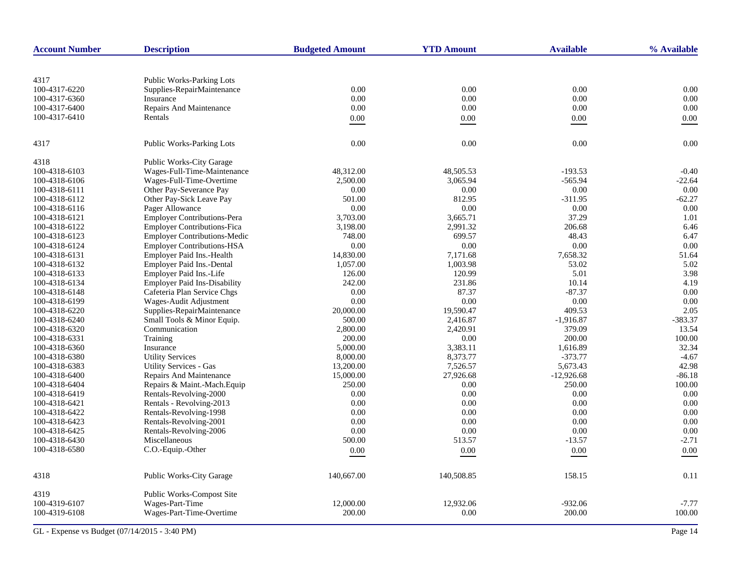| <b>Account Number</b> | <b>Description</b>                  | <b>Budgeted Amount</b> | <b>YTD Amount</b> | <b>Available</b> | % Available |
|-----------------------|-------------------------------------|------------------------|-------------------|------------------|-------------|
|                       |                                     |                        |                   |                  |             |
| 4317                  | <b>Public Works-Parking Lots</b>    |                        |                   |                  |             |
| 100-4317-6220         | Supplies-RepairMaintenance          | 0.00                   | 0.00              | 0.00             | 0.00        |
| 100-4317-6360         | Insurance                           | 0.00                   | 0.00              | 0.00             | 0.00        |
| 100-4317-6400         | Repairs And Maintenance             | 0.00                   | 0.00              | 0.00             | 0.00        |
| 100-4317-6410         | Rentals                             | 0.00                   | $0.00\,$          | $0.00\,$         | 0.00        |
|                       |                                     |                        |                   |                  |             |
| 4317                  | Public Works-Parking Lots           | 0.00                   | 0.00              | 0.00             | 0.00        |
| 4318                  | <b>Public Works-City Garage</b>     |                        |                   |                  |             |
| 100-4318-6103         | Wages-Full-Time-Maintenance         | 48,312.00              | 48,505.53         | $-193.53$        | $-0.40$     |
| 100-4318-6106         | Wages-Full-Time-Overtime            | 2,500.00               | 3.065.94          | $-565.94$        | $-22.64$    |
| 100-4318-6111         | Other Pay-Severance Pay             | 0.00                   | 0.00              | 0.00             | 0.00        |
| 100-4318-6112         | Other Pay-Sick Leave Pay            | 501.00                 | 812.95            | $-311.95$        | $-62.27$    |
| 100-4318-6116         | Pager Allowance                     | 0.00                   | 0.00              | $0.00\,$         | 0.00        |
| 100-4318-6121         | Employer Contributions-Pera         | 3,703.00               | 3,665.71          | 37.29            | 1.01        |
| 100-4318-6122         | <b>Employer Contributions-Fica</b>  | 3,198.00               | 2,991.32          | 206.68           | 6.46        |
| 100-4318-6123         | <b>Employer Contributions-Medic</b> | 748.00                 | 699.57            | 48.43            | 6.47        |
| 100-4318-6124         | <b>Employer Contributions-HSA</b>   | 0.00                   | 0.00              | 0.00             | 0.00        |
| 100-4318-6131         | Employer Paid Ins.-Health           | 14,830.00              | 7,171.68          | 7,658.32         | 51.64       |
| 100-4318-6132         | <b>Employer Paid Ins.-Dental</b>    | 1,057.00               | 1,003.98          | 53.02            | 5.02        |
| 100-4318-6133         | Employer Paid Ins.-Life             | 126.00                 | 120.99            | 5.01             | 3.98        |
| 100-4318-6134         | <b>Employer Paid Ins-Disability</b> | 242.00                 | 231.86            | 10.14            | 4.19        |
| 100-4318-6148         | Cafeteria Plan Service Chgs         | 0.00                   | 87.37             | $-87.37$         | 0.00        |
| 100-4318-6199         | Wages-Audit Adjustment              | 0.00                   | 0.00              | 0.00             | 0.00        |
| 100-4318-6220         | Supplies-RepairMaintenance          | 20,000.00              | 19,590.47         | 409.53           | 2.05        |
| 100-4318-6240         | Small Tools & Minor Equip.          | 500.00                 | 2,416.87          | $-1,916.87$      | $-383.37$   |
| 100-4318-6320         | Communication                       | 2,800.00               | 2,420.91          | 379.09           | 13.54       |
| 100-4318-6331         | Training                            | 200.00                 | 0.00              | 200.00           | 100.00      |
| 100-4318-6360         | Insurance                           | 5,000.00               | 3,383.11          | 1,616.89         | 32.34       |
| 100-4318-6380         | <b>Utility Services</b>             | 8,000.00               | 8,373.77          | $-373.77$        | $-4.67$     |
| 100-4318-6383         | <b>Utility Services - Gas</b>       | 13,200.00              | 7,526.57          | 5,673.43         | 42.98       |
| 100-4318-6400         | Repairs And Maintenance             | 15,000.00              | 27,926.68         | $-12,926.68$     | $-86.18$    |
| 100-4318-6404         | Repairs & Maint.-Mach. Equip        | 250.00                 | 0.00              | 250.00           | 100.00      |
| 100-4318-6419         | Rentals-Revolving-2000              | 0.00                   | 0.00              | 0.00             | 0.00        |
| 100-4318-6421         | Rentals - Revolving-2013            | 0.00                   | 0.00              | 0.00             | 0.00        |
| 100-4318-6422         | Rentals-Revolving-1998              | 0.00                   | 0.00              | 0.00             | 0.00        |
| 100-4318-6423         | Rentals-Revolving-2001              | 0.00                   | 0.00              | 0.00             | 0.00        |
| 100-4318-6425         | Rentals-Revolving-2006              | 0.00                   | 0.00              | 0.00             | 0.00        |
| 100-4318-6430         | Miscellaneous                       | 500.00                 | 513.57            | $-13.57$         | $-2.71$     |
| 100-4318-6580         | C.O.-Equip.-Other                   | 0.00                   | 0.00              | 0.00             | $0.00\,$    |
|                       |                                     |                        |                   |                  |             |
| 4318                  | Public Works-City Garage            | 140,667.00             | 140,508.85        | 158.15           | 0.11        |
| 4319                  | Public Works-Compost Site           |                        |                   |                  |             |
| 100-4319-6107         | Wages-Part-Time                     | 12,000.00              | 12,932.06         | $-932.06$        | $-7.77$     |
| 100-4319-6108         | Wages-Part-Time-Overtime            | 200.00                 | 0.00              | 200.00           | 100.00      |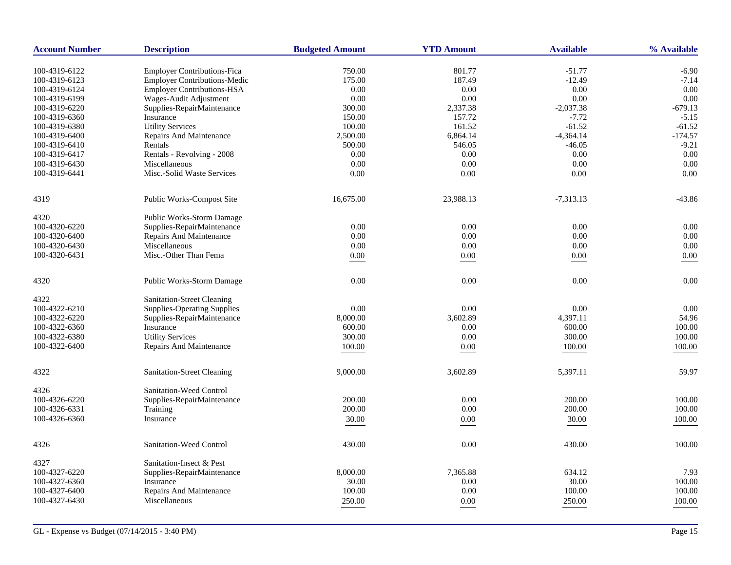| <b>Account Number</b> | <b>Description</b>                  | <b>Budgeted Amount</b> | <b>YTD Amount</b> | <b>Available</b> | % Available |
|-----------------------|-------------------------------------|------------------------|-------------------|------------------|-------------|
| 100-4319-6122         | <b>Employer Contributions-Fica</b>  | 750.00                 | 801.77            | $-51.77$         | $-6.90$     |
| 100-4319-6123         | <b>Employer Contributions-Medic</b> | 175.00                 | 187.49            | $-12.49$         | $-7.14$     |
| 100-4319-6124         | <b>Employer Contributions-HSA</b>   | 0.00                   | 0.00              | 0.00             | 0.00        |
| 100-4319-6199         | Wages-Audit Adjustment              | 0.00                   | $0.00\,$          | 0.00             | 0.00        |
| 100-4319-6220         | Supplies-RepairMaintenance          | 300.00                 | 2,337.38          | $-2,037.38$      | $-679.13$   |
| 100-4319-6360         | Insurance                           | 150.00                 | 157.72            | $-7.72$          | $-5.15$     |
| 100-4319-6380         | <b>Utility Services</b>             | 100.00                 | 161.52            | $-61.52$         | $-61.52$    |
| 100-4319-6400         | Repairs And Maintenance             | 2,500.00               | 6,864.14          | $-4,364.14$      | $-174.57$   |
| 100-4319-6410         | Rentals                             | 500.00                 | 546.05            | $-46.05$         | $-9.21$     |
| 100-4319-6417         | Rentals - Revolving - 2008          | 0.00                   | 0.00              | 0.00             | 0.00        |
|                       |                                     |                        |                   |                  |             |
| 100-4319-6430         | Miscellaneous                       | 0.00                   | 0.00              | 0.00             | 0.00        |
| 100-4319-6441         | Misc.-Solid Waste Services          | $0.00\,$               | $0.00\,$          | $0.00\,$         | 0.00        |
| 4319                  | Public Works-Compost Site           | 16,675.00              | 23,988.13         | $-7,313.13$      | $-43.86$    |
| 4320                  | <b>Public Works-Storm Damage</b>    |                        |                   |                  |             |
| 100-4320-6220         | Supplies-RepairMaintenance          | 0.00                   | 0.00              | 0.00             | 0.00        |
| 100-4320-6400         | <b>Repairs And Maintenance</b>      | 0.00                   | 0.00              | 0.00             | 0.00        |
| 100-4320-6430         | Miscellaneous                       | 0.00                   | 0.00              | 0.00             | 0.00        |
| 100-4320-6431         | Misc.-Other Than Fema               | 0.00                   | $0.00\,$          | $0.00\,$         | 0.00        |
| 4320                  | Public Works-Storm Damage           | 0.00                   | $0.00\,$          | 0.00             | 0.00        |
|                       |                                     |                        |                   |                  |             |
| 4322                  | <b>Sanitation-Street Cleaning</b>   |                        |                   |                  |             |
| 100-4322-6210         | <b>Supplies-Operating Supplies</b>  | 0.00                   | 0.00              | 0.00             | 0.00        |
| 100-4322-6220         | Supplies-RepairMaintenance          | 8,000.00               | 3,602.89          | 4,397.11         | 54.96       |
| 100-4322-6360         | Insurance                           | 600.00                 | 0.00              | 600.00           | 100.00      |
| 100-4322-6380         | <b>Utility Services</b>             | 300.00                 | $0.00\,$          | 300.00           | 100.00      |
| 100-4322-6400         | Repairs And Maintenance             | 100.00                 | 0.00              | 100.00           | 100.00      |
|                       |                                     |                        |                   |                  |             |
| 4322                  | <b>Sanitation-Street Cleaning</b>   | 9,000.00               | 3,602.89          | 5,397.11         | 59.97       |
| 4326                  | Sanitation-Weed Control             |                        |                   |                  |             |
| 100-4326-6220         | Supplies-RepairMaintenance          | 200.00                 | 0.00              | 200.00           | 100.00      |
| 100-4326-6331         | Training                            | 200.00                 | 0.00              | 200.00           | 100.00      |
| 100-4326-6360         | Insurance                           | 30.00                  | $0.00\,$          | 30.00            | 100.00      |
| 4326                  | Sanitation-Weed Control             | 430.00                 | 0.00              | 430.00           | 100.00      |
|                       |                                     |                        |                   |                  |             |
| 4327                  | Sanitation-Insect & Pest            |                        |                   |                  |             |
| 100-4327-6220         | Supplies-RepairMaintenance          | 8,000.00               | 7,365.88          | 634.12           | 7.93        |
| 100-4327-6360         | Insurance                           | 30.00                  | 0.00              | 30.00            | 100.00      |
| 100-4327-6400         | Repairs And Maintenance             | 100.00                 | 0.00              | 100.00           | 100.00      |
| 100-4327-6430         | Miscellaneous                       | 250.00                 | 0.00              | 250.00           | 100.00      |
|                       |                                     |                        |                   |                  |             |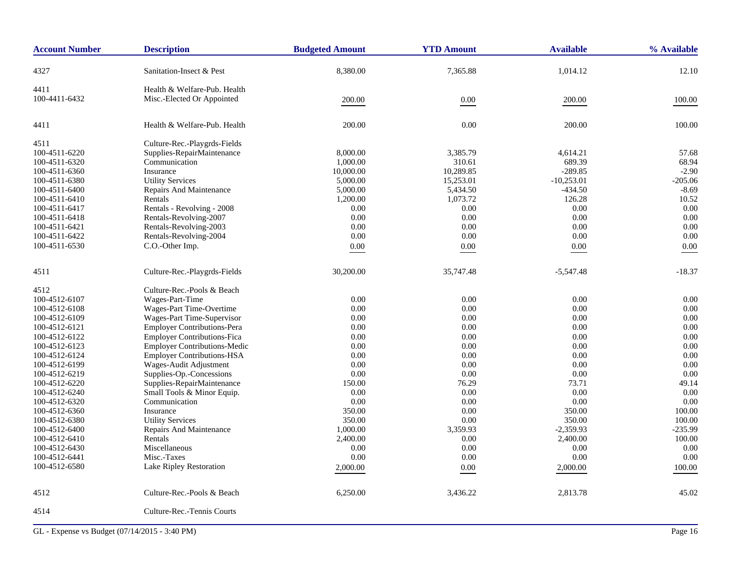| <b>Account Number</b> | <b>Description</b>                  | <b>Budgeted Amount</b> | <b>YTD Amount</b> | <b>Available</b> | % Available |
|-----------------------|-------------------------------------|------------------------|-------------------|------------------|-------------|
| 4327                  | Sanitation-Insect & Pest            | 8,380.00               | 7,365.88          | 1,014.12         | 12.10       |
| 4411                  | Health & Welfare-Pub. Health        |                        |                   |                  |             |
| 100-4411-6432         | Misc.-Elected Or Appointed          | 200.00                 | $0.00\,$          | 200.00           | 100.00      |
|                       |                                     |                        |                   |                  |             |
| 4411                  | Health & Welfare-Pub. Health        | 200.00                 | 0.00              | 200.00           | 100.00      |
| 4511                  | Culture-Rec.-Playgrds-Fields        |                        |                   |                  |             |
| 100-4511-6220         | Supplies-RepairMaintenance          | 8,000.00               | 3,385.79          | 4,614.21         | 57.68       |
| 100-4511-6320         | Communication                       | 1,000.00               | 310.61            | 689.39           | 68.94       |
| 100-4511-6360         | Insurance                           | 10,000.00              | 10,289.85         | $-289.85$        | $-2.90$     |
| 100-4511-6380         | <b>Utility Services</b>             | 5,000.00               | 15,253.01         | $-10,253.01$     | $-205.06$   |
| 100-4511-6400         | Repairs And Maintenance             | 5,000.00               | 5,434.50          | $-434.50$        | $-8.69$     |
| 100-4511-6410         | Rentals                             | 1,200.00               | 1,073.72          | 126.28           | 10.52       |
| 100-4511-6417         | Rentals - Revolving - 2008          | 0.00                   | 0.00              | 0.00             | 0.00        |
| 100-4511-6418         | Rentals-Revolving-2007              | 0.00                   | 0.00              | 0.00             | 0.00        |
| 100-4511-6421         | Rentals-Revolving-2003              | 0.00                   | 0.00              | 0.00             | 0.00        |
| 100-4511-6422         | Rentals-Revolving-2004              | 0.00                   | 0.00              | 0.00             | 0.00        |
| 100-4511-6530         | C.O.-Other Imp.                     | $0.00\,$               | 0.00              | 0.00             | 0.00        |
| 4511                  | Culture-Rec.-Playgrds-Fields        | 30,200.00              | 35,747.48         | $-5,547.48$      | $-18.37$    |
| 4512                  | Culture-Rec.-Pools & Beach          |                        |                   |                  |             |
| 100-4512-6107         | Wages-Part-Time                     | 0.00                   | 0.00              | 0.00             | 0.00        |
| 100-4512-6108         | Wages-Part Time-Overtime            | 0.00                   | 0.00              | 0.00             | 0.00        |
| 100-4512-6109         | Wages-Part Time-Supervisor          | 0.00                   | 0.00              | 0.00             | 0.00        |
| 100-4512-6121         | <b>Employer Contributions-Pera</b>  | 0.00                   | 0.00              | 0.00             | 0.00        |
| 100-4512-6122         | <b>Employer Contributions-Fica</b>  | 0.00                   | 0.00              | 0.00             | 0.00        |
| 100-4512-6123         | <b>Employer Contributions-Medic</b> | 0.00                   | 0.00              | $0.00\,$         | 0.00        |
| 100-4512-6124         | <b>Employer Contributions-HSA</b>   | 0.00                   | 0.00              | 0.00             | 0.00        |
| 100-4512-6199         | Wages-Audit Adjustment              | 0.00                   | 0.00              | 0.00             | 0.00        |
| 100-4512-6219         | Supplies-Op.-Concessions            | 0.00                   | 0.00              | 0.00             | 0.00        |
| 100-4512-6220         | Supplies-RepairMaintenance          | 150.00                 | 76.29             | 73.71            | 49.14       |
| 100-4512-6240         | Small Tools & Minor Equip.          | 0.00                   | 0.00              | 0.00             | 0.00        |
| 100-4512-6320         | Communication                       | 0.00                   | 0.00              | 0.00             | 0.00        |
| 100-4512-6360         | Insurance                           | 350.00                 | 0.00              | 350.00           | 100.00      |
| 100-4512-6380         | <b>Utility Services</b>             | 350.00                 | 0.00              | 350.00           | 100.00      |
| 100-4512-6400         | Repairs And Maintenance             | 1,000.00               | 3,359.93          | $-2,359.93$      | $-235.99$   |
| 100-4512-6410         | Rentals                             | 2,400.00               | 0.00              | 2,400.00         | 100.00      |
| 100-4512-6430         | Miscellaneous                       | 0.00                   | 0.00              | 0.00             | 0.00        |
| 100-4512-6441         | Misc.-Taxes                         | $0.00\,$               | 0.00              | $0.00\,$         | 0.00        |
| 100-4512-6580         | Lake Ripley Restoration             | 2,000.00               | 0.00              | 2,000.00         | 100.00      |
| 4512                  | Culture-Rec.-Pools & Beach          | 6,250.00               | 3,436.22          | 2,813.78         | 45.02       |
| 4514                  | Culture-Rec.-Tennis Courts          |                        |                   |                  |             |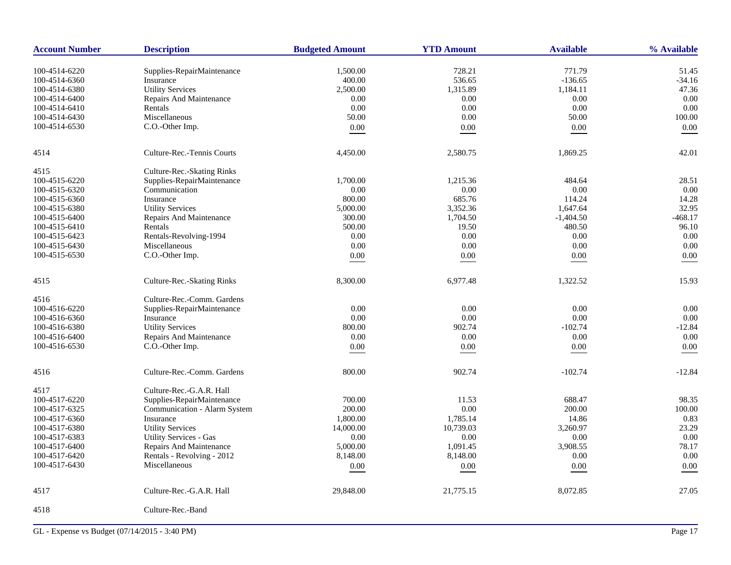| <b>Account Number</b> | <b>Description</b>            | <b>Budgeted Amount</b> | <b>YTD Amount</b> | <b>Available</b> | % Available |
|-----------------------|-------------------------------|------------------------|-------------------|------------------|-------------|
| 100-4514-6220         | Supplies-RepairMaintenance    | 1,500.00               | 728.21            | 771.79           | 51.45       |
| 100-4514-6360         | Insurance                     | 400.00                 | 536.65            | $-136.65$        | $-34.16$    |
| 100-4514-6380         | <b>Utility Services</b>       | 2,500.00               | 1,315.89          | 1,184.11         | 47.36       |
| 100-4514-6400         | Repairs And Maintenance       | 0.00                   | $0.00\,$          | 0.00             | 0.00        |
| 100-4514-6410         | Rentals                       | 0.00                   | 0.00              | 0.00             | 0.00        |
| 100-4514-6430         | Miscellaneous                 | 50.00                  | 0.00              | 50.00            | 100.00      |
|                       |                               |                        |                   |                  |             |
| 100-4514-6530         | C.O.-Other Imp.               | 0.00                   | 0.00              | 0.00             | 0.00        |
| 4514                  | Culture-Rec.-Tennis Courts    | 4,450.00               | 2,580.75          | 1,869.25         | 42.01       |
| 4515                  | Culture-Rec.-Skating Rinks    |                        |                   |                  |             |
| 100-4515-6220         | Supplies-RepairMaintenance    | 1,700.00               | 1,215.36          | 484.64           | 28.51       |
| 100-4515-6320         | Communication                 | 0.00                   | 0.00              | 0.00             | 0.00        |
| 100-4515-6360         | Insurance                     | 800.00                 | 685.76            | 114.24           | 14.28       |
| 100-4515-6380         | <b>Utility Services</b>       | 5,000.00               | 3,352.36          | 1,647.64         | 32.95       |
| 100-4515-6400         | Repairs And Maintenance       | 300.00                 | 1,704.50          | $-1,404.50$      | $-468.17$   |
| 100-4515-6410         | Rentals                       | 500.00                 | 19.50             | 480.50           | 96.10       |
| 100-4515-6423         | Rentals-Revolving-1994        | 0.00                   | 0.00              | 0.00             | 0.00        |
| 100-4515-6430         | Miscellaneous                 | 0.00                   | 0.00              | 0.00             | 0.00        |
| 100-4515-6530         | C.O.-Other Imp.               | 0.00                   | 0.00              | 0.00             | 0.00        |
|                       |                               |                        |                   |                  |             |
| 4515                  | Culture-Rec.-Skating Rinks    | 8,300.00               | 6,977.48          | 1,322.52         | 15.93       |
| 4516                  | Culture-Rec.-Comm. Gardens    |                        |                   |                  |             |
| 100-4516-6220         | Supplies-RepairMaintenance    | 0.00                   | 0.00              | 0.00             | 0.00        |
| 100-4516-6360         | Insurance                     | 0.00                   | 0.00              | 0.00             | 0.00        |
| 100-4516-6380         | <b>Utility Services</b>       | 800.00                 | 902.74            | $-102.74$        | $-12.84$    |
| 100-4516-6400         | Repairs And Maintenance       | 0.00                   | 0.00              | 0.00             | 0.00        |
| 100-4516-6530         | C.O.-Other Imp.               | $0.00\,$               | $0.00\,$          | 0.00             | 0.00        |
|                       |                               |                        |                   |                  |             |
| 4516                  | Culture-Rec.-Comm. Gardens    | 800.00                 | 902.74            | $-102.74$        | $-12.84$    |
| 4517                  | Culture-Rec.-G.A.R. Hall      |                        |                   |                  |             |
| 100-4517-6220         | Supplies-RepairMaintenance    | 700.00                 | 11.53             | 688.47           | 98.35       |
| 100-4517-6325         | Communication - Alarm System  | 200.00                 | 0.00              | 200.00           | 100.00      |
| 100-4517-6360         | Insurance                     | 1,800.00               | 1,785.14          | 14.86            | 0.83        |
| 100-4517-6380         | <b>Utility Services</b>       | 14,000.00              | 10,739.03         | 3,260.97         | 23.29       |
| 100-4517-6383         | <b>Utility Services - Gas</b> | 0.00                   | 0.00              | 0.00             | 0.00        |
| 100-4517-6400         | Repairs And Maintenance       | 5,000.00               | 1,091.45          | 3,908.55         | 78.17       |
| 100-4517-6420         | Rentals - Revolving - 2012    | 8,148.00               | 8,148.00          | 0.00             | 0.00        |
| 100-4517-6430         | Miscellaneous                 | 0.00                   | $0.00\,$          | 0.00             | 0.00        |
|                       |                               |                        |                   |                  | 27.05       |
| 4517                  | Culture-Rec.-G.A.R. Hall      | 29,848.00              | 21,775.15         | 8,072.85         |             |
| 4518                  | Culture-Rec.-Band             |                        |                   |                  |             |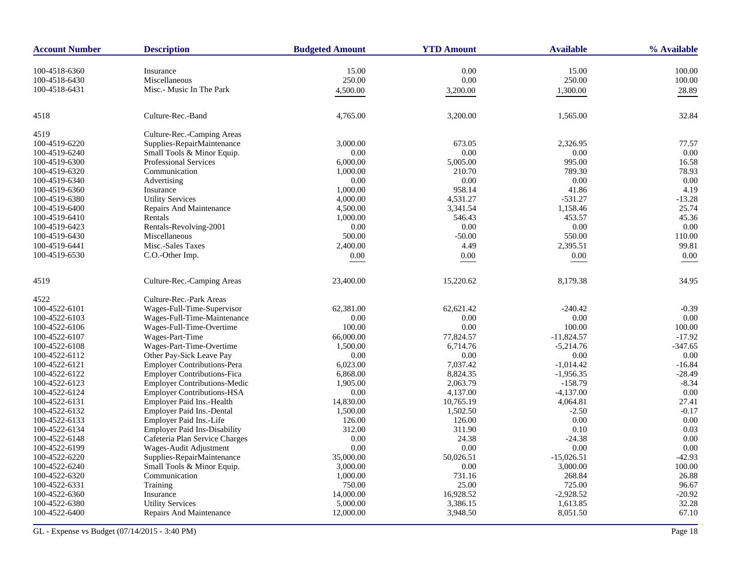| <b>Account Number</b> | <b>Description</b>                  | <b>Budgeted Amount</b> | <b>YTD Amount</b> | <b>Available</b> | % Available |
|-----------------------|-------------------------------------|------------------------|-------------------|------------------|-------------|
| 100-4518-6360         | Insurance                           | 15.00                  | 0.00              | 15.00            | 100.00      |
| 100-4518-6430         | Miscellaneous                       | 250.00                 | 0.00              | 250.00           | 100.00      |
| 100-4518-6431         | Misc.- Music In The Park            | 4,500.00               | 3,200.00          | 1,300.00         | 28.89       |
| 4518                  | Culture-Rec.-Band                   | 4,765.00               | 3,200.00          | 1,565.00         | 32.84       |
| 4519                  | Culture-Rec.-Camping Areas          |                        |                   |                  |             |
| 100-4519-6220         | Supplies-RepairMaintenance          | 3,000.00               | 673.05            | 2,326.95         | 77.57       |
| 100-4519-6240         | Small Tools & Minor Equip.          | 0.00                   | 0.00              | 0.00             | 0.00        |
| 100-4519-6300         | Professional Services               | 6.000.00               | 5,005.00          | 995.00           | 16.58       |
| 100-4519-6320         | Communication                       | 1,000.00               | 210.70            | 789.30           | 78.93       |
| 100-4519-6340         | Advertising                         | 0.00                   | 0.00              | 0.00             | 0.00        |
| 100-4519-6360         | Insurance                           | 1,000.00               | 958.14            | 41.86            | 4.19        |
| 100-4519-6380         | <b>Utility Services</b>             | 4,000.00               | 4,531.27          | $-531.27$        | $-13.28$    |
| 100-4519-6400         | Repairs And Maintenance             | 4,500.00               | 3,341.54          | 1,158.46         | 25.74       |
| 100-4519-6410         | Rentals                             | 1,000.00               | 546.43            | 453.57           | 45.36       |
| 100-4519-6423         | Rentals-Revolving-2001              | 0.00                   | 0.00              | 0.00             | 0.00        |
| 100-4519-6430         | Miscellaneous                       | 500.00                 | $-50.00$          | 550.00           | 110.00      |
| 100-4519-6441         | Misc.-Sales Taxes                   | 2,400.00               | 4.49              | 2,395.51         | 99.81       |
| 100-4519-6530         | C.O.-Other Imp.                     | 0.00                   | 0.00              | 0.00             | 0.00        |
|                       |                                     |                        |                   |                  |             |
| 4519                  | Culture-Rec.-Camping Areas          | 23,400.00              | 15,220.62         | 8,179.38         | 34.95       |
| 4522                  | Culture-Rec.-Park Areas             |                        |                   |                  |             |
| 100-4522-6101         | Wages-Full-Time-Supervisor          | 62,381.00              | 62,621.42         | $-240.42$        | $-0.39$     |
| 100-4522-6103         | Wages-Full-Time-Maintenance         | 0.00                   | 0.00              | 0.00             | 0.00        |
| 100-4522-6106         | Wages-Full-Time-Overtime            | 100.00                 | 0.00              | 100.00           | 100.00      |
| 100-4522-6107         | Wages-Part-Time                     | 66,000.00              | 77,824.57         | $-11,824.57$     | $-17.92$    |
| 100-4522-6108         | Wages-Part-Time-Overtime            | 1,500.00               | 6,714.76          | $-5,214.76$      | $-347.65$   |
| 100-4522-6112         | Other Pay-Sick Leave Pay            | 0.00                   | 0.00              | 0.00             | 0.00        |
| 100-4522-6121         | <b>Employer Contributions-Pera</b>  | 6,023.00               | 7,037.42          | $-1,014.42$      | $-16.84$    |
| 100-4522-6122         | Employer Contributions-Fica         | 6,868.00               | 8,824.35          | $-1,956.35$      | $-28.49$    |
| 100-4522-6123         | Employer Contributions-Medic        | 1,905.00               | 2,063.79          | $-158.79$        | $-8.34$     |
| 100-4522-6124         | <b>Employer Contributions-HSA</b>   | 0.00                   | 4,137.00          | $-4,137.00$      | 0.00        |
| 100-4522-6131         | Employer Paid Ins.-Health           | 14,830.00              | 10,765.19         | 4,064.81         | 27.41       |
| 100-4522-6132         | Employer Paid Ins.-Dental           | 1,500.00               | 1,502.50          | $-2.50$          | $-0.17$     |
| 100-4522-6133         | Employer Paid Ins.-Life             | 126.00                 | 126.00            | 0.00             | 0.00        |
| 100-4522-6134         | <b>Employer Paid Ins-Disability</b> | 312.00                 | 311.90            | 0.10             | 0.03        |
| 100-4522-6148         | Cafeteria Plan Service Charges      | 0.00                   | 24.38             | $-24.38$         | 0.00        |
| 100-4522-6199         | Wages-Audit Adjustment              | 0.00                   | 0.00              | 0.00             | 0.00        |
| 100-4522-6220         | Supplies-RepairMaintenance          | 35,000.00              | 50,026.51         | $-15,026.51$     | $-42.93$    |
| 100-4522-6240         | Small Tools & Minor Equip.          | 3,000.00               | 0.00              | 3,000.00         | 100.00      |
| 100-4522-6320         | Communication                       | 1,000.00               | 731.16            | 268.84           | 26.88       |
| 100-4522-6331         | Training                            | 750.00                 | 25.00             | 725.00           | 96.67       |
| 100-4522-6360         | Insurance                           | 14,000.00              | 16,928.52         | $-2,928.52$      | $-20.92$    |
| 100-4522-6380         | <b>Utility Services</b>             | 5,000.00               | 3,386.15          | 1,613.85         | 32.28       |
| 100-4522-6400         | Repairs And Maintenance             | 12,000.00              | 3,948.50          | 8,051.50         | 67.10       |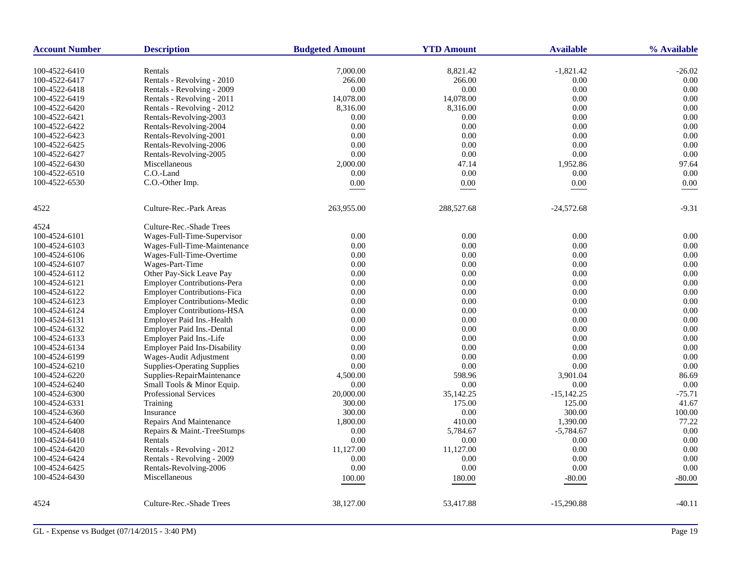| <b>Account Number</b> | <b>Description</b>                  | <b>Budgeted Amount</b> | <b>YTD Amount</b> | <b>Available</b> | % Available  |
|-----------------------|-------------------------------------|------------------------|-------------------|------------------|--------------|
|                       |                                     |                        |                   |                  |              |
| 100-4522-6410         | Rentals                             | 7,000.00               | 8,821.42          | $-1,821.42$      | $-26.02$     |
| 100-4522-6417         | Rentals - Revolving - 2010          | 266.00                 | 266.00            | 0.00             | 0.00         |
| 100-4522-6418         | Rentals - Revolving - 2009          | 0.00                   | 0.00              | 0.00             | 0.00         |
| 100-4522-6419         | Rentals - Revolving - 2011          | 14,078.00              | 14,078.00         | 0.00             | 0.00         |
| 100-4522-6420         | Rentals - Revolving - 2012          | 8,316.00               | 8,316.00          | 0.00             | 0.00         |
| 100-4522-6421         | Rentals-Revolving-2003              | 0.00                   | $0.00\,$          | $0.00\,$         | 0.00         |
| 100-4522-6422         | Rentals-Revolving-2004              | 0.00                   | 0.00              | $0.00\,$         | 0.00         |
| 100-4522-6423         | Rentals-Revolving-2001              | 0.00                   | 0.00              | 0.00             | 0.00         |
| 100-4522-6425         | Rentals-Revolving-2006              | 0.00                   | 0.00              | $0.00\,$         | 0.00         |
| 100-4522-6427         | Rentals-Revolving-2005              | 0.00                   | 0.00              | 0.00             | 0.00         |
| 100-4522-6430         | Miscellaneous                       | 2,000.00               | 47.14             | 1,952.86         | 97.64        |
| 100-4522-6510         | C.O.-Land                           | 0.00                   | 0.00              | 0.00             | 0.00         |
| 100-4522-6530         | C.O.-Other Imp.                     | $0.00\,$               | $0.00\,$          | $0.00\,$         | 0.00         |
| 4522                  | Culture-Rec.-Park Areas             | 263,955.00             | 288,527.68        | $-24,572.68$     | $-9.31$      |
| 4524                  | Culture-Rec.-Shade Trees            |                        |                   |                  |              |
| 100-4524-6101         | Wages-Full-Time-Supervisor          | 0.00                   | 0.00              | 0.00             | 0.00         |
| 100-4524-6103         | Wages-Full-Time-Maintenance         | 0.00                   | 0.00              | 0.00             | 0.00         |
| 100-4524-6106         | Wages-Full-Time-Overtime            | 0.00                   | 0.00              | 0.00             | 0.00         |
| 100-4524-6107         | Wages-Part-Time                     | 0.00                   | 0.00              | 0.00             | 0.00         |
| 100-4524-6112         | Other Pay-Sick Leave Pay            | 0.00                   | 0.00              | 0.00             | 0.00         |
| 100-4524-6121         | <b>Employer Contributions-Pera</b>  | 0.00                   | 0.00              | 0.00             | 0.00         |
| 100-4524-6122         | <b>Employer Contributions-Fica</b>  | 0.00                   | 0.00              | 0.00             | 0.00         |
| 100-4524-6123         | <b>Employer Contributions-Medic</b> | 0.00                   | 0.00              | 0.00             | 0.00         |
| 100-4524-6124         | <b>Employer Contributions-HSA</b>   | 0.00                   | 0.00              | 0.00             | 0.00         |
| 100-4524-6131         | Employer Paid Ins.-Health           | 0.00                   | $0.00\,$          | $0.00\,$         | 0.00         |
| 100-4524-6132         | Employer Paid Ins.-Dental           | 0.00                   | 0.00              | 0.00             | 0.00         |
|                       | Employer Paid Ins.-Life             |                        | $0.00\,$          | $0.00\,$         | 0.00         |
| 100-4524-6133         | <b>Employer Paid Ins-Disability</b> | 0.00                   |                   |                  |              |
| 100-4524-6134         | Wages-Audit Adjustment              | 0.00                   | 0.00<br>0.00      | 0.00<br>0.00     | 0.00<br>0.00 |
| 100-4524-6199         |                                     | 0.00                   |                   |                  |              |
| 100-4524-6210         | Supplies-Operating Supplies         | 0.00                   | 0.00              | 0.00             | 0.00         |
| 100-4524-6220         | Supplies-RepairMaintenance          | 4,500.00               | 598.96            | 3,901.04         | 86.69        |
| 100-4524-6240         | Small Tools & Minor Equip.          | 0.00                   | 0.00              | 0.00             | 0.00         |
| 100-4524-6300         | Professional Services               | 20,000.00              | 35,142.25         | $-15,142.25$     | $-75.71$     |
| 100-4524-6331         | Training                            | 300.00                 | 175.00            | 125.00           | 41.67        |
| 100-4524-6360         | Insurance                           | 300.00                 | 0.00              | 300.00           | 100.00       |
| 100-4524-6400         | Repairs And Maintenance             | 1,800.00               | 410.00            | 1,390.00         | 77.22        |
| 100-4524-6408         | Repairs & Maint.-TreeStumps         | 0.00                   | 5,784.67          | $-5,784.67$      | 0.00         |
| 100-4524-6410         | Rentals                             | 0.00                   | $0.00\,$          | 0.00             | 0.00         |
| 100-4524-6420         | Rentals - Revolving - 2012          | 11,127.00              | 11,127.00         | 0.00             | 0.00         |
| 100-4524-6424         | Rentals - Revolving - 2009          | 0.00                   | 0.00              | 0.00             | 0.00         |
| 100-4524-6425         | Rentals-Revolving-2006              | 0.00                   | 0.00              | 0.00             | 0.00         |
| 100-4524-6430         | Miscellaneous                       | 100.00                 | 180.00            | $-80.00$         | $-80.00$     |
| 4524                  | Culture-Rec.-Shade Trees            | 38,127.00              | 53,417.88         | $-15,290.88$     | $-40.11$     |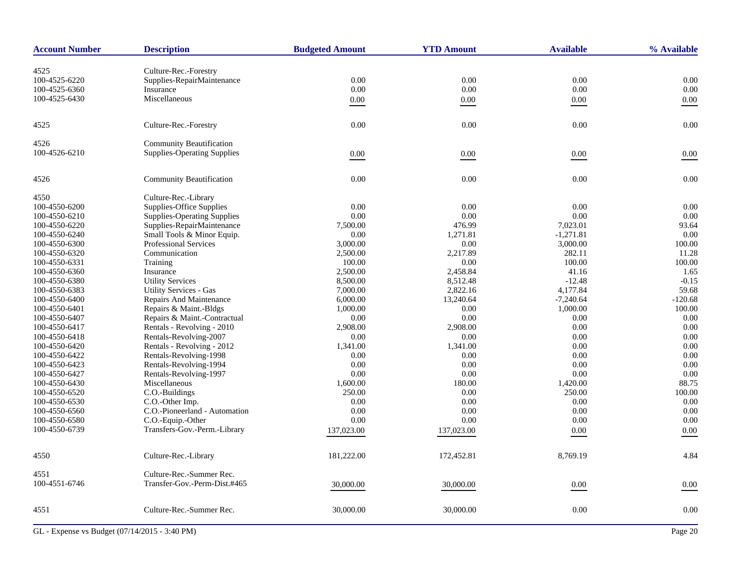| <b>Account Number</b> | <b>Description</b>                 | <b>Budgeted Amount</b> | <b>YTD Amount</b> | <b>Available</b> | % Available |
|-----------------------|------------------------------------|------------------------|-------------------|------------------|-------------|
| 4525                  | Culture-Rec.-Forestry              |                        |                   |                  |             |
| 100-4525-6220         | Supplies-RepairMaintenance         | 0.00                   | 0.00              | 0.00             | $0.00\,$    |
| 100-4525-6360         | Insurance                          | 0.00                   | 0.00              | $0.00\,$         | 0.00        |
|                       | Miscellaneous                      |                        |                   |                  |             |
| 100-4525-6430         |                                    | 0.00                   | 0.00              | $0.00\,$         | 0.00        |
| 4525                  | Culture-Rec.-Forestry              | 0.00                   | 0.00              | 0.00             | 0.00        |
| 4526                  | <b>Community Beautification</b>    |                        |                   |                  |             |
| 100-4526-6210         | <b>Supplies-Operating Supplies</b> | 0.00                   | $0.00\,$          | 0.00             | 0.00        |
| 4526                  | <b>Community Beautification</b>    | 0.00                   | 0.00              | $0.00\,$         | 0.00        |
| 4550                  | Culture-Rec.-Library               |                        |                   |                  |             |
| 100-4550-6200         | Supplies-Office Supplies           | 0.00                   | 0.00              | 0.00             | 0.00        |
| 100-4550-6210         | <b>Supplies-Operating Supplies</b> | 0.00                   | 0.00              | 0.00             | 0.00        |
| 100-4550-6220         | Supplies-RepairMaintenance         | 7,500.00               | 476.99            | 7,023.01         | 93.64       |
| 100-4550-6240         | Small Tools & Minor Equip.         | 0.00                   | 1,271.81          | $-1,271.81$      | 0.00        |
| 100-4550-6300         | <b>Professional Services</b>       | 3,000.00               | 0.00              | 3,000.00         | 100.00      |
| 100-4550-6320         | Communication                      | 2,500.00               | 2,217.89          | 282.11           | 11.28       |
| 100-4550-6331         | Training                           | 100.00                 | 0.00              | 100.00           | 100.00      |
| 100-4550-6360         | Insurance                          | 2,500.00               | 2,458.84          | 41.16            | 1.65        |
| 100-4550-6380         | <b>Utility Services</b>            | 8,500.00               | 8,512.48          | $-12.48$         | $-0.15$     |
| 100-4550-6383         | <b>Utility Services - Gas</b>      | 7,000.00               | 2,822.16          | 4,177.84         | 59.68       |
| 100-4550-6400         | Repairs And Maintenance            | 6,000.00               | 13,240.64         | $-7,240.64$      | $-120.68$   |
| 100-4550-6401         | Repairs & Maint.-Bldgs             | 1,000.00               | 0.00              | 1,000.00         | 100.00      |
| 100-4550-6407         | Repairs & Maint.-Contractual       | 0.00                   | 0.00              | 0.00             | 0.00        |
| 100-4550-6417         | Rentals - Revolving - 2010         | 2,908.00               | 2,908.00          | $0.00\,$         | 0.00        |
| 100-4550-6418         | Rentals-Revolving-2007             | 0.00                   | 0.00              | 0.00             | 0.00        |
| 100-4550-6420         | Rentals - Revolving - 2012         | 1,341.00               | 1,341.00          | 0.00             | 0.00        |
| 100-4550-6422         | Rentals-Revolving-1998             | 0.00                   | 0.00              | 0.00             | 0.00        |
| 100-4550-6423         | Rentals-Revolving-1994             | 0.00                   | 0.00              | $0.00\,$         | 0.00        |
| 100-4550-6427         | Rentals-Revolving-1997             | $0.00\,$               | 0.00              | 0.00             | 0.00        |
| 100-4550-6430         | Miscellaneous                      | 1,600.00               | 180.00            | 1,420.00         | 88.75       |
| 100-4550-6520         | C.O.-Buildings                     | 250.00                 | 0.00              | 250.00           | 100.00      |
| 100-4550-6530         | C.O.-Other Imp.                    | 0.00                   | 0.00              | 0.00             | 0.00        |
| 100-4550-6560         | C.O.-Pioneerland - Automation      | 0.00                   | 0.00              | 0.00             | 0.00        |
| 100-4550-6580         | C.O.-Equip.-Other                  | 0.00                   | 0.00              | 0.00             | 0.00        |
| 100-4550-6739         | Transfers-Gov.-Perm.-Library       | 137,023.00             | 137,023.00        | $0.00\,$         | 0.00        |
| 4550                  | Culture-Rec.-Library               | 181,222.00             | 172,452.81        | 8,769.19         | 4.84        |
|                       |                                    |                        |                   |                  |             |
| 4551                  | Culture-Rec.-Summer Rec.           |                        |                   |                  |             |
| 100-4551-6746         | Transfer-Gov.-Perm-Dist.#465       | 30,000.00              | 30,000.00         | 0.00             | 0.00        |
| 4551                  | Culture-Rec.-Summer Rec.           | 30,000.00              | 30,000.00         | 0.00             | $0.00\,$    |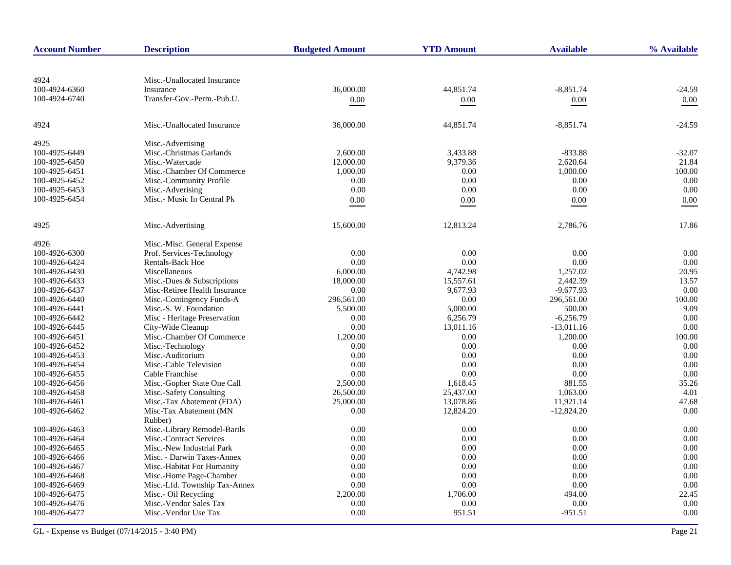| <b>Account Number</b>          | <b>Description</b>                                         | <b>Budgeted Amount</b> | <b>YTD Amount</b> | <b>Available</b>         | % Available   |
|--------------------------------|------------------------------------------------------------|------------------------|-------------------|--------------------------|---------------|
|                                |                                                            |                        |                   |                          |               |
| 4924                           | Misc.-Unallocated Insurance                                |                        |                   |                          |               |
| 100-4924-6360                  | Insurance                                                  | 36,000.00              | 44.851.74         | $-8.851.74$              | -24.59        |
| 100-4924-6740                  | Transfer-Gov.-Perm.-Pub.U.                                 | $0.00\,$               | $0.00\,$          | $0.00\,$                 | $0.00\,$      |
|                                |                                                            |                        |                   |                          |               |
| 4924                           | Misc.-Unallocated Insurance                                | 36,000.00              | 44,851.74         | $-8.851.74$              | -24.59        |
| 4925                           | Misc.-Advertising                                          |                        |                   |                          |               |
| 100-4925-6449                  | Misc.-Christmas Garlands                                   | 2,600.00               | 3,433.88          | $-833.88$                | $-32.07$      |
| 100-4925-6450                  | Misc.-Watercade                                            | 12,000.00              | 9,379.36          | 2,620.64                 | 21.84         |
| 100-4925-6451                  | Misc.-Chamber Of Commerce                                  | 1,000.00               | 0.00              | 1,000.00                 | 100.00        |
| 100-4925-6452                  | Misc.-Community Profile                                    | 0.00                   | 0.00              | 0.00                     | 0.00          |
| 100-4925-6453                  | Misc.-Adverising                                           | 0.00                   | 0.00              | 0.00                     | 0.00          |
| 100-4925-6454                  | Misc.- Music In Central Pk                                 | 0.00                   | 0.00              | 0.00                     | 0.00          |
| 4925                           | Misc.-Advertising                                          | 15,600.00              | 12,813.24         | 2,786.76                 | 17.86         |
|                                |                                                            |                        |                   |                          |               |
| 4926                           | Misc.-Misc. General Expense                                |                        |                   |                          |               |
| 100-4926-6300                  | Prof. Services-Technology                                  | 0.00                   | 0.00              | 0.00                     | 0.00          |
| 100-4926-6424                  | <b>Rentals-Back Hoe</b>                                    | 0.00                   | 0.00              | 0.00                     | 0.00          |
| 100-4926-6430                  | Miscellaneous                                              | 6,000.00               | 4,742.98          | 1,257.02                 | 20.95         |
| 100-4926-6433                  | Misc.-Dues & Subscriptions                                 | 18,000.00              | 15,557.61         | 2,442.39                 | 13.57<br>0.00 |
| 100-4926-6437                  | Misc-Retiree Health Insurance<br>Misc.-Contingency Funds-A | 0.00                   | 9,677.93          | $-9,677.93$              |               |
| 100-4926-6440                  |                                                            | 296,561.00             | 0.00              | 296,561.00               | 100.00        |
| 100-4926-6441                  | Misc.-S. W. Foundation                                     | 5,500.00               | 5,000.00          | 500.00                   | 9.09          |
| 100-4926-6442                  | Misc - Heritage Preservation                               | 0.00<br>0.00           | 6,256.79          | $-6,256.79$              | 0.00<br>0.00  |
| 100-4926-6445<br>100-4926-6451 | City-Wide Cleanup<br>Misc.-Chamber Of Commerce             | 1,200.00               | 13,011.16<br>0.00 | $-13,011.16$<br>1,200.00 | 100.00        |
| 100-4926-6452                  | Misc.-Technology                                           | 0.00                   | 0.00              | 0.00                     | 0.00          |
| 100-4926-6453                  | Misc.-Auditorium                                           | 0.00                   | 0.00              | 0.00                     | 0.00          |
| 100-4926-6454                  | Misc.-Cable Television                                     | 0.00                   | 0.00              | 0.00                     | 0.00          |
| 100-4926-6455                  | Cable Franchise                                            | 0.00                   | 0.00              | 0.00                     | 0.00          |
| 100-4926-6456                  | Misc.-Gopher State One Call                                | 2,500.00               | 1,618.45          | 881.55                   | 35.26         |
| 100-4926-6458                  | Misc.-Safety Consulting                                    | 26,500.00              | 25,437.00         | 1,063.00                 | 4.01          |
| 100-4926-6461                  | Misc.-Tax Abatement (FDA)                                  | 25,000.00              | 13,078.86         | 11,921.14                | 47.68         |
| 100-4926-6462                  | Misc-Tax Abatement (MN                                     | 0.00                   | 12,824.20         | $-12,824.20$             | 0.00          |
|                                | Rubber)                                                    |                        |                   |                          |               |
| 100-4926-6463                  | Misc.-Library Remodel-Barils                               | 0.00                   | 0.00              | 0.00                     | 0.00          |
| 100-4926-6464                  | Misc.-Contract Services                                    | 0.00                   | 0.00              | 0.00                     | 0.00          |
| 100-4926-6465                  | Misc.-New Industrial Park                                  | 0.00                   | 0.00              | 0.00                     | 0.00          |
| 100-4926-6466                  | Misc. - Darwin Taxes-Annex                                 | 0.00                   | 0.00              | 0.00                     | 0.00          |
| 100-4926-6467                  | Misc.-Habitat For Humanity                                 | 0.00                   | 0.00              | 0.00                     | 0.00          |
| 100-4926-6468                  | Misc.-Home Page-Chamber                                    | 0.00                   | 0.00              | 0.00                     | 0.00          |
| 100-4926-6469                  | Misc.-Lfd. Township Tax-Annex                              | 0.00                   | 0.00              | 0.00                     | 0.00          |
| 100-4926-6475                  | Misc.- Oil Recycling                                       | 2,200.00               | 1,706.00          | 494.00                   | 22.45         |
| 100-4926-6476                  | Misc.-Vendor Sales Tax                                     | 0.00                   | 0.00              | 0.00                     | 0.00          |
| 100-4926-6477                  | Misc.-Vendor Use Tax                                       | 0.00                   | 951.51            | $-951.51$                | 0.00          |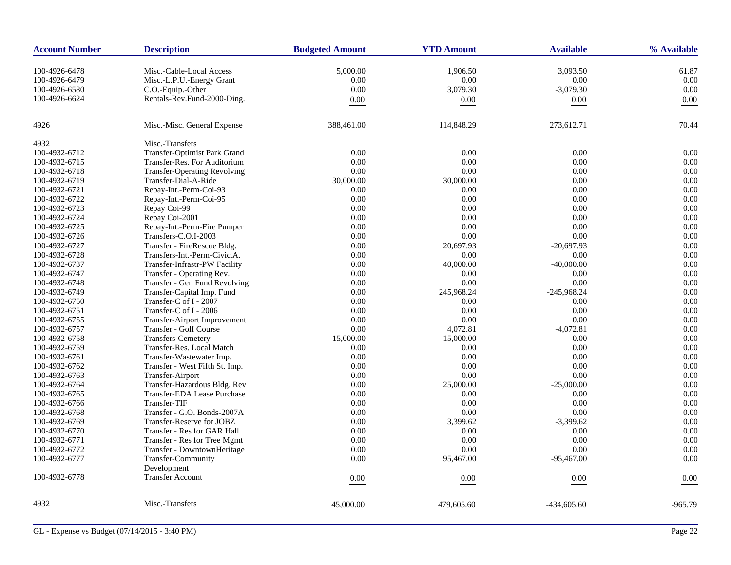| <b>Account Number</b> | <b>Description</b>                  | <b>Budgeted Amount</b> | <b>YTD Amount</b> | <b>Available</b> | % Available |
|-----------------------|-------------------------------------|------------------------|-------------------|------------------|-------------|
| 100-4926-6478         | Misc.-Cable-Local Access            | 5,000.00               | 1,906.50          | 3,093.50         | 61.87       |
| 100-4926-6479         | Misc.-L.P.U.-Energy Grant           | 0.00                   | 0.00              | 0.00             | 0.00        |
| 100-4926-6580         | C.O.-Equip.-Other                   | 0.00                   | 3,079.30          | $-3,079.30$      | 0.00        |
| 100-4926-6624         | Rentals-Rev.Fund-2000-Ding.         | 0.00                   | $0.00\,$          | 0.00             | 0.00        |
|                       |                                     |                        |                   |                  |             |
| 4926                  | Misc.-Misc. General Expense         | 388,461.00             | 114,848.29        | 273,612.71       | 70.44       |
| 4932                  | Misc.-Transfers                     |                        |                   |                  |             |
| 100-4932-6712         | <b>Transfer-Optimist Park Grand</b> | 0.00                   | 0.00              | 0.00             | 0.00        |
| 100-4932-6715         | Transfer-Res. For Auditorium        | 0.00                   | 0.00              | 0.00             | 0.00        |
| 100-4932-6718         | <b>Transfer-Operating Revolving</b> | 0.00                   | 0.00              | 0.00             | 0.00        |
| 100-4932-6719         | Transfer-Dial-A-Ride                | 30,000.00              | 30,000.00         | 0.00             | 0.00        |
| 100-4932-6721         | Repay-Int.-Perm-Coi-93              | 0.00                   | 0.00              | 0.00             | 0.00        |
| 100-4932-6722         | Repay-Int.-Perm-Coi-95              | 0.00                   | 0.00              | 0.00             | 0.00        |
| 100-4932-6723         | Repay Coi-99                        | 0.00                   | 0.00              | 0.00             | 0.00        |
| 100-4932-6724         | Repay Coi-2001                      | 0.00                   | 0.00              | 0.00             | 0.00        |
| 100-4932-6725         | Repay-Int.-Perm-Fire Pumper         | 0.00                   | 0.00              | 0.00             | 0.00        |
| 100-4932-6726         | Transfers-C.O.I-2003                | 0.00                   | 0.00              | 0.00             | 0.00        |
| 100-4932-6727         | Transfer - FireRescue Bldg.         | 0.00                   | 20,697.93         | $-20,697.93$     | 0.00        |
| 100-4932-6728         | Transfers-Int.-Perm-Civic.A.        | 0.00                   | 0.00              | 0.00             | 0.00        |
| 100-4932-6737         | Transfer-Infrastr-PW Facility       | 0.00                   | 40,000.00         | $-40,000.00$     | 0.00        |
| 100-4932-6747         | Transfer - Operating Rev.           | 0.00                   | 0.00              | 0.00             | 0.00        |
| 100-4932-6748         | Transfer - Gen Fund Revolving       | 0.00                   | 0.00              | 0.00             | 0.00        |
| 100-4932-6749         | Transfer-Capital Imp. Fund          | 0.00                   | 245,968.24        | $-245,968.24$    | 0.00        |
| 100-4932-6750         | Transfer-C of I - 2007              | 0.00                   | $0.00\,$          | 0.00             | 0.00        |
| 100-4932-6751         | Transfer-C of I - 2006              | 0.00                   | 0.00              | 0.00             | 0.00        |
| 100-4932-6755         | <b>Transfer-Airport Improvement</b> | 0.00                   | 0.00              | 0.00             | 0.00        |
| 100-4932-6757         | Transfer - Golf Course              | 0.00                   | 4,072.81          | $-4,072.81$      | 0.00        |
| 100-4932-6758         | <b>Transfers-Cemetery</b>           | 15,000.00              | 15,000.00         | 0.00             | 0.00        |
| 100-4932-6759         | Transfer-Res. Local Match           | 0.00                   | 0.00              | 0.00             | 0.00        |
| 100-4932-6761         | Transfer-Wastewater Imp.            | 0.00                   | 0.00              | 0.00             | 0.00        |
| 100-4932-6762         | Transfer - West Fifth St. Imp.      | 0.00                   | 0.00              | 0.00             | 0.00        |
| 100-4932-6763         | Transfer-Airport                    | 0.00                   | 0.00              | 0.00             | 0.00        |
| 100-4932-6764         | Transfer-Hazardous Bldg. Rev        | 0.00                   | 25,000.00         | $-25,000.00$     | 0.00        |
| 100-4932-6765         | Transfer-EDA Lease Purchase         | 0.00                   | 0.00              | 0.00             | 0.00        |
| 100-4932-6766         | Transfer-TIF                        | 0.00                   | 0.00              | 0.00             | 0.00        |
| 100-4932-6768         | Transfer - G.O. Bonds-2007A         | 0.00                   | 0.00              | 0.00             | 0.00        |
| 100-4932-6769         | Transfer-Reserve for JOBZ           | 0.00                   | 3,399.62          | $-3,399.62$      | 0.00        |
| 100-4932-6770         | Transfer - Res for GAR Hall         | 0.00                   | 0.00              | 0.00             | 0.00        |
| 100-4932-6771         | Transfer - Res for Tree Mgmt        | 0.00                   | $0.00\,$          | 0.00             | 0.00        |
| 100-4932-6772         | Transfer - DowntownHeritage         | 0.00                   | 0.00              | 0.00             | 0.00        |
| 100-4932-6777         | Transfer-Community                  | 0.00                   | 95,467.00         | $-95,467.00$     | 0.00        |
|                       | Development                         |                        |                   |                  |             |
| 100-4932-6778         | <b>Transfer Account</b>             | 0.00                   | 0.00              | 0.00             | 0.00        |
| 4932                  | Misc.-Transfers                     | 45,000.00              | 479,605.60        | $-434.605.60$    | $-965.79$   |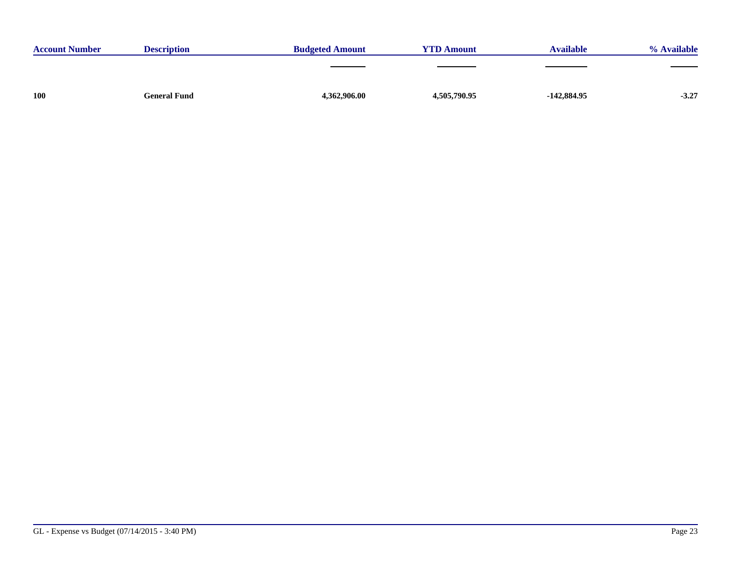| <b>Account Number</b> | <b>Description</b>  | <b>Budgeted Amount</b> | <b>YTD Amount</b> | <b>Available</b> | % Available |
|-----------------------|---------------------|------------------------|-------------------|------------------|-------------|
|                       |                     |                        |                   |                  |             |
|                       |                     |                        |                   |                  |             |
| <b>100</b>            | <b>General Fund</b> | 4,362,906.00           | 4,505,790.95      | $-142,884.95$    | $-3.27$     |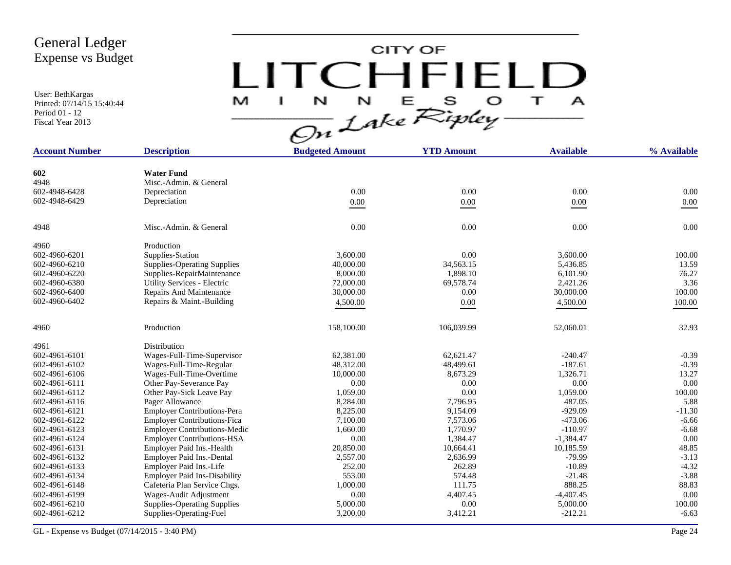User: BethKargas Printed: 07/14/15 15:40:44 Period 01 - 12 Fiscal Year 2013

CITY OF LITCHFIELD  $M$  I N N E S O T A<br>On Lake Ripley

| <b>Account Number</b> | <b>Description</b>                  | <b>Budgeted Amount</b> | <b>YTD Amount</b> | <b>Available</b> | % Available |
|-----------------------|-------------------------------------|------------------------|-------------------|------------------|-------------|
|                       |                                     |                        |                   |                  |             |
| 602                   | <b>Water Fund</b>                   |                        |                   |                  |             |
| 4948                  | Misc.-Admin. & General              |                        |                   |                  |             |
| 602-4948-6428         | Depreciation                        | 0.00                   | 0.00              | 0.00             | 0.00        |
| 602-4948-6429         | Depreciation                        | $0.00\,$               | $0.00\,$          | 0.00             | $0.00\,$    |
| 4948                  | Misc.-Admin. & General              | 0.00                   | 0.00              | 0.00             | 0.00        |
| 4960                  | Production                          |                        |                   |                  |             |
| 602-4960-6201         | Supplies-Station                    | 3,600.00               | 0.00              | 3,600.00         | 100.00      |
| 602-4960-6210         | <b>Supplies-Operating Supplies</b>  | 40,000.00              | 34,563.15         | 5,436.85         | 13.59       |
| 602-4960-6220         | Supplies-RepairMaintenance          | 8,000.00               | 1,898.10          | 6,101.90         | 76.27       |
| 602-4960-6380         | Utility Services - Electric         | 72,000.00              | 69,578.74         | 2,421.26         | 3.36        |
| 602-4960-6400         | Repairs And Maintenance             | 30,000.00              | 0.00              | 30,000.00        | 100.00      |
| 602-4960-6402         | Repairs & Maint.-Building           | 4,500.00               | 0.00              | 4,500.00         | 100.00      |
|                       |                                     |                        |                   |                  |             |
| 4960                  | Production                          | 158,100.00             | 106,039.99        | 52,060.01        | 32.93       |
| 4961                  | Distribution                        |                        |                   |                  |             |
| 602-4961-6101         | Wages-Full-Time-Supervisor          | 62,381.00              | 62.621.47         | $-240.47$        | $-0.39$     |
| 602-4961-6102         | Wages-Full-Time-Regular             | 48,312.00              | 48,499.61         | $-187.61$        | $-0.39$     |
| 602-4961-6106         | Wages-Full-Time-Overtime            | 10,000.00              | 8,673.29          | 1,326.71         | 13.27       |
| 602-4961-6111         | Other Pay-Severance Pay             | 0.00                   | 0.00              | 0.00             | 0.00        |
| 602-4961-6112         | Other Pay-Sick Leave Pay            | 1,059.00               | 0.00              | 1,059.00         | 100.00      |
| 602-4961-6116         | Pager Allowance                     | 8,284.00               | 7,796.95          | 487.05           | 5.88        |
| 602-4961-6121         | <b>Employer Contributions-Pera</b>  | 8,225.00               | 9,154.09          | $-929.09$        | $-11.30$    |
| 602-4961-6122         | <b>Employer Contributions-Fica</b>  | 7,100.00               | 7,573.06          | $-473.06$        | $-6.66$     |
| 602-4961-6123         | <b>Employer Contributions-Medic</b> | 1,660.00               | 1,770.97          | $-110.97$        | $-6.68$     |
| 602-4961-6124         | <b>Employer Contributions-HSA</b>   | 0.00                   | 1,384.47          | $-1,384.47$      | 0.00        |
| 602-4961-6131         | Employer Paid Ins.-Health           | 20,850.00              | 10,664.41         | 10,185.59        | 48.85       |
| 602-4961-6132         | Employer Paid Ins.-Dental           | 2,557.00               | 2,636.99          | $-79.99$         | $-3.13$     |
| 602-4961-6133         | Employer Paid Ins.-Life             | 252.00                 | 262.89            | $-10.89$         | $-4.32$     |
| 602-4961-6134         | <b>Employer Paid Ins-Disability</b> | 553.00                 | 574.48            | $-21.48$         | $-3.88$     |
| 602-4961-6148         | Cafeteria Plan Service Chgs.        | 1,000.00               | 111.75            | 888.25           | 88.83       |
| 602-4961-6199         | Wages-Audit Adjustment              | 0.00                   | 4,407.45          | $-4,407.45$      | 0.00        |
| 602-4961-6210         | <b>Supplies-Operating Supplies</b>  | 5,000.00               | $0.00\,$          | 5,000.00         | 100.00      |
| 602-4961-6212         | Supplies-Operating-Fuel             | 3,200.00               | 3,412.21          | $-212.21$        | $-6.63$     |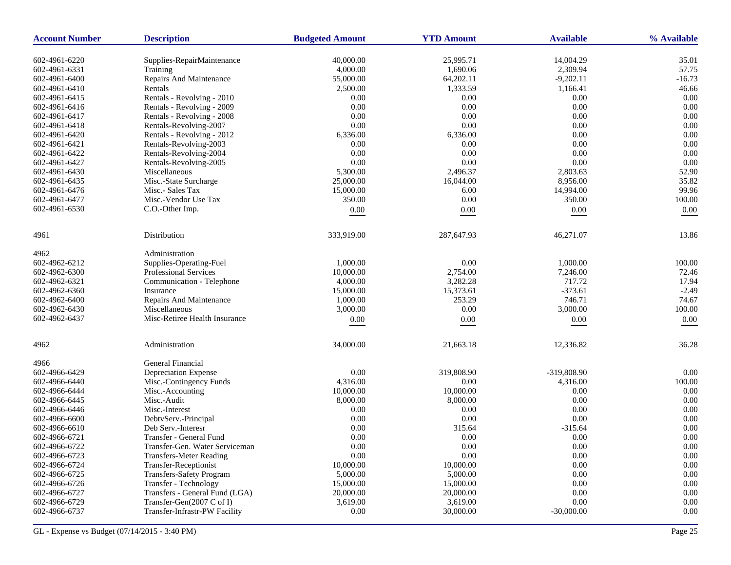| <b>Account Number</b> | <b>Description</b>                     | <b>Budgeted Amount</b> | <b>YTD Amount</b>     | <b>Available</b> | % Available    |
|-----------------------|----------------------------------------|------------------------|-----------------------|------------------|----------------|
| 602-4961-6220         |                                        |                        |                       | 14,004.29        |                |
| 602-4961-6331         | Supplies-RepairMaintenance<br>Training | 40,000.00<br>4,000.00  | 25,995.71<br>1,690.06 | 2,309.94         | 35.01<br>57.75 |
| 602-4961-6400         | Repairs And Maintenance                | 55,000.00              | 64,202.11             | $-9,202.11$      | $-16.73$       |
| 602-4961-6410         | Rentals                                | 2,500.00               | 1,333.59              | 1,166.41         | 46.66          |
| 602-4961-6415         | Rentals - Revolving - 2010             | 0.00                   | 0.00                  | 0.00             | 0.00           |
| 602-4961-6416         | Rentals - Revolving - 2009             | 0.00                   | $0.00\,$              | 0.00             | 0.00           |
| 602-4961-6417         | Rentals - Revolving - 2008             | 0.00                   | 0.00                  | 0.00             | 0.00           |
| 602-4961-6418         | Rentals-Revolving-2007                 | 0.00                   | 0.00                  | 0.00             | 0.00           |
|                       |                                        |                        |                       | $0.00\,$         | 0.00           |
| 602-4961-6420         | Rentals - Revolving - 2012             | 6,336.00<br>0.00       | 6,336.00              | 0.00             | 0.00           |
| 602-4961-6421         | Rentals-Revolving-2003                 |                        | 0.00                  |                  |                |
| 602-4961-6422         | Rentals-Revolving-2004                 | 0.00                   | 0.00                  | 0.00             | 0.00           |
| 602-4961-6427         | Rentals-Revolving-2005                 | 0.00                   | $0.00\,$              | 0.00             | 0.00           |
| 602-4961-6430         | Miscellaneous                          | 5,300.00               | 2,496.37              | 2,803.63         | 52.90          |
| 602-4961-6435         | Misc.-State Surcharge                  | 25,000.00              | 16,044.00             | 8,956.00         | 35.82          |
| 602-4961-6476         | Misc.- Sales Tax                       | 15,000.00              | 6.00                  | 14,994.00        | 99.96          |
| 602-4961-6477         | Misc.-Vendor Use Tax                   | 350.00                 | 0.00                  | 350.00           | 100.00         |
| 602-4961-6530         | C.O.-Other Imp.                        | $0.00\,$               | 0.00                  | 0.00             | 0.00           |
| 4961                  | Distribution                           | 333,919.00             | 287,647.93            | 46,271.07        | 13.86          |
| 4962                  | Administration                         |                        |                       |                  |                |
| 602-4962-6212         | Supplies-Operating-Fuel                | 1,000.00               | 0.00                  | 1,000.00         | 100.00         |
| 602-4962-6300         | <b>Professional Services</b>           | 10,000.00              | 2,754.00              | 7,246.00         | 72.46          |
| 602-4962-6321         | Communication - Telephone              | 4,000.00               | 3,282.28              | 717.72           | 17.94          |
| 602-4962-6360         | Insurance                              | 15,000.00              | 15,373.61             | $-373.61$        | $-2.49$        |
| 602-4962-6400         | Repairs And Maintenance                | 1.000.00               | 253.29                | 746.71           | 74.67          |
| 602-4962-6430         | Miscellaneous                          | 3,000.00               | 0.00                  | 3,000.00         | 100.00         |
| 602-4962-6437         | Misc-Retiree Health Insurance          | $0.00\,$               | $0.00\,$              | 0.00             | 0.00           |
| 4962                  | Administration                         | 34,000.00              | 21,663.18             | 12,336.82        | 36.28          |
| 4966                  | General Financial                      |                        |                       |                  |                |
| 602-4966-6429         | Depreciation Expense                   | 0.00                   | 319,808.90            | -319,808.90      | $0.00\,$       |
| 602-4966-6440         | Misc.-Contingency Funds                | 4,316.00               | 0.00                  | 4,316.00         | 100.00         |
| 602-4966-6444         | Misc.-Accounting                       | 10,000.00              | 10,000.00             | 0.00             | 0.00           |
| 602-4966-6445         | Misc.-Audit                            | 8,000.00               | 8,000.00              | 0.00             | 0.00           |
| 602-4966-6446         | Misc.-Interest                         | 0.00                   | 0.00                  | 0.00             | 0.00           |
| 602-4966-6600         | DebtvServ.-Principal                   | 0.00                   | 0.00                  | 0.00             | 0.00           |
| 602-4966-6610         | Deb Serv.-Interesr                     | 0.00                   | 315.64                | $-315.64$        | 0.00           |
| 602-4966-6721         | Transfer - General Fund                | 0.00                   | 0.00                  | 0.00             | 0.00           |
| 602-4966-6722         | Transfer-Gen. Water Serviceman         | $0.00\,$               | $0.00\,$              | $0.00\,$         | $0.00\,$       |
| 602-4966-6723         | <b>Transfers-Meter Reading</b>         | 0.00                   | $0.00\,$              | 0.00             | $0.00\,$       |
| 602-4966-6724         | Transfer-Receptionist                  | 10,000.00              | 10,000.00             | 0.00             | 0.00           |
| 602-4966-6725         | Transfers-Safety Program               | 5,000.00               | 5,000.00              | 0.00             | $0.00\,$       |
| 602-4966-6726         | Transfer - Technology                  | 15,000.00              | 15,000.00             | 0.00             | $0.00\,$       |
| 602-4966-6727         | Transfers - General Fund (LGA)         | 20,000.00              | 20,000.00             | 0.00             | 0.00           |
| 602-4966-6729         | Transfer-Gen(2007 C of I)              | 3,619.00               | 3,619.00              | 0.00             | 0.00           |
| 602-4966-6737         | Transfer-Infrastr-PW Facility          | 0.00                   | 30,000.00             | $-30,000.00$     | 0.00           |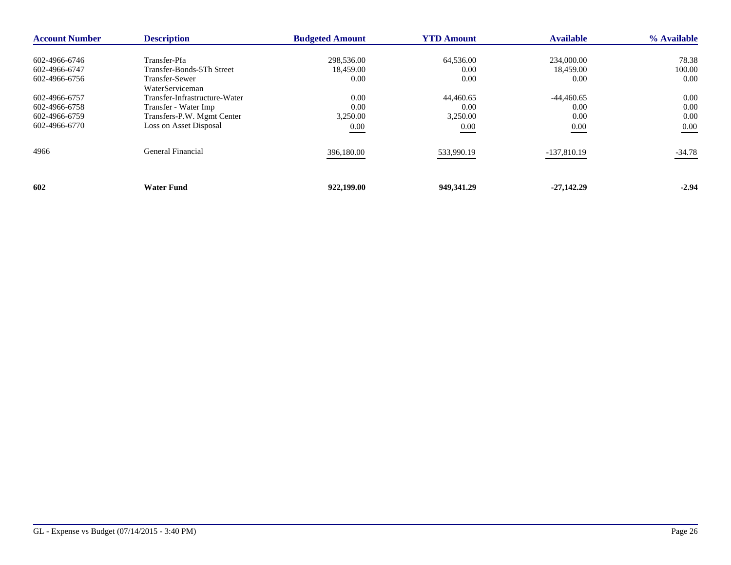| <b>Account Number</b> | <b>Description</b>                       | <b>Budgeted Amount</b> | <b>YTD Amount</b> | <b>Available</b> | % Available |
|-----------------------|------------------------------------------|------------------------|-------------------|------------------|-------------|
| 602-4966-6746         | Transfer-Pfa                             | 298,536.00             | 64,536.00         | 234,000.00       | 78.38       |
| 602-4966-6747         | Transfer-Bonds-5Th Street                | 18,459.00              | 0.00              | 18,459.00        | 100.00      |
| 602-4966-6756         | <b>Transfer-Sewer</b><br>WaterServiceman | 0.00                   | 0.00              | 0.00             | 0.00        |
| 602-4966-6757         | Transfer-Infrastructure-Water            | 0.00                   | 44,460.65         | $-44,460.65$     | 0.00        |
| 602-4966-6758         | Transfer - Water Imp                     | 0.00                   | 0.00              | 0.00             | 0.00        |
| 602-4966-6759         | Transfers-P.W. Mgmt Center               | 3,250.00               | 3,250.00          | 0.00             | 0.00        |
| 602-4966-6770         | Loss on Asset Disposal                   | 0.00                   | 0.00              | $0.00\,$         | 0.00        |
| 4966                  | General Financial                        | 396,180.00             | 533,990.19        | $-137,810.19$    | $-34.78$    |
| 602                   | <b>Water Fund</b>                        | 922,199.00             | 949,341.29        | $-27,142,29$     | $-2.94$     |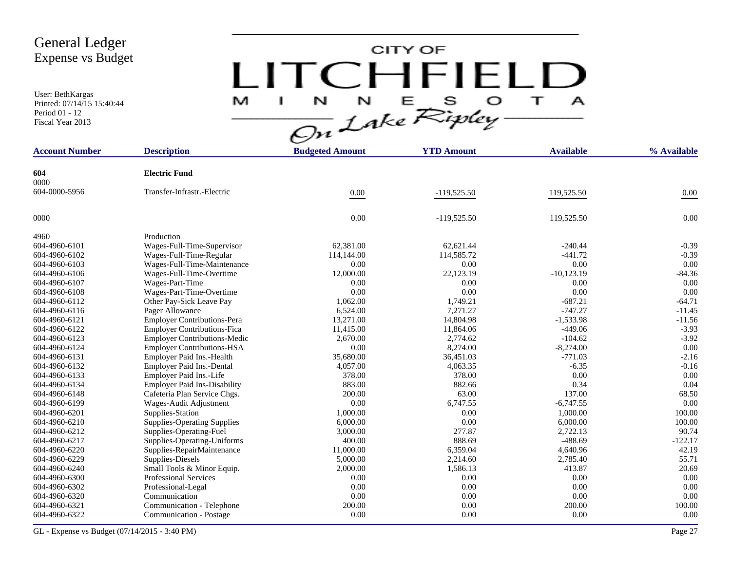User: BethKargas Printed: 07/14/15 15:40:44 Period 01 - 12 Fiscal Year 2013

# CITY OF LITCHFIELD  $M$  I N N E S O T A<br>On Lake Ripley

| <b>Account Number</b> | <b>Description</b>                  | <b>Budgeted Amount</b> | <b>YTD Amount</b> | <b>Available</b> | % Available |
|-----------------------|-------------------------------------|------------------------|-------------------|------------------|-------------|
|                       |                                     |                        |                   |                  |             |
| 604                   | <b>Electric Fund</b>                |                        |                   |                  |             |
| 0000                  |                                     |                        |                   |                  |             |
| 604-0000-5956         | Transfer-Infrastr.-Electric         | 0.00                   | $-119,525.50$     | 119,525.50       | $0.00\,$    |
| 0000                  |                                     | 0.00                   | $-119,525.50$     | 119,525.50       | 0.00        |
| 4960                  | Production                          |                        |                   |                  |             |
| 604-4960-6101         | Wages-Full-Time-Supervisor          | 62,381.00              | 62,621.44         | $-240.44$        | $-0.39$     |
| 604-4960-6102         | Wages-Full-Time-Regular             | 114,144.00             | 114,585.72        | $-441.72$        | $-0.39$     |
| 604-4960-6103         | Wages-Full-Time-Maintenance         | 0.00                   | 0.00              | 0.00             | 0.00        |
| 604-4960-6106         | Wages-Full-Time-Overtime            | 12,000.00              | 22,123.19         | $-10,123.19$     | $-84.36$    |
| 604-4960-6107         | Wages-Part-Time                     | 0.00                   | 0.00              | 0.00             | 0.00        |
| 604-4960-6108         | Wages-Part-Time-Overtime            | 0.00                   | 0.00              | 0.00             | 0.00        |
| 604-4960-6112         | Other Pay-Sick Leave Pay            | 1,062.00               | 1,749.21          | $-687.21$        | $-64.71$    |
| 604-4960-6116         | Pager Allowance                     | 6,524.00               | 7,271.27          | $-747.27$        | $-11.45$    |
| 604-4960-6121         | <b>Employer Contributions-Pera</b>  | 13,271.00              | 14,804.98         | $-1,533.98$      | $-11.56$    |
| 604-4960-6122         | <b>Employer Contributions-Fica</b>  | 11,415.00              | 11,864.06         | $-449.06$        | $-3.93$     |
| 604-4960-6123         | <b>Employer Contributions-Medic</b> | 2,670.00               | 2,774.62          | $-104.62$        | $-3.92$     |
| 604-4960-6124         | <b>Employer Contributions-HSA</b>   | 0.00                   | 8,274.00          | $-8,274.00$      | 0.00        |
| 604-4960-6131         | Employer Paid Ins.-Health           | 35,680.00              | 36,451.03         | $-771.03$        | $-2.16$     |
| 604-4960-6132         | Employer Paid Ins.-Dental           | 4,057.00               | 4,063.35          | $-6.35$          | $-0.16$     |
| 604-4960-6133         | Employer Paid Ins.-Life             | 378.00                 | 378.00            | 0.00             | 0.00        |
| 604-4960-6134         | <b>Employer Paid Ins-Disability</b> | 883.00                 | 882.66            | 0.34             | 0.04        |
| 604-4960-6148         | Cafeteria Plan Service Chgs.        | 200.00                 | 63.00             | 137.00           | 68.50       |
| 604-4960-6199         | Wages-Audit Adjustment              | 0.00                   | 6,747.55          | $-6,747.55$      | 0.00        |
| 604-4960-6201         | Supplies-Station                    | 1,000.00               | 0.00              | 1,000.00         | 100.00      |
| 604-4960-6210         | <b>Supplies-Operating Supplies</b>  | 6,000.00               | 0.00              | 6.000.00         | 100.00      |
| 604-4960-6212         | Supplies-Operating-Fuel             | 3,000.00               | 277.87            | 2,722.13         | 90.74       |
| 604-4960-6217         | Supplies-Operating-Uniforms         | 400.00                 | 888.69            | $-488.69$        | $-122.17$   |
| 604-4960-6220         | Supplies-RepairMaintenance          | 11,000.00              | 6,359.04          | 4,640.96         | 42.19       |
| 604-4960-6229         | Supplies-Diesels                    | 5,000.00               | 2,214.60          | 2,785.40         | 55.71       |
| 604-4960-6240         | Small Tools & Minor Equip.          | 2,000.00               | 1,586.13          | 413.87           | 20.69       |
| 604-4960-6300         | <b>Professional Services</b>        | 0.00                   | 0.00              | 0.00             | 0.00        |
| 604-4960-6302         | Professional-Legal                  | 0.00                   | 0.00              | 0.00             | 0.00        |
| 604-4960-6320         | Communication                       | 0.00                   | 0.00              | 0.00             | 0.00        |
| 604-4960-6321         | Communication - Telephone           | 200.00                 | 0.00              | 200.00           | 100.00      |
| 604-4960-6322         | <b>Communication - Postage</b>      | 0.00                   | 0.00              | 0.00             | 0.00        |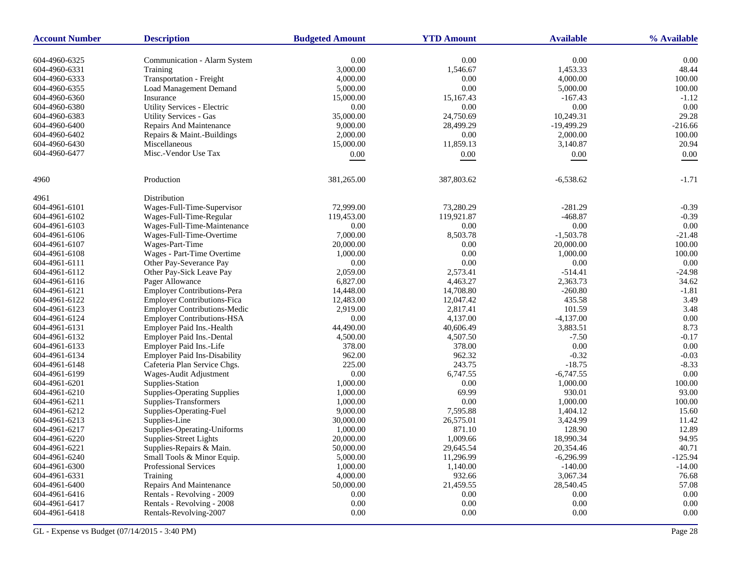| <b>Account Number</b> | <b>Description</b>                  | <b>Budgeted Amount</b> | <b>YTD Amount</b> | <b>Available</b> | % Available |
|-----------------------|-------------------------------------|------------------------|-------------------|------------------|-------------|
| 604-4960-6325         | Communication - Alarm System        | 0.00                   | 0.00              | 0.00             | 0.00        |
| 604-4960-6331         | Training                            | 3,000.00               | 1,546.67          | 1,453.33         | 48.44       |
| 604-4960-6333         | <b>Transportation - Freight</b>     | 4,000.00               | 0.00              | 4,000.00         | 100.00      |
| 604-4960-6355         | <b>Load Management Demand</b>       | 5,000.00               | 0.00              | 5,000.00         | 100.00      |
| 604-4960-6360         | Insurance                           | 15,000.00              | 15,167.43         | $-167.43$        | $-1.12$     |
| 604-4960-6380         | Utility Services - Electric         | 0.00                   | $0.00\,$          | 0.00             | 0.00        |
| 604-4960-6383         | <b>Utility Services - Gas</b>       | 35,000.00              | 24,750.69         | 10,249.31        | 29.28       |
| 604-4960-6400         | Repairs And Maintenance             | 9,000.00               | 28,499.29         | $-19,499.29$     | $-216.66$   |
| 604-4960-6402         | Repairs & Maint.-Buildings          | 2,000.00               | $0.00\,$          | 2,000.00         | 100.00      |
| 604-4960-6430         | Miscellaneous                       | 15,000.00              | 11,859.13         | 3,140.87         | 20.94       |
| 604-4960-6477         | Misc.-Vendor Use Tax                |                        |                   |                  |             |
|                       |                                     | 0.00                   | $0.00\,$          | $0.00\,$         | 0.00        |
| 4960                  | Production                          | 381,265.00             | 387,803.62        | $-6,538.62$      | $-1.71$     |
| 4961                  | Distribution                        |                        |                   |                  |             |
| 604-4961-6101         | Wages-Full-Time-Supervisor          | 72,999.00              | 73,280.29         | $-281.29$        | $-0.39$     |
| 604-4961-6102         | Wages-Full-Time-Regular             | 119,453.00             | 119,921.87        | $-468.87$        | $-0.39$     |
| 604-4961-6103         | Wages-Full-Time-Maintenance         | 0.00                   | 0.00              | 0.00             | 0.00        |
| 604-4961-6106         | Wages-Full-Time-Overtime            | 7,000.00               | 8,503.78          | $-1,503.78$      | $-21.48$    |
| 604-4961-6107         | Wages-Part-Time                     | 20,000.00              | 0.00              | 20,000.00        | 100.00      |
| 604-4961-6108         | Wages - Part-Time Overtime          | 1,000.00               | $0.00\,$          | 1,000.00         | 100.00      |
| 604-4961-6111         | Other Pay-Severance Pay             | 0.00                   | 0.00              | 0.00             | 0.00        |
| 604-4961-6112         | Other Pay-Sick Leave Pay            | 2,059.00               | 2,573.41          | $-514.41$        | $-24.98$    |
| 604-4961-6116         | Pager Allowance                     | 6,827.00               | 4,463.27          | 2,363.73         | 34.62       |
| 604-4961-6121         | <b>Employer Contributions-Pera</b>  | 14,448.00              | 14,708.80         | $-260.80$        | $-1.81$     |
| 604-4961-6122         | <b>Employer Contributions-Fica</b>  | 12,483.00              | 12,047.42         | 435.58           | 3.49        |
| 604-4961-6123         | <b>Employer Contributions-Medic</b> | 2,919.00               | 2,817.41          | 101.59           | 3.48        |
| 604-4961-6124         | <b>Employer Contributions-HSA</b>   | 0.00                   | 4,137.00          | $-4,137.00$      | 0.00        |
| 604-4961-6131         | Employer Paid Ins.-Health           | 44,490.00              | 40,606.49         | 3,883.51         | 8.73        |
| 604-4961-6132         | Employer Paid Ins.-Dental           | 4,500.00               | 4,507.50          | $-7.50$          | $-0.17$     |
| 604-4961-6133         | Employer Paid Ins.-Life             | 378.00                 | 378.00            | 0.00             | 0.00        |
| 604-4961-6134         | <b>Employer Paid Ins-Disability</b> | 962.00                 | 962.32            | $-0.32$          | $-0.03$     |
| 604-4961-6148         | Cafeteria Plan Service Chgs.        | 225.00                 | 243.75            | $-18.75$         | $-8.33$     |
| 604-4961-6199         | Wages-Audit Adjustment              | 0.00                   | 6,747.55          | $-6,747.55$      | 0.00        |
| 604-4961-6201         | Supplies-Station                    | 1,000.00               | 0.00              | 1,000.00         | 100.00      |
| 604-4961-6210         | <b>Supplies-Operating Supplies</b>  | 1,000.00               | 69.99             | 930.01           | 93.00       |
| 604-4961-6211         | Supplies-Transformers               | 1,000.00               | 0.00              | 1,000.00         | 100.00      |
| 604-4961-6212         | Supplies-Operating-Fuel             | 9,000.00               | 7,595.88          | 1,404.12         | 15.60       |
| 604-4961-6213         | Supplies-Line                       | 30,000.00              | 26,575.01         | 3,424.99         | 11.42       |
| 604-4961-6217         | Supplies-Operating-Uniforms         | 1,000.00               | 871.10            | 128.90           | 12.89       |
| 604-4961-6220         | Supplies-Street Lights              | 20,000.00              | 1,009.66          | 18,990.34        | 94.95       |
| 604-4961-6221         | Supplies-Repairs & Main.            | 50,000.00              | 29,645.54         | 20,354.46        | 40.71       |
| 604-4961-6240         | Small Tools & Minor Equip.          | 5,000.00               | 11,296.99         | $-6,296.99$      | $-125.94$   |
| 604-4961-6300         | Professional Services               | 1,000.00               | 1,140.00          | $-140.00$        | $-14.00$    |
| 604-4961-6331         | Training                            | 4,000.00               | 932.66            | 3,067.34         | 76.68       |
| 604-4961-6400         | Repairs And Maintenance             | 50,000.00              | 21,459.55         | 28,540.45        | 57.08       |
| 604-4961-6416         | Rentals - Revolving - 2009          | 0.00                   | 0.00              | 0.00             | $0.00\,$    |
| 604-4961-6417         | Rentals - Revolving - 2008          | 0.00                   | 0.00              | $0.00\,$         | 0.00        |
| 604-4961-6418         | Rentals-Revolving-2007              | 0.00                   | $0.00\,$          | 0.00             | $0.00\,$    |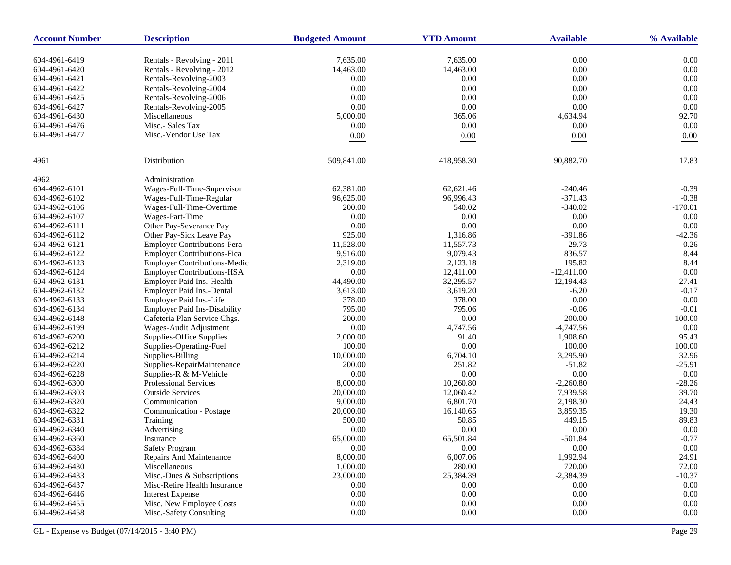| <b>Account Number</b>          | <b>Description</b>                  | <b>Budgeted Amount</b> | <b>YTD Amount</b> | <b>Available</b> | % Available   |
|--------------------------------|-------------------------------------|------------------------|-------------------|------------------|---------------|
| 604-4961-6419                  | Rentals - Revolving - 2011          | 7.635.00               | 7,635.00          | 0.00             | 0.00          |
| 604-4961-6420                  | Rentals - Revolving - 2012          | 14,463.00              | 14,463.00         | 0.00             | 0.00          |
| 604-4961-6421                  | Rentals-Revolving-2003              | 0.00                   | 0.00              | 0.00             | 0.00          |
| 604-4961-6422                  | Rentals-Revolving-2004              | 0.00                   | 0.00              | 0.00             | 0.00          |
| 604-4961-6425                  | Rentals-Revolving-2006              | 0.00                   | 0.00              | 0.00             | 0.00          |
| 604-4961-6427                  | Rentals-Revolving-2005              | 0.00                   | 0.00              | 0.00             | 0.00          |
|                                | Miscellaneous                       |                        |                   |                  |               |
| 604-4961-6430<br>604-4961-6476 | Misc.- Sales Tax                    | 5,000.00<br>0.00       | 365.06<br>0.00    | 4,634.94<br>0.00 | 92.70<br>0.00 |
| 604-4961-6477                  | Misc.-Vendor Use Tax                |                        |                   |                  |               |
|                                |                                     | $0.00\,$               | $0.00\,$          | $0.00\,$         | 0.00          |
| 4961                           | Distribution                        | 509,841.00             | 418,958.30        | 90,882.70        | 17.83         |
| 4962                           | Administration                      |                        |                   |                  |               |
| 604-4962-6101                  | Wages-Full-Time-Supervisor          | 62,381.00              | 62,621.46         | $-240.46$        | $-0.39$       |
| 604-4962-6102                  | Wages-Full-Time-Regular             | 96,625.00              | 96,996.43         | $-371.43$        | $-0.38$       |
| 604-4962-6106                  | Wages-Full-Time-Overtime            | 200.00                 | 540.02            | $-340.02$        | $-170.01$     |
| 604-4962-6107                  | Wages-Part-Time                     | 0.00                   | 0.00              | 0.00             | 0.00          |
| 604-4962-6111                  | Other Pay-Severance Pay             | 0.00                   | $0.00\,$          | 0.00             | 0.00          |
| 604-4962-6112                  | Other Pay-Sick Leave Pay            | 925.00                 | 1,316.86          | $-391.86$        | $-42.36$      |
| 604-4962-6121                  | Employer Contributions-Pera         | 11,528.00              | 11,557.73         | $-29.73$         | $-0.26$       |
| 604-4962-6122                  | <b>Employer Contributions-Fica</b>  | 9,916.00               | 9,079.43          | 836.57           | 8.44          |
| 604-4962-6123                  | <b>Employer Contributions-Medic</b> | 2,319.00               | 2,123.18          | 195.82           | 8.44          |
| 604-4962-6124                  | <b>Employer Contributions-HSA</b>   | 0.00                   | 12,411.00         | $-12,411.00$     | 0.00          |
| 604-4962-6131                  | Employer Paid Ins.-Health           | 44,490.00              | 32,295.57         | 12,194.43        | 27.41         |
| 604-4962-6132                  | Employer Paid Ins.-Dental           | 3,613.00               | 3,619.20          | $-6.20$          | $-0.17$       |
| 604-4962-6133                  | Employer Paid Ins.-Life             | 378.00                 | 378.00            | 0.00             | 0.00          |
| 604-4962-6134                  | <b>Employer Paid Ins-Disability</b> | 795.00                 | 795.06            | $-0.06$          | $-0.01$       |
| 604-4962-6148                  | Cafeteria Plan Service Chgs.        | 200.00                 | 0.00              | 200.00           | 100.00        |
| 604-4962-6199                  | Wages-Audit Adjustment              | 0.00                   | 4,747.56          | $-4,747.56$      | 0.00          |
| 604-4962-6200                  | Supplies-Office Supplies            | 2,000.00               | 91.40             | 1,908.60         | 95.43         |
| 604-4962-6212                  | Supplies-Operating-Fuel             | 100.00                 | $0.00\,$          | 100.00           | 100.00        |
| 604-4962-6214                  | Supplies-Billing                    | 10,000.00              | 6,704.10          | 3,295.90         | 32.96         |
| 604-4962-6220                  | Supplies-RepairMaintenance          | 200.00                 | 251.82            | $-51.82$         | $-25.91$      |
| 604-4962-6228                  | Supplies-R & M-Vehicle              | 0.00                   | $0.00\,$          | 0.00             | 0.00          |
| 604-4962-6300                  | <b>Professional Services</b>        | 8,000.00               | 10,260.80         | $-2,260.80$      | $-28.26$      |
| 604-4962-6303                  | <b>Outside Services</b>             | 20,000.00              | 12,060.42         | 7,939.58         | 39.70         |
| 604-4962-6320                  | Communication                       | 9,000.00               | 6,801.70          | 2,198.30         | 24.43         |
| 604-4962-6322                  | Communication - Postage             | 20,000.00              | 16,140.65         | 3,859.35         | 19.30         |
| 604-4962-6331                  | Training                            | 500.00                 | 50.85             | 449.15           | 89.83         |
| 604-4962-6340                  | Advertising                         | 0.00                   | $0.00\,$          | 0.00             | 0.00          |
| 604-4962-6360                  | Insurance                           | 65,000.00              | 65,501.84         | $-501.84$        | $-0.77$       |
| 604-4962-6384                  | <b>Safety Program</b>               | 0.00                   | 0.00              | 0.00             | 0.00          |
| 604-4962-6400                  | Repairs And Maintenance             | 8,000.00               | 6,007.06          | 1,992.94         | 24.91         |
| 604-4962-6430                  | Miscellaneous                       | 1,000.00               | 280.00            | 720.00           | 72.00         |
| 604-4962-6433                  | Misc.-Dues & Subscriptions          | 23,000.00              | 25,384.39         | $-2,384.39$      | $-10.37$      |
| 604-4962-6437                  | Misc-Retire Health Insurance        | 0.00                   | 0.00              | 0.00             | $0.00\,$      |
| 604-4962-6446                  | <b>Interest Expense</b>             | 0.00                   | $0.00\,$          | 0.00             | $0.00\,$      |
| 604-4962-6455                  | Misc. New Employee Costs            | 0.00                   | 0.00              | 0.00             | 0.00          |
| 604-4962-6458                  | Misc.-Safety Consulting             | 0.00                   | $0.00\,$          | 0.00             | 0.00          |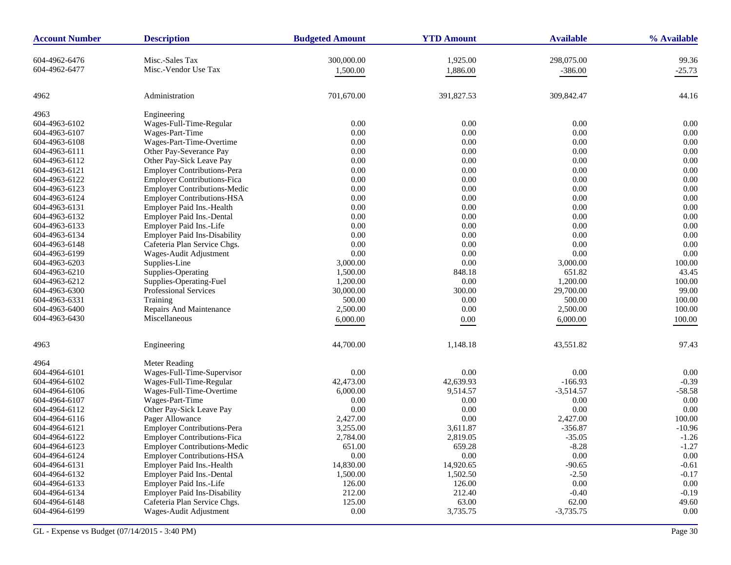| <b>Account Number</b> | <b>Description</b>                  | <b>Budgeted Amount</b> | <b>YTD Amount</b> | <b>Available</b>    | % Available |
|-----------------------|-------------------------------------|------------------------|-------------------|---------------------|-------------|
| 604-4962-6476         | Misc.-Sales Tax                     | 300,000.00             | 1,925.00          | 298,075.00          | 99.36       |
| 604-4962-6477         | Misc.-Vendor Use Tax                | 1,500.00               | 1,886.00          | $-386.00$           | $-25.73$    |
|                       |                                     |                        |                   |                     |             |
| 4962                  | Administration                      | 701,670.00             | 391,827.53        | 309,842.47          | 44.16       |
| 4963                  | Engineering                         |                        |                   |                     |             |
| 604-4963-6102         | Wages-Full-Time-Regular             | 0.00                   | 0.00              | 0.00                | 0.00        |
| 604-4963-6107         | Wages-Part-Time                     | 0.00                   | 0.00              | 0.00                | 0.00        |
| 604-4963-6108         | Wages-Part-Time-Overtime            | 0.00                   | 0.00              | 0.00                | 0.00        |
| 604-4963-6111         | Other Pay-Severance Pay             | 0.00                   | 0.00              | 0.00                | 0.00        |
| 604-4963-6112         | Other Pay-Sick Leave Pay            | 0.00                   | 0.00              | 0.00                | 0.00        |
| 604-4963-6121         | <b>Employer Contributions-Pera</b>  | 0.00                   | 0.00              | 0.00                | 0.00        |
| 604-4963-6122         | <b>Employer Contributions-Fica</b>  | 0.00                   | 0.00              | 0.00                | 0.00        |
| 604-4963-6123         | <b>Employer Contributions-Medic</b> | 0.00                   | 0.00              | 0.00                | 0.00        |
| 604-4963-6124         | <b>Employer Contributions-HSA</b>   | 0.00                   | 0.00              | 0.00                | 0.00        |
| 604-4963-6131         | Employer Paid Ins.-Health           | 0.00                   | 0.00              | 0.00                | 0.00        |
| 604-4963-6132         | Employer Paid Ins.-Dental           | 0.00                   | 0.00              | 0.00                | 0.00        |
| 604-4963-6133         | Employer Paid Ins.-Life             | 0.00                   | 0.00              | 0.00                | 0.00        |
| 604-4963-6134         | <b>Employer Paid Ins-Disability</b> | 0.00                   | 0.00              | 0.00                | 0.00        |
| 604-4963-6148         | Cafeteria Plan Service Chgs.        | 0.00                   | 0.00              | 0.00                | 0.00        |
|                       |                                     |                        | 0.00              | $0.00\,$            | 0.00        |
| 604-4963-6199         | Wages-Audit Adjustment              | 0.00                   |                   |                     |             |
| 604-4963-6203         | Supplies-Line                       | 3,000.00               | 0.00              | 3,000.00            | 100.00      |
| 604-4963-6210         | Supplies-Operating                  | 1,500.00               | 848.18            | 651.82              | 43.45       |
| 604-4963-6212         | Supplies-Operating-Fuel             | 1,200.00               | 0.00              | 1,200.00            | 100.00      |
| 604-4963-6300         | Professional Services               | 30,000.00              | 300.00            | 29,700.00           | 99.00       |
| 604-4963-6331         | Training                            | 500.00                 | 0.00              | 500.00              | 100.00      |
| 604-4963-6400         | Repairs And Maintenance             | 2,500.00               | 0.00              | 2,500.00            | 100.00      |
| 604-4963-6430         | Miscellaneous                       | 6,000.00               | 0.00              | 6,000.00            | 100.00      |
| 4963                  | Engineering                         | 44,700.00              | 1,148.18          | 43,551.82           | 97.43       |
| 4964                  | Meter Reading                       |                        |                   |                     |             |
| 604-4964-6101         | Wages-Full-Time-Supervisor          | 0.00                   | 0.00              | 0.00                | 0.00        |
| 604-4964-6102         | Wages-Full-Time-Regular             | 42,473.00              | 42,639.93         | $-166.93$           | $-0.39$     |
| 604-4964-6106         | Wages-Full-Time-Overtime            | 6,000.00               | 9,514.57          | $-3,514.57$         | $-58.58$    |
| 604-4964-6107         | Wages-Part-Time                     | 0.00                   | 0.00              | 0.00                | $0.00\,$    |
| 604-4964-6112         | Other Pay-Sick Leave Pay            | 0.00                   | 0.00              | 0.00                | 0.00        |
| 604-4964-6116         | Pager Allowance                     | 2,427.00               | $0.00\,$          | 2,427.00            | 100.00      |
| 604-4964-6121         | <b>Employer Contributions-Pera</b>  | 3,255.00               | 3,611.87          | $-356.87$           | $-10.96$    |
| 604-4964-6122         | <b>Employer Contributions-Fica</b>  | 2,784.00               | 2,819.05          | $-35.05$            | $-1.26$     |
| 604-4964-6123         | <b>Employer Contributions-Medic</b> | 651.00                 | 659.28            | $-8.28$             | $-1.27$     |
| 604-4964-6124         | <b>Employer Contributions-HSA</b>   | 0.00                   | 0.00              | $0.00\,$            | 0.00        |
| 604-4964-6131         | Employer Paid Ins.-Health           |                        | 14,920.65         |                     | $-0.61$     |
| 604-4964-6132         |                                     | 14,830.00              | 1,502.50          | $-90.65$<br>$-2.50$ | $-0.17$     |
|                       | Employer Paid Ins.-Dental           | 1,500.00               |                   |                     |             |
| 604-4964-6133         | Employer Paid Ins.-Life             | 126.00                 | 126.00            | $0.00\,$            | 0.00        |
| 604-4964-6134         | <b>Employer Paid Ins-Disability</b> | 212.00                 | 212.40            | $-0.40$             | $-0.19$     |
| 604-4964-6148         | Cafeteria Plan Service Chgs.        | 125.00                 | 63.00             | 62.00               | 49.60       |
| 604-4964-6199         | Wages-Audit Adjustment              | $0.00\,$               | 3,735.75          | $-3,735.75$         | $0.00\,$    |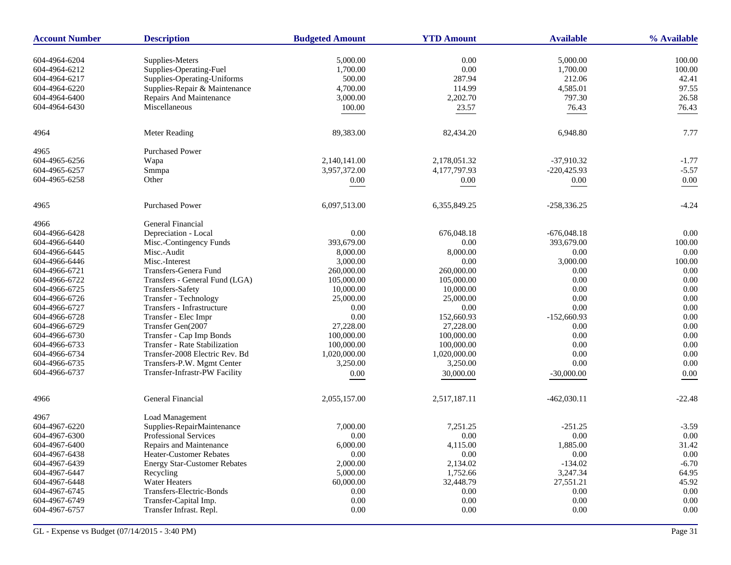| <b>Account Number</b> | <b>Description</b>                   | <b>Budgeted Amount</b> | <b>YTD Amount</b> | <b>Available</b> | % Available |
|-----------------------|--------------------------------------|------------------------|-------------------|------------------|-------------|
| 604-4964-6204         | Supplies-Meters                      | 5,000.00               | 0.00              | 5,000.00         | 100.00      |
| 604-4964-6212         | Supplies-Operating-Fuel              | 1,700.00               | 0.00              | 1,700.00         | 100.00      |
| 604-4964-6217         | Supplies-Operating-Uniforms          | 500.00                 | 287.94            | 212.06           | 42.41       |
| 604-4964-6220         | Supplies-Repair & Maintenance        | 4,700.00               | 114.99            | 4,585.01         | 97.55       |
| 604-4964-6400         | Repairs And Maintenance              | 3,000.00               | 2,202.70          | 797.30           | 26.58       |
| 604-4964-6430         | Miscellaneous                        | 100.00                 | 23.57             | 76.43            | 76.43       |
|                       |                                      |                        |                   |                  |             |
| 4964                  | Meter Reading                        | 89,383.00              | 82,434.20         | 6,948.80         | 7.77        |
| 4965                  | <b>Purchased Power</b>               |                        |                   |                  |             |
| 604-4965-6256         | Wapa                                 | 2,140,141.00           | 2,178,051.32      | $-37,910.32$     | $-1.77$     |
| 604-4965-6257         | Smmpa                                | 3,957,372.00           | 4,177,797.93      | $-220,425.93$    | $-5.57$     |
| 604-4965-6258         | Other                                | 0.00                   | 0.00              | 0.00             | $0.00\,$    |
| 4965                  | <b>Purchased Power</b>               | 6,097,513.00           | 6,355,849.25      | $-258,336.25$    | $-4.24$     |
| 4966                  | General Financial                    |                        |                   |                  |             |
| 604-4966-6428         | Depreciation - Local                 | 0.00                   | 676,048.18        | $-676,048.18$    | 0.00        |
| 604-4966-6440         | Misc.-Contingency Funds              | 393,679.00             | 0.00              | 393,679.00       | 100.00      |
| 604-4966-6445         | Misc.-Audit                          | 8,000.00               | 8,000.00          | 0.00             | 0.00        |
| 604-4966-6446         | Misc.-Interest                       | 3,000.00               | 0.00              | 3,000.00         | 100.00      |
| 604-4966-6721         | Transfers-Genera Fund                | 260,000.00             | 260,000.00        | 0.00             | 0.00        |
| 604-4966-6722         | Transfers - General Fund (LGA)       | 105,000.00             | 105,000.00        | 0.00             | 0.00        |
| 604-4966-6725         | Transfers-Safety                     | 10,000.00              | 10,000.00         | 0.00             | 0.00        |
| 604-4966-6726         | Transfer - Technology                | 25,000.00              | 25,000.00         | 0.00             | 0.00        |
| 604-4966-6727         | Transfers - Infrastructure           | 0.00                   | 0.00              | 0.00             | 0.00        |
| 604-4966-6728         | Transfer - Elec Impr                 | 0.00                   | 152,660.93        | $-152,660.93$    | 0.00        |
| 604-4966-6729         | Transfer Gen(2007                    | 27,228.00              | 27,228.00         | 0.00             | 0.00        |
| 604-4966-6730         | Transfer - Cap Imp Bonds             | 100,000.00             | 100,000.00        | 0.00             | 0.00        |
| 604-4966-6733         | <b>Transfer - Rate Stabilization</b> | 100,000.00             | 100,000.00        | 0.00             | 0.00        |
| 604-4966-6734         | Transfer-2008 Electric Rev. Bd       | 1,020,000.00           | 1,020,000.00      | 0.00             | 0.00        |
| 604-4966-6735         | Transfers-P.W. Mgmt Center           | 3,250.00               | 3,250.00          | 0.00             | 0.00        |
| 604-4966-6737         | Transfer-Infrastr-PW Facility        | 0.00                   | 30,000.00         | $-30,000.00$     | 0.00        |
| 4966                  | General Financial                    | 2,055,157.00           | 2,517,187.11      | $-462,030.11$    | $-22.48$    |
| 4967                  | Load Management                      |                        |                   |                  |             |
| 604-4967-6220         | Supplies-RepairMaintenance           | 7,000.00               | 7,251.25          | $-251.25$        | $-3.59$     |
| 604-4967-6300         | <b>Professional Services</b>         | 0.00                   | 0.00              | 0.00             | 0.00        |
| 604-4967-6400         | Repairs and Maintenance              | 6,000.00               | 4,115.00          | 1,885.00         | 31.42       |
| 604-4967-6438         | <b>Heater-Customer Rebates</b>       | 0.00                   | 0.00              | 0.00             | 0.00        |
| 604-4967-6439         | <b>Energy Star-Customer Rebates</b>  | 2,000.00               | 2,134.02          | $-134.02$        | $-6.70$     |
| 604-4967-6447         | Recycling                            | 5,000.00               | 1,752.66          | 3,247.34         | 64.95       |
| 604-4967-6448         | <b>Water Heaters</b>                 | 60,000.00              | 32,448.79         | 27,551.21        | 45.92       |
| 604-4967-6745         | Transfers-Electric-Bonds             | 0.00                   | 0.00              | 0.00             | 0.00        |
| 604-4967-6749         | Transfer-Capital Imp.                | 0.00                   | 0.00              | 0.00             | 0.00        |
| 604-4967-6757         | Transfer Infrast. Repl.              | 0.00                   | 0.00              | 0.00             | $0.00\,$    |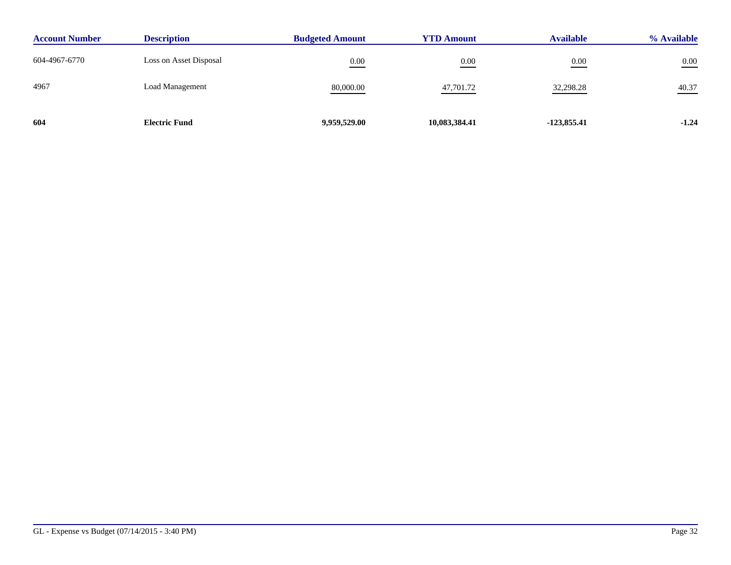| <b>Account Number</b> | <b>Description</b>     | <b>Budgeted Amount</b> | <b>YTD Amount</b> | <b>Available</b> | % Available |
|-----------------------|------------------------|------------------------|-------------------|------------------|-------------|
| 604-4967-6770         | Loss on Asset Disposal | 0.00                   | 0.00              | 0.00             | $0.00\,$    |
| 4967                  | <b>Load Management</b> | 80,000.00              | 47,701.72         | 32,298.28        | 40.37       |
| 604                   | <b>Electric Fund</b>   | 9,959,529.00           | 10,083,384.41     | $-123,855.41$    | $-1.24$     |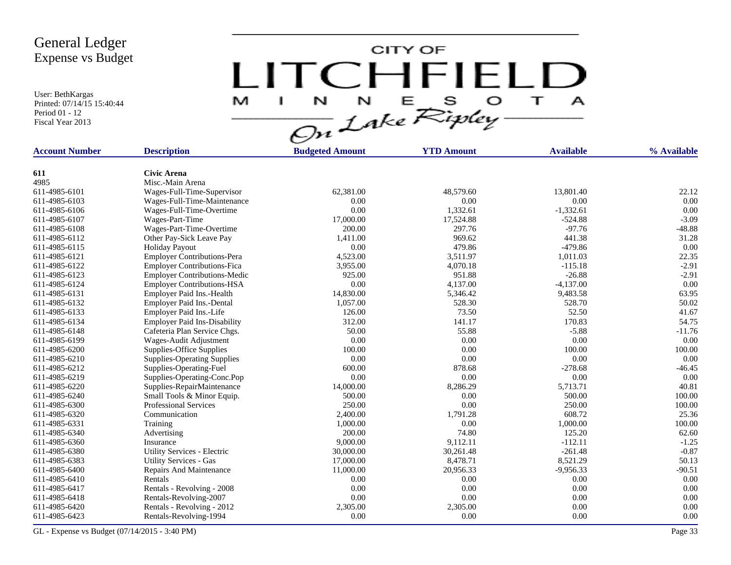User: BethKargas Printed: 07/14/15 15:40:44 Period 01 - 12 Fiscal Year 2013

CITY OF LITCHFIELD M<sub>1</sub>  $\mathbf{I}$  and  $\mathbf{I}$ 

| <b>Account Number</b> | <b>Description</b>                  | <b>Budgeted Amount</b> | <b>YTD Amount</b> | <b>Available</b> | % Available |
|-----------------------|-------------------------------------|------------------------|-------------------|------------------|-------------|
|                       |                                     |                        |                   |                  |             |
| 611                   | <b>Civic Arena</b>                  |                        |                   |                  |             |
| 4985                  | Misc.-Main Arena                    |                        |                   |                  |             |
| 611-4985-6101         | Wages-Full-Time-Supervisor          | 62,381.00              | 48,579.60         | 13,801.40        | 22.12       |
| 611-4985-6103         | Wages-Full-Time-Maintenance         | 0.00                   | 0.00              | 0.00             | 0.00        |
| 611-4985-6106         | Wages-Full-Time-Overtime            | 0.00                   | 1,332.61          | $-1,332.61$      | 0.00        |
| 611-4985-6107         | Wages-Part-Time                     | 17,000.00              | 17,524.88         | $-524.88$        | $-3.09$     |
| 611-4985-6108         | Wages-Part-Time-Overtime            | 200.00                 | 297.76            | $-97.76$         | $-48.88$    |
| 611-4985-6112         | Other Pay-Sick Leave Pay            | 1,411.00               | 969.62            | 441.38           | 31.28       |
| 611-4985-6115         | <b>Holiday Payout</b>               | 0.00                   | 479.86            | $-479.86$        | 0.00        |
| 611-4985-6121         | <b>Employer Contributions-Pera</b>  | 4,523.00               | 3,511.97          | 1,011.03         | 22.35       |
| 611-4985-6122         | <b>Employer Contributions-Fica</b>  | 3,955.00               | 4,070.18          | $-115.18$        | $-2.91$     |
| 611-4985-6123         | <b>Employer Contributions-Medic</b> | 925.00                 | 951.88            | $-26.88$         | $-2.91$     |
| 611-4985-6124         | <b>Employer Contributions-HSA</b>   | 0.00                   | 4,137.00          | $-4,137.00$      | 0.00        |
| 611-4985-6131         | Employer Paid Ins.-Health           | 14,830.00              | 5,346.42          | 9,483.58         | 63.95       |
| 611-4985-6132         | Employer Paid Ins.-Dental           | 1,057.00               | 528.30            | 528.70           | 50.02       |
| 611-4985-6133         | Employer Paid Ins.-Life             | 126.00                 | 73.50             | 52.50            | 41.67       |
| 611-4985-6134         | <b>Employer Paid Ins-Disability</b> | 312.00                 | 141.17            | 170.83           | 54.75       |
| 611-4985-6148         | Cafeteria Plan Service Chgs.        | 50.00                  | 55.88             | $-5.88$          | $-11.76$    |
| 611-4985-6199         | Wages-Audit Adjustment              | 0.00                   | 0.00              | 0.00             | 0.00        |
| 611-4985-6200         | Supplies-Office Supplies            | 100.00                 | 0.00              | 100.00           | 100.00      |
| 611-4985-6210         | <b>Supplies-Operating Supplies</b>  | 0.00                   | 0.00              | 0.00             | 0.00        |
| 611-4985-6212         | Supplies-Operating-Fuel             | 600.00                 | 878.68            | $-278.68$        | $-46.45$    |
| 611-4985-6219         | Supplies-Operating-Conc.Pop         | 0.00                   | 0.00              | 0.00             | 0.00        |
| 611-4985-6220         | Supplies-RepairMaintenance          | 14,000.00              | 8,286.29          | 5,713.71         | 40.81       |
| 611-4985-6240         | Small Tools & Minor Equip.          | 500.00                 | 0.00              | 500.00           | 100.00      |
| 611-4985-6300         | <b>Professional Services</b>        | 250.00                 | 0.00              | 250.00           | 100.00      |
| 611-4985-6320         | Communication                       | 2,400.00               | 1,791.28          | 608.72           | 25.36       |
| 611-4985-6331         | Training                            | 1,000.00               | 0.00              | 1,000.00         | 100.00      |
| 611-4985-6340         | Advertising                         | 200.00                 | 74.80             | 125.20           | 62.60       |
| 611-4985-6360         | Insurance                           | 9,000.00               | 9,112.11          | $-112.11$        | $-1.25$     |
| 611-4985-6380         | Utility Services - Electric         | 30,000.00              | 30,261.48         | $-261.48$        | $-0.87$     |
| 611-4985-6383         | <b>Utility Services - Gas</b>       | 17,000.00              | 8,478.71          | 8,521.29         | 50.13       |
| 611-4985-6400         | Repairs And Maintenance             | 11,000.00              | 20,956.33         | $-9,956.33$      | $-90.51$    |
| 611-4985-6410         | Rentals                             | 0.00                   | 0.00              | 0.00             | 0.00        |
| 611-4985-6417         | Rentals - Revolving - 2008          | 0.00                   | 0.00              | 0.00             | 0.00        |
| 611-4985-6418         | Rentals-Revolving-2007              | 0.00                   | 0.00              | 0.00             | 0.00        |
| 611-4985-6420         | Rentals - Revolving - 2012          | 2,305.00               | 2,305.00          | 0.00             | 0.00        |
| 611-4985-6423         | Rentals-Revolving-1994              | 0.00                   | 0.00              | 0.00             | 0.00        |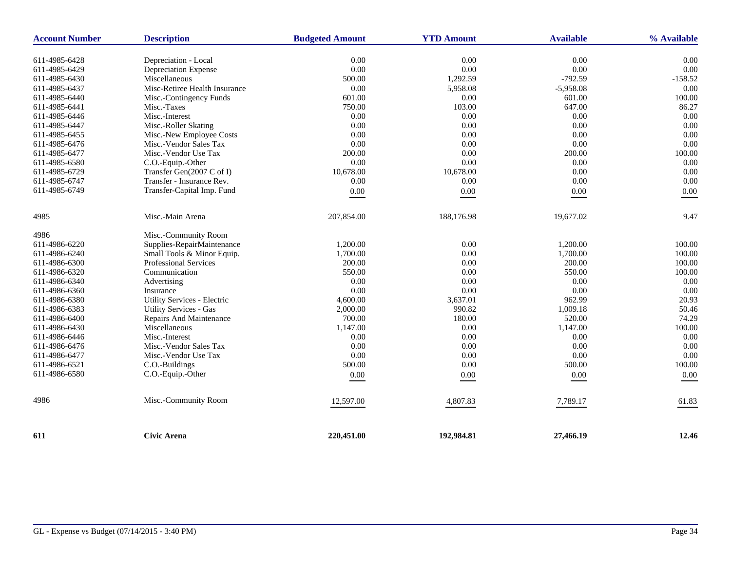| <b>Account Number</b> | <b>Description</b>            | <b>Budgeted Amount</b> | <b>YTD Amount</b> | <b>Available</b> | % Available |
|-----------------------|-------------------------------|------------------------|-------------------|------------------|-------------|
|                       |                               |                        |                   |                  |             |
| 611-4985-6428         | Depreciation - Local          | 0.00                   | 0.00              | 0.00             | 0.00        |
| 611-4985-6429         | Depreciation Expense          | 0.00                   | 0.00              | 0.00             | 0.00        |
| 611-4985-6430         | Miscellaneous                 | 500.00                 | 1,292.59          | $-792.59$        | $-158.52$   |
| 611-4985-6437         | Misc-Retiree Health Insurance | 0.00                   | 5,958.08          | $-5,958.08$      | 0.00        |
| 611-4985-6440         | Misc.-Contingency Funds       | 601.00                 | 0.00              | 601.00           | 100.00      |
| 611-4985-6441         | Misc.-Taxes                   | 750.00                 | 103.00            | 647.00           | 86.27       |
| 611-4985-6446         | Misc.-Interest                | 0.00                   | 0.00              | 0.00             | 0.00        |
| 611-4985-6447         | Misc.-Roller Skating          | 0.00                   | $0.00\,$          | 0.00             | 0.00        |
| 611-4985-6455         | Misc.-New Employee Costs      | 0.00                   | 0.00              | 0.00             | 0.00        |
| 611-4985-6476         | Misc.-Vendor Sales Tax        | 0.00                   | 0.00              | 0.00             | 0.00        |
| 611-4985-6477         | Misc.-Vendor Use Tax          | 200.00                 | $0.00\,$          | 200.00           | 100.00      |
| 611-4985-6580         | C.O.-Equip.-Other             | 0.00                   | 0.00              | 0.00             | 0.00        |
| 611-4985-6729         | Transfer Gen(2007 C of I)     | 10,678.00              | 10,678.00         | 0.00             | 0.00        |
| 611-4985-6747         | Transfer - Insurance Rev.     | 0.00                   | 0.00              | 0.00             | 0.00        |
| 611-4985-6749         | Transfer-Capital Imp. Fund    | $0.00\,$               | 0.00              | $0.00\,$         | $0.00\,$    |
| 4985                  | Misc.-Main Arena              | 207,854.00             | 188,176.98        | 19,677.02        | 9.47        |
| 4986                  | Misc.-Community Room          |                        |                   |                  |             |
| 611-4986-6220         | Supplies-RepairMaintenance    | 1,200.00               | $0.00\,$          | 1,200.00         | 100.00      |
| 611-4986-6240         | Small Tools & Minor Equip.    | 1,700.00               | 0.00              | 1.700.00         | 100.00      |
| 611-4986-6300         | <b>Professional Services</b>  | 200.00                 | 0.00              | 200.00           | 100.00      |
| 611-4986-6320         | Communication                 | 550.00                 | 0.00              | 550.00           | 100.00      |
| 611-4986-6340         | Advertising                   | 0.00                   | 0.00              | 0.00             | 0.00        |
| 611-4986-6360         | Insurance                     | 0.00                   | 0.00              | 0.00             | 0.00        |
| 611-4986-6380         | Utility Services - Electric   | 4,600.00               | 3,637.01          | 962.99           | 20.93       |
| 611-4986-6383         | <b>Utility Services - Gas</b> | 2,000.00               | 990.82            | 1,009.18         | 50.46       |
| 611-4986-6400         | Repairs And Maintenance       | 700.00                 | 180.00            | 520.00           | 74.29       |
| 611-4986-6430         | Miscellaneous                 | 1,147.00               | 0.00              | 1,147.00         | 100.00      |
| 611-4986-6446         | Misc.-Interest                | 0.00                   | 0.00              | 0.00             | 0.00        |
| 611-4986-6476         | Misc.-Vendor Sales Tax        | 0.00                   | 0.00              | 0.00             | 0.00        |
| 611-4986-6477         | Misc.-Vendor Use Tax          | 0.00                   | 0.00              | 0.00             | 0.00        |
| 611-4986-6521         | C.O.-Buildings                | 500.00                 | 0.00              | 500.00           | 100.00      |
| 611-4986-6580         | C.O.-Equip.-Other             | $0.00\,$               | 0.00              | $0.00\,$         | $0.00\,$    |
| 4986                  | Misc.-Community Room          | 12,597.00              | 4,807.83          | 7,789.17         | 61.83       |
| 611                   | <b>Civic Arena</b>            | 220,451.00             | 192,984.81        | 27,466.19        | 12.46       |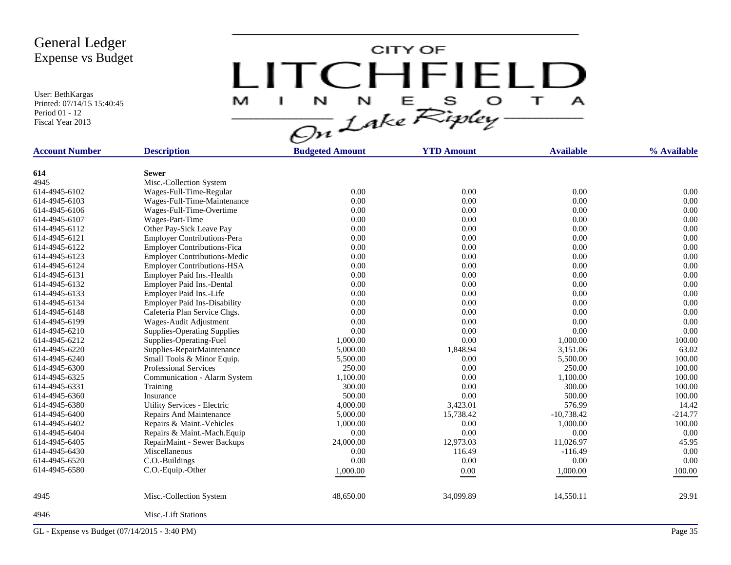User: BethKargas Printed: 07/14/15 15:40:45 Period 01 - 12 Fiscal Year 2013

CITY OF LITCHFIELD M  $\mathbf{A}$ a.

| <b>Account Number</b> | <b>Description</b>                                             | <b>Budgeted Amount</b> | <b>YTD Amount</b> | <b>Available</b> | % Available  |
|-----------------------|----------------------------------------------------------------|------------------------|-------------------|------------------|--------------|
|                       | <b>Sewer</b>                                                   |                        |                   |                  |              |
| 614<br>4945           |                                                                |                        |                   |                  |              |
| 614-4945-6102         | Misc.-Collection System                                        | 0.00                   | 0.00              | 0.00             | 0.00         |
| 614-4945-6103         | Wages-Full-Time-Regular                                        | 0.00                   | 0.00              | 0.00             | 0.00         |
| 614-4945-6106         | Wages-Full-Time-Maintenance<br>Wages-Full-Time-Overtime        | 0.00                   | 0.00              | 0.00             | 0.00         |
| 614-4945-6107         |                                                                | 0.00                   | 0.00              | 0.00             | 0.00         |
| 614-4945-6112         | Wages-Part-Time                                                | 0.00                   | 0.00              | 0.00             | 0.00         |
| 614-4945-6121         | Other Pay-Sick Leave Pay<br><b>Employer Contributions-Pera</b> | 0.00                   | 0.00              | 0.00             | 0.00         |
| 614-4945-6122         |                                                                | 0.00                   | 0.00              | 0.00             | 0.00         |
| 614-4945-6123         | <b>Employer Contributions-Fica</b>                             | 0.00                   | 0.00              | 0.00             | 0.00         |
|                       | <b>Employer Contributions-Medic</b>                            |                        |                   |                  |              |
| 614-4945-6124         | <b>Employer Contributions-HSA</b>                              | 0.00<br>0.00           | 0.00              | 0.00             | 0.00<br>0.00 |
| 614-4945-6131         | Employer Paid Ins.-Health                                      |                        | 0.00              | 0.00             |              |
| 614-4945-6132         | Employer Paid Ins.-Dental                                      | 0.00                   | 0.00              | 0.00             | 0.00         |
| 614-4945-6133         | Employer Paid Ins.-Life                                        | 0.00                   | 0.00              | 0.00             | 0.00         |
| 614-4945-6134         | <b>Employer Paid Ins-Disability</b>                            | 0.00                   | 0.00              | 0.00             | 0.00         |
| 614-4945-6148         | Cafeteria Plan Service Chgs.                                   | 0.00                   | 0.00              | 0.00             | 0.00         |
| 614-4945-6199         | Wages-Audit Adjustment                                         | 0.00                   | 0.00              | 0.00             | 0.00         |
| 614-4945-6210         | <b>Supplies-Operating Supplies</b>                             | 0.00                   | 0.00              | 0.00             | 0.00         |
| 614-4945-6212         | Supplies-Operating-Fuel                                        | 1,000.00               | 0.00              | 1,000.00         | 100.00       |
| 614-4945-6220         | Supplies-RepairMaintenance                                     | 5,000.00               | 1,848.94          | 3,151.06         | 63.02        |
| 614-4945-6240         | Small Tools & Minor Equip.                                     | 5,500.00               | 0.00              | 5,500.00         | 100.00       |
| 614-4945-6300         | <b>Professional Services</b>                                   | 250.00                 | 0.00              | 250.00           | 100.00       |
| 614-4945-6325         | Communication - Alarm System                                   | 1,100.00               | 0.00              | 1,100.00         | 100.00       |
| 614-4945-6331         | Training                                                       | 300.00                 | 0.00              | 300.00           | 100.00       |
| 614-4945-6360         | Insurance                                                      | 500.00                 | 0.00              | 500.00           | 100.00       |
| 614-4945-6380         | Utility Services - Electric                                    | 4,000.00               | 3,423.01          | 576.99           | 14.42        |
| 614-4945-6400         | Repairs And Maintenance                                        | 5,000.00               | 15,738.42         | $-10,738.42$     | $-214.77$    |
| 614-4945-6402         | Repairs & Maint.-Vehicles                                      | 1,000.00               | 0.00              | 1,000.00         | 100.00       |
| 614-4945-6404         | Repairs & Maint.-Mach.Equip                                    | 0.00                   | 0.00              | 0.00             | 0.00         |
| 614-4945-6405         | RepairMaint - Sewer Backups                                    | 24,000.00              | 12,973.03         | 11,026.97        | 45.95        |
| 614-4945-6430         | Miscellaneous                                                  | 0.00                   | 116.49            | $-116.49$        | 0.00         |
| 614-4945-6520         | C.O.-Buildings                                                 | 0.00                   | 0.00              | 0.00             | 0.00         |
| 614-4945-6580         | C.O.-Equip.-Other                                              | 1,000.00               | 0.00              | 1,000.00         | 100.00       |
| 4945                  | Misc.-Collection System                                        | 48,650.00              | 34,099.89         | 14,550.11        | 29.91        |
| 4946                  | Misc.-Lift Stations                                            |                        |                   |                  |              |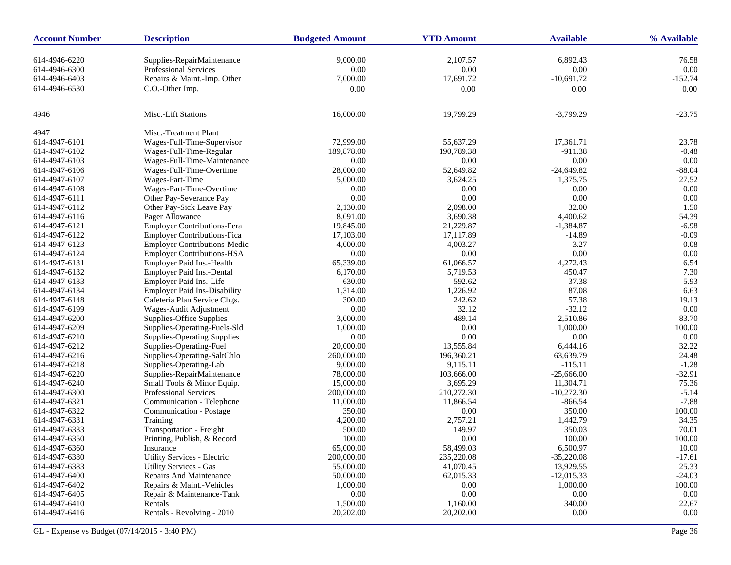| <b>Account Number</b> | <b>Description</b>                       | <b>Budgeted Amount</b> | <b>YTD Amount</b> | <b>Available</b> | % Available |
|-----------------------|------------------------------------------|------------------------|-------------------|------------------|-------------|
| 614-4946-6220         | Supplies-RepairMaintenance               | 9,000.00               | 2,107.57          | 6,892.43         | 76.58       |
| 614-4946-6300         | Professional Services                    | 0.00                   | $0.00\,$          | 0.00             | 0.00        |
| 614-4946-6403         | Repairs & Maint.-Imp. Other              | 7,000.00               | 17,691.72         | $-10,691.72$     | $-152.74$   |
| 614-4946-6530         | C.O.-Other Imp.                          |                        | 0.00              |                  | 0.00        |
|                       |                                          | 0.00                   |                   | 0.00             |             |
| 4946                  | Misc.-Lift Stations                      | 16,000.00              | 19,799.29         | $-3,799.29$      | $-23.75$    |
| 4947                  | Misc.-Treatment Plant                    |                        |                   |                  |             |
| 614-4947-6101         | Wages-Full-Time-Supervisor               | 72,999.00              | 55,637.29         | 17,361.71        | 23.78       |
| 614-4947-6102         | Wages-Full-Time-Regular                  | 189,878.00             | 190,789.38        | $-911.38$        | $-0.48$     |
| 614-4947-6103         | Wages-Full-Time-Maintenance              | 0.00                   | 0.00              | 0.00             | 0.00        |
| 614-4947-6106         | Wages-Full-Time-Overtime                 | 28,000.00              | 52,649.82         | $-24,649.82$     | $-88.04$    |
| 614-4947-6107         | Wages-Part-Time                          | 5,000.00               | 3,624.25          | 1,375.75         | 27.52       |
| 614-4947-6108         | Wages-Part-Time-Overtime                 | 0.00                   | 0.00              | 0.00             | 0.00        |
| 614-4947-6111         | Other Pay-Severance Pay                  | 0.00                   | $0.00\,$          | $0.00\,$         | 0.00        |
| 614-4947-6112         | Other Pay-Sick Leave Pay                 | 2,130.00               | 2,098.00          | 32.00            | 1.50        |
| 614-4947-6116         | Pager Allowance                          | 8,091.00               | 3,690.38          | 4,400.62         | 54.39       |
| 614-4947-6121         | <b>Employer Contributions-Pera</b>       | 19,845.00              | 21,229.87         | $-1,384.87$      | $-6.98$     |
| 614-4947-6122         | <b>Employer Contributions-Fica</b>       | 17,103.00              | 17,117.89         | $-14.89$         | $-0.09$     |
| 614-4947-6123         | <b>Employer Contributions-Medic</b>      | 4,000.00               | 4.003.27          | $-3.27$          | $-0.08$     |
| 614-4947-6124         | <b>Employer Contributions-HSA</b>        | 0.00                   | 0.00              | 0.00             | 0.00        |
| 614-4947-6131         | Employer Paid Ins.-Health                | 65,339.00              | 61,066.57         | 4,272.43         | 6.54        |
| 614-4947-6132         | Employer Paid Ins.-Dental                | 6,170.00               | 5,719.53          | 450.47           | 7.30        |
| 614-4947-6133         | Employer Paid Ins.-Life                  | 630.00                 | 592.62            | 37.38            | 5.93        |
| 614-4947-6134         | <b>Employer Paid Ins-Disability</b>      | 1,314.00               | 1,226.92          | 87.08            | 6.63        |
| 614-4947-6148         | Cafeteria Plan Service Chgs.             | 300.00                 | 242.62            | 57.38            | 19.13       |
| 614-4947-6199         | Wages-Audit Adjustment                   | 0.00                   | 32.12             | $-32.12$         | 0.00        |
| 614-4947-6200         | Supplies-Office Supplies                 | 3,000.00               | 489.14            | 2,510.86         | 83.70       |
| 614-4947-6209         | Supplies-Operating-Fuels-Sld             | 1,000.00               | 0.00              | 1,000.00         | 100.00      |
| 614-4947-6210         | <b>Supplies-Operating Supplies</b>       | 0.00                   | 0.00              | 0.00             | 0.00        |
| 614-4947-6212         | Supplies-Operating-Fuel                  | 20,000.00              | 13,555.84         | 6,444.16         | 32.22       |
| 614-4947-6216         | Supplies-Operating-SaltChlo              | 260,000.00             | 196,360.21        | 63,639.79        | 24.48       |
| 614-4947-6218         | Supplies-Operating-Lab                   | 9,000.00               | 9,115.11          | $-115.11$        | $-1.28$     |
| 614-4947-6220         | Supplies-RepairMaintenance               | 78,000.00              | 103,666.00        | $-25,666.00$     | $-32.91$    |
| 614-4947-6240         | Small Tools & Minor Equip.               | 15,000.00              | 3,695.29          | 11,304.71        | 75.36       |
| 614-4947-6300         | <b>Professional Services</b>             | 200,000.00             | 210,272.30        | $-10,272.30$     | $-5.14$     |
| 614-4947-6321         | Communication - Telephone                | 11,000.00              | 11,866.54         | $-866.54$        | $-7.88$     |
| 614-4947-6322         | Communication - Postage                  | 350.00                 | 0.00              | 350.00           | 100.00      |
| 614-4947-6331         | Training                                 | 4,200.00               | 2,757.21          | 1,442.79         | 34.35       |
| 614-4947-6333         | Transportation - Freight                 | 500.00                 | 149.97            | 350.03           | 70.01       |
| 614-4947-6350         |                                          | 100.00                 | 0.00              | 100.00           | 100.00      |
|                       | Printing, Publish, & Record<br>Insurance |                        |                   |                  |             |
| 614-4947-6360         | Utility Services - Electric              | 65,000.00              | 58,499.03         | 6,500.97         | 10.00       |
| 614-4947-6380         |                                          | 200,000.00             | 235,220.08        | $-35,220.08$     | $-17.61$    |
| 614-4947-6383         | <b>Utility Services - Gas</b>            | 55,000.00              | 41,070.45         | 13,929.55        | 25.33       |
| 614-4947-6400         | Repairs And Maintenance                  | 50,000.00              | 62,015.33         | $-12,015.33$     | $-24.03$    |
| 614-4947-6402         | Repairs & Maint.-Vehicles                | 1,000.00               | $0.00\,$          | 1,000.00         | 100.00      |
| 614-4947-6405         | Repair & Maintenance-Tank                | 0.00                   | 0.00              | $0.00\,$         | $0.00\,$    |
| 614-4947-6410         | Rentals                                  | 1,500.00               | 1,160.00          | 340.00           | 22.67       |
| 614-4947-6416         | Rentals - Revolving - 2010               | 20,202.00              | 20,202.00         | 0.00             | 0.00        |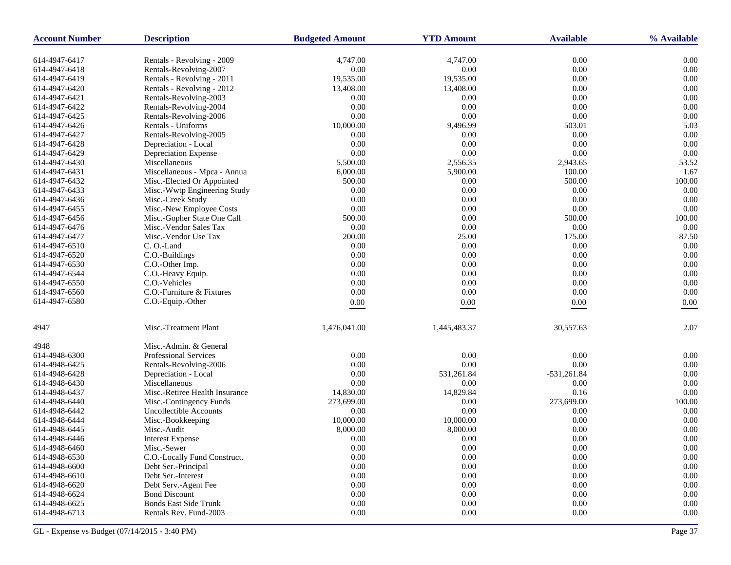| <b>Account Number</b> | <b>Description</b>             | <b>Budgeted Amount</b> | <b>YTD Amount</b> | <b>Available</b> | % Available    |
|-----------------------|--------------------------------|------------------------|-------------------|------------------|----------------|
| 614-4947-6417         | Rentals - Revolving - 2009     | 4,747.00               | 4,747.00          | 0.00             | 0.00           |
| 614-4947-6418         | Rentals-Revolving-2007         | 0.00                   | 0.00              | $0.00\,$         | 0.00           |
| 614-4947-6419         | Rentals - Revolving - 2011     | 19,535.00              | 19,535.00         | 0.00             | 0.00           |
| 614-4947-6420         | Rentals - Revolving - 2012     | 13,408.00              | 13,408.00         | 0.00             | 0.00           |
| 614-4947-6421         | Rentals-Revolving-2003         | 0.00                   | 0.00              | 0.00             | 0.00           |
| 614-4947-6422         | Rentals-Revolving-2004         | 0.00                   | $0.00\,$          | 0.00             | 0.00           |
| 614-4947-6425         | Rentals-Revolving-2006         | 0.00                   | 0.00              | 0.00             | 0.00           |
| 614-4947-6426         | Rentals - Uniforms             | 10,000.00              | 9,496.99          | 503.01           | 5.03           |
| 614-4947-6427         | Rentals-Revolving-2005         | 0.00                   | 0.00              | 0.00             | 0.00           |
| 614-4947-6428         | Depreciation - Local           | 0.00                   | 0.00              | $0.00\,$         | 0.00           |
| 614-4947-6429         | Depreciation Expense           | 0.00                   | $0.00\,$          | 0.00             | 0.00           |
| 614-4947-6430         | Miscellaneous                  | 5,500.00               | 2,556.35          | 2,943.65         | 53.52          |
| 614-4947-6431         | Miscellaneous - Mpca - Annua   | 6,000.00               | 5,900.00          | 100.00           | 1.67           |
| 614-4947-6432         | Misc.-Elected Or Appointed     | 500.00                 | 0.00              | 500.00           | 100.00         |
| 614-4947-6433         | Misc.-Wwtp Engineering Study   | 0.00                   | $0.00\,$          | 0.00             | 0.00           |
| 614-4947-6436         | Misc.-Creek Study              | 0.00                   | 0.00              | 0.00             | 0.00           |
| 614-4947-6455         | Misc.-New Employee Costs       | 0.00                   | 0.00              | 0.00             | 0.00           |
| 614-4947-6456         | Misc.-Gopher State One Call    | 500.00                 | 0.00              | 500.00           | 100.00         |
| 614-4947-6476         | Misc.-Vendor Sales Tax         | 0.00                   | 0.00              | $0.00\,$         | 0.00           |
| 614-4947-6477         | Misc.-Vendor Use Tax           | 200.00                 | 25.00             | 175.00           | 87.50          |
| 614-4947-6510         | C. O.-Land                     | 0.00                   | 0.00              | 0.00             | 0.00           |
| 614-4947-6520         | C.O.-Buildings                 | 0.00                   | 0.00              | 0.00             | 0.00           |
| 614-4947-6530         | C.O.-Other Imp.                | 0.00                   | 0.00              | 0.00             | 0.00           |
| 614-4947-6544         | C.O.-Heavy Equip.              | 0.00                   | 0.00              | 0.00             | 0.00           |
| 614-4947-6550         | C.O.-Vehicles                  | 0.00                   | 0.00              | 0.00             | 0.00           |
| 614-4947-6560         | C.O.-Furniture & Fixtures      | 0.00                   | $0.00\,$          | 0.00             | 0.00           |
| 614-4947-6580         | C.O.-Equip.-Other              | $0.00\,$               | $0.00\,$          | $0.00\,$         | 0.00           |
|                       |                                |                        |                   |                  |                |
| 4947                  | Misc.-Treatment Plant          | 1,476,041.00           | 1,445,483.37      | 30,557.63        | 2.07           |
| 4948                  | Misc.-Admin. & General         |                        |                   |                  |                |
| 614-4948-6300         | <b>Professional Services</b>   | 0.00                   | 0.00              | 0.00             | 0.00           |
| 614-4948-6425         | Rentals-Revolving-2006         | 0.00                   | $0.00\,$          | 0.00             | 0.00           |
| 614-4948-6428         | Depreciation - Local           | 0.00                   | 531,261.84        | $-531,261.84$    | 0.00           |
| 614-4948-6430         | Miscellaneous                  | 0.00                   | 0.00              | 0.00             | 0.00           |
| 614-4948-6437         | Misc.-Retiree Health Insurance | 14,830.00              | 14,829.84         | 0.16             | 0.00           |
| 614-4948-6440         | Misc.-Contingency Funds        | 273,699.00             | 0.00              | 273,699.00       | 100.00         |
| 614-4948-6442         | <b>Uncollectible Accounts</b>  | 0.00                   | 0.00              | 0.00             | 0.00           |
| 614-4948-6444         | Misc.-Bookkeeping              | 10,000.00              | 10,000.00         | 0.00             | 0.00           |
| 614-4948-6445         | Misc.-Audit                    | 8,000.00               | 8,000.00          | 0.00             | 0.00           |
| 614-4948-6446         | <b>Interest Expense</b>        | 0.00                   | 0.00              | 0.00             | 0.00           |
| 614-4948-6460         | Misc.-Sewer                    | 0.00                   | $0.00^{\circ}$    | 0.00             | $0.00^{\circ}$ |
| 614-4948-6530         | C.O.-Locally Fund Construct.   | 0.00                   | 0.00              | $0.00\,$         | $0.00\,$       |
| 614-4948-6600         | Debt Ser.-Principal            | 0.00                   | $0.00\,$          | 0.00             | $0.00\,$       |
| 614-4948-6610         | Debt Ser.-Interest             | 0.00                   | 0.00              | 0.00             | 0.00           |
| 614-4948-6620         | Debt Serv.-Agent Fee           | 0.00                   | $0.00\,$          | $0.00\,$         | $0.00\,$       |
| 614-4948-6624         | <b>Bond Discount</b>           | 0.00                   | 0.00              | 0.00             | $0.00\,$       |
| 614-4948-6625         | <b>Bonds East Side Trunk</b>   | 0.00                   | 0.00              | 0.00             | 0.00           |
| 614-4948-6713         | Rentals Rev. Fund-2003         | 0.00                   | $0.00\,$          | 0.00             | 0.00           |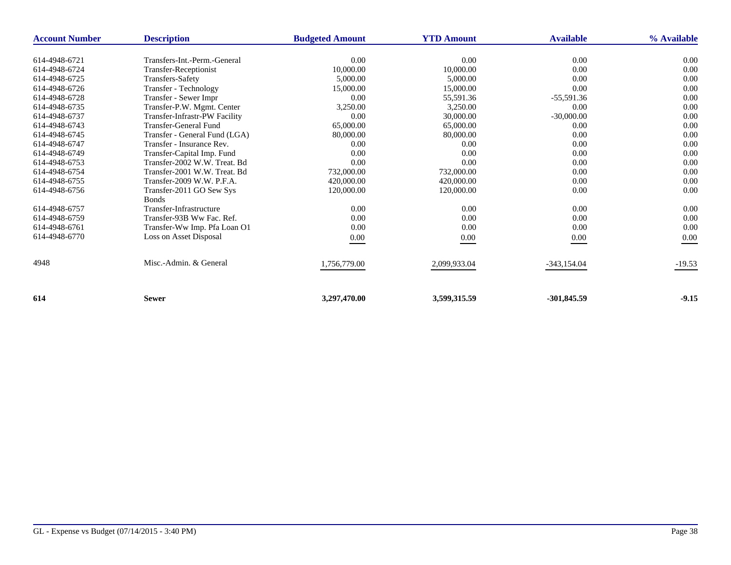| <b>Account Number</b> | <b>Description</b>            | <b>Budgeted Amount</b> | <b>YTD Amount</b> | <b>Available</b> | % Available |
|-----------------------|-------------------------------|------------------------|-------------------|------------------|-------------|
|                       |                               |                        |                   |                  |             |
| 614-4948-6721         | Transfers-Int.-Perm.-General  | 0.00                   | 0.00              | 0.00             | 0.00        |
| 614-4948-6724         | Transfer-Receptionist         | 10,000.00              | 10,000.00         | 0.00             | 0.00        |
| 614-4948-6725         | Transfers-Safety              | 5,000.00               | 5,000.00          | 0.00             | 0.00        |
| 614-4948-6726         | Transfer - Technology         | 15,000.00              | 15,000.00         | 0.00             | 0.00        |
| 614-4948-6728         | Transfer - Sewer Impr         | 0.00                   | 55,591.36         | $-55,591.36$     | 0.00        |
| 614-4948-6735         | Transfer-P.W. Mgmt. Center    | 3,250.00               | 3,250.00          | 0.00             | 0.00        |
| 614-4948-6737         | Transfer-Infrastr-PW Facility | 0.00                   | 30,000.00         | $-30,000.00$     | 0.00        |
| 614-4948-6743         | <b>Transfer-General Fund</b>  | 65,000.00              | 65,000.00         | 0.00             | 0.00        |
| 614-4948-6745         | Transfer - General Fund (LGA) | 80,000.00              | 80,000.00         | 0.00             | 0.00        |
| 614-4948-6747         | Transfer - Insurance Rev.     | 0.00                   | 0.00              | 0.00             | 0.00        |
| 614-4948-6749         | Transfer-Capital Imp. Fund    | 0.00                   | 0.00              | 0.00             | 0.00        |
| 614-4948-6753         | Transfer-2002 W.W. Treat. Bd  | 0.00                   | 0.00              | 0.00             | 0.00        |
| 614-4948-6754         | Transfer-2001 W.W. Treat. Bd  | 732,000.00             | 732,000.00        | 0.00             | 0.00        |
| 614-4948-6755         | Transfer-2009 W.W. P.F.A.     | 420,000.00             | 420,000.00        | 0.00             | 0.00        |
| 614-4948-6756         | Transfer-2011 GO Sew Sys      | 120,000.00             | 120,000.00        | 0.00             | 0.00        |
|                       | <b>Bonds</b>                  |                        |                   |                  |             |
| 614-4948-6757         | Transfer-Infrastructure       | 0.00                   | 0.00              | 0.00             | 0.00        |
| 614-4948-6759         | Transfer-93B Ww Fac. Ref.     | 0.00                   | 0.00              | 0.00             | 0.00        |
| 614-4948-6761         | Transfer-Ww Imp. Pfa Loan O1  | 0.00                   | 0.00              | 0.00             | 0.00        |
| 614-4948-6770         | Loss on Asset Disposal        | $0.00\,$               | $0.00\,$          | $0.00\,$         | 0.00        |
|                       |                               |                        |                   |                  |             |
| 4948                  | Misc.-Admin. & General        | 1,756,779.00           | 2,099,933.04      | $-343,154.04$    | $-19.53$    |
|                       |                               |                        |                   |                  |             |
| 614                   | <b>Sewer</b>                  | 3,297,470.00           | 3,599,315.59      | $-301,845.59$    | $-9.15$     |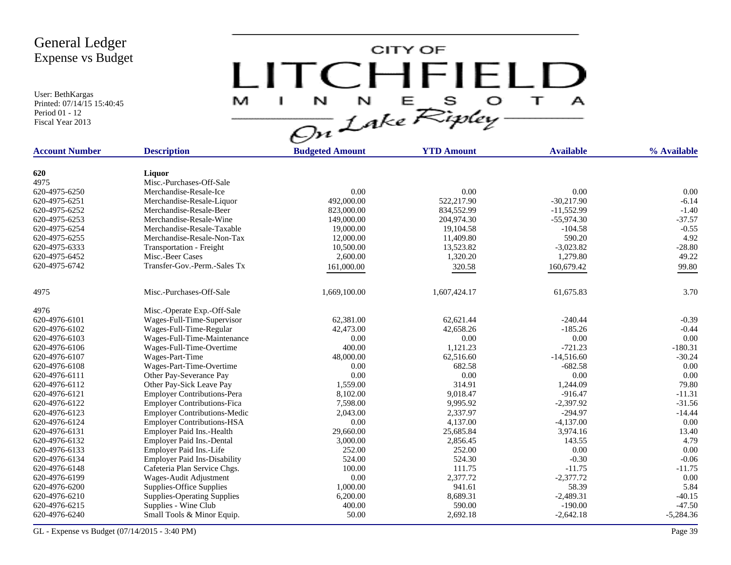User: BethKargas Printed: 07/14/15 15:40:45 Period 01 - 12 Fiscal Year 2013

CITY OF LITCHFIELD  $M$  I N N E S O T A

| 620<br>Liquor<br>4975<br>Misc.-Purchases-Off-Sale<br>620-4975-6250<br>0.00<br>0.00<br>0.00<br>Merchandise-Resale-Ice<br>522,217.90<br>$-30,217.90$<br>620-4975-6251<br>Merchandise-Resale-Liquor<br>492,000.00<br>834,552.99<br>$-11,552.99$<br>620-4975-6252<br>Merchandise-Resale-Beer<br>823,000.00<br>204,974.30<br>620-4975-6253<br>Merchandise-Resale-Wine<br>149,000.00<br>$-55,974.30$<br>620-4975-6254<br>Merchandise-Resale-Taxable<br>19,000.00<br>19,104.58<br>$-104.58$<br>590.20<br>620-4975-6255<br>Merchandise-Resale-Non-Tax<br>11,409.80<br>12,000.00<br>$-3,023.82$<br>620-4975-6333<br>Transportation - Freight<br>10,500.00<br>13,523.82 | % Available |
|---------------------------------------------------------------------------------------------------------------------------------------------------------------------------------------------------------------------------------------------------------------------------------------------------------------------------------------------------------------------------------------------------------------------------------------------------------------------------------------------------------------------------------------------------------------------------------------------------------------------------------------------------------------|-------------|
|                                                                                                                                                                                                                                                                                                                                                                                                                                                                                                                                                                                                                                                               |             |
|                                                                                                                                                                                                                                                                                                                                                                                                                                                                                                                                                                                                                                                               |             |
|                                                                                                                                                                                                                                                                                                                                                                                                                                                                                                                                                                                                                                                               |             |
|                                                                                                                                                                                                                                                                                                                                                                                                                                                                                                                                                                                                                                                               | 0.00        |
|                                                                                                                                                                                                                                                                                                                                                                                                                                                                                                                                                                                                                                                               | $-6.14$     |
|                                                                                                                                                                                                                                                                                                                                                                                                                                                                                                                                                                                                                                                               | $-1.40$     |
|                                                                                                                                                                                                                                                                                                                                                                                                                                                                                                                                                                                                                                                               | $-37.57$    |
|                                                                                                                                                                                                                                                                                                                                                                                                                                                                                                                                                                                                                                                               | $-0.55$     |
|                                                                                                                                                                                                                                                                                                                                                                                                                                                                                                                                                                                                                                                               | 4.92        |
|                                                                                                                                                                                                                                                                                                                                                                                                                                                                                                                                                                                                                                                               | $-28.80$    |
| 1,320.20<br>1,279.80<br>620-4975-6452<br>Misc.-Beer Cases<br>2,600.00                                                                                                                                                                                                                                                                                                                                                                                                                                                                                                                                                                                         | 49.22       |
| 620-4975-6742<br>Transfer-Gov.-Perm.-Sales Tx<br>161,000.00<br>320.58<br>160,679.42                                                                                                                                                                                                                                                                                                                                                                                                                                                                                                                                                                           | 99.80       |
|                                                                                                                                                                                                                                                                                                                                                                                                                                                                                                                                                                                                                                                               |             |
| 4975<br>Misc.-Purchases-Off-Sale<br>1,669,100.00<br>1,607,424.17<br>61,675.83                                                                                                                                                                                                                                                                                                                                                                                                                                                                                                                                                                                 | 3.70        |
| 4976<br>Misc.-Operate Exp.-Off-Sale                                                                                                                                                                                                                                                                                                                                                                                                                                                                                                                                                                                                                           |             |
| 620-4976-6101<br>Wages-Full-Time-Supervisor<br>62,381.00<br>62,621.44<br>$-240.44$                                                                                                                                                                                                                                                                                                                                                                                                                                                                                                                                                                            | $-0.39$     |
| 620-4976-6102<br>Wages-Full-Time-Regular<br>42,473.00<br>42,658.26<br>$-185.26$                                                                                                                                                                                                                                                                                                                                                                                                                                                                                                                                                                               | $-0.44$     |
| Wages-Full-Time-Maintenance<br>0.00<br>0.00<br>620-4976-6103<br>0.00                                                                                                                                                                                                                                                                                                                                                                                                                                                                                                                                                                                          | 0.00        |
| Wages-Full-Time-Overtime<br>400.00<br>1,121.23<br>$-721.23$<br>620-4976-6106                                                                                                                                                                                                                                                                                                                                                                                                                                                                                                                                                                                  | $-180.31$   |
| 48,000.00<br>62,516.60<br>$-14,516.60$<br>620-4976-6107<br>Wages-Part-Time                                                                                                                                                                                                                                                                                                                                                                                                                                                                                                                                                                                    | $-30.24$    |
| 620-4976-6108<br>682.58<br>$-682.58$<br>Wages-Part-Time-Overtime<br>0.00                                                                                                                                                                                                                                                                                                                                                                                                                                                                                                                                                                                      | 0.00        |
| 620-4976-6111<br>Other Pay-Severance Pay<br>0.00<br>0.00<br>0.00                                                                                                                                                                                                                                                                                                                                                                                                                                                                                                                                                                                              | 0.00        |
| 620-4976-6112<br>Other Pay-Sick Leave Pay<br>1,559.00<br>314.91<br>1,244.09                                                                                                                                                                                                                                                                                                                                                                                                                                                                                                                                                                                   | 79.80       |
| <b>Employer Contributions-Pera</b><br>8,102.00<br>9,018.47<br>$-916.47$<br>620-4976-6121                                                                                                                                                                                                                                                                                                                                                                                                                                                                                                                                                                      | $-11.31$    |
| <b>Employer Contributions-Fica</b><br>9.995.92<br>$-2.397.92$<br>620-4976-6122<br>7,598.00                                                                                                                                                                                                                                                                                                                                                                                                                                                                                                                                                                    | $-31.56$    |
| 2,337.97<br>$-294.97$<br>620-4976-6123<br><b>Employer Contributions-Medic</b><br>2,043.00                                                                                                                                                                                                                                                                                                                                                                                                                                                                                                                                                                     | $-14.44$    |
| <b>Employer Contributions-HSA</b><br>0.00<br>4,137.00<br>$-4,137.00$<br>620-4976-6124                                                                                                                                                                                                                                                                                                                                                                                                                                                                                                                                                                         | 0.00        |
| 620-4976-6131<br>Employer Paid Ins.-Health<br>29,660.00<br>25,685.84<br>3,974.16                                                                                                                                                                                                                                                                                                                                                                                                                                                                                                                                                                              | 13.40       |
| 3,000.00<br>2,856.45<br>143.55<br>620-4976-6132<br>Employer Paid Ins.-Dental                                                                                                                                                                                                                                                                                                                                                                                                                                                                                                                                                                                  | 4.79        |
| 252.00<br>620-4976-6133<br>252.00<br>0.00<br>Employer Paid Ins.-Life                                                                                                                                                                                                                                                                                                                                                                                                                                                                                                                                                                                          | 0.00        |
| 524.00<br>524.30<br>$-0.30$<br>620-4976-6134<br><b>Employer Paid Ins-Disability</b>                                                                                                                                                                                                                                                                                                                                                                                                                                                                                                                                                                           | $-0.06$     |
| 620-4976-6148<br>Cafeteria Plan Service Chgs.<br>100.00<br>111.75<br>$-11.75$                                                                                                                                                                                                                                                                                                                                                                                                                                                                                                                                                                                 | $-11.75$    |
| 0.00<br>2,377.72<br>$-2,377.72$<br>620-4976-6199<br>Wages-Audit Adjustment                                                                                                                                                                                                                                                                                                                                                                                                                                                                                                                                                                                    | 0.00        |
| 941.61<br>58.39<br>620-4976-6200<br>Supplies-Office Supplies<br>1,000.00                                                                                                                                                                                                                                                                                                                                                                                                                                                                                                                                                                                      | 5.84        |
| 620-4976-6210<br>6,200.00<br>8,689.31<br>$-2,489.31$<br><b>Supplies-Operating Supplies</b>                                                                                                                                                                                                                                                                                                                                                                                                                                                                                                                                                                    | $-40.15$    |
| 620-4976-6215<br>400.00<br>590.00<br>$-190.00$<br>Supplies - Wine Club                                                                                                                                                                                                                                                                                                                                                                                                                                                                                                                                                                                        | $-47.50$    |
| 620-4976-6240<br>50.00<br>2,692.18<br>$-2,642.18$<br>Small Tools & Minor Equip.                                                                                                                                                                                                                                                                                                                                                                                                                                                                                                                                                                               | $-5,284.36$ |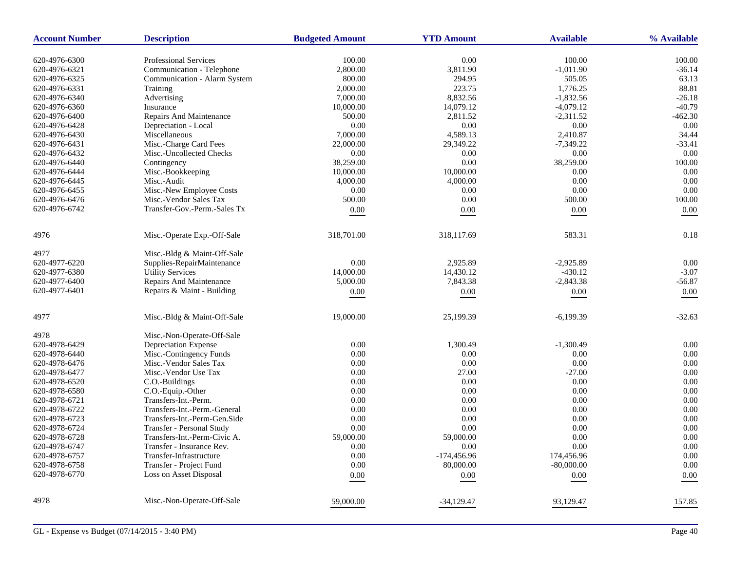| <b>Account Number</b>          | <b>Description</b>                                 | <b>Budgeted Amount</b> | <b>YTD Amount</b> | <b>Available</b>    | % Available  |
|--------------------------------|----------------------------------------------------|------------------------|-------------------|---------------------|--------------|
| 620-4976-6300                  | <b>Professional Services</b>                       | 100.00                 | 0.00              | 100.00              | 100.00       |
| 620-4976-6321                  | Communication - Telephone                          | 2,800.00               | 3,811.90          | $-1,011.90$         | $-36.14$     |
| 620-4976-6325                  | Communication - Alarm System                       | 800.00                 | 294.95            | 505.05              | 63.13        |
| 620-4976-6331                  | Training                                           | 2,000.00               | 223.75            | 1,776.25            | 88.81        |
| 620-4976-6340                  | Advertising                                        | 7,000.00               | 8,832.56          | $-1,832.56$         | $-26.18$     |
| 620-4976-6360                  | Insurance                                          | 10,000.00              | 14,079.12         | $-4,079.12$         | $-40.79$     |
| 620-4976-6400                  | Repairs And Maintenance                            | 500.00                 | 2,811.52          | $-2,311.52$         | $-462.30$    |
| 620-4976-6428                  | Depreciation - Local                               | 0.00                   | 0.00              | 0.00                | 0.00         |
| 620-4976-6430                  | Miscellaneous                                      | 7,000.00               | 4,589.13          | 2,410.87            | 34.44        |
| 620-4976-6431                  | Misc.-Charge Card Fees                             | 22,000.00              | 29,349.22         | $-7,349.22$         | $-33.41$     |
| 620-4976-6432                  | Misc.-Uncollected Checks                           | 0.00                   | 0.00              | 0.00                | 0.00         |
| 620-4976-6440                  | Contingency                                        | 38,259.00              | 0.00              | 38,259.00           | 100.00       |
| 620-4976-6444                  | Misc.-Bookkeeping                                  | 10,000.00              | 10,000.00         | 0.00                | 0.00         |
| 620-4976-6445                  | Misc.-Audit                                        | 4,000.00               | 4,000.00          | 0.00                | 0.00         |
| 620-4976-6455                  | Misc.-New Employee Costs                           | 0.00                   | 0.00              | 0.00                | 0.00         |
| 620-4976-6476                  | Misc.-Vendor Sales Tax                             | 500.00                 | 0.00              | 500.00              | 100.00       |
| 620-4976-6742                  | Transfer-Gov.-Perm.-Sales Tx                       | $0.00\,$               | 0.00              | 0.00                | 0.00         |
|                                |                                                    |                        |                   |                     |              |
| 4976                           | Misc.-Operate Exp.-Off-Sale                        | 318,701.00             | 318,117.69        | 583.31              | 0.18         |
| 4977                           | Misc.-Bldg & Maint-Off-Sale                        |                        |                   |                     |              |
| 620-4977-6220                  | Supplies-RepairMaintenance                         | 0.00                   | 2,925.89          | $-2,925.89$         | 0.00         |
| 620-4977-6380                  | <b>Utility Services</b>                            | 14,000.00              | 14,430.12         | $-430.12$           | $-3.07$      |
| 620-4977-6400                  | <b>Repairs And Maintenance</b>                     | 5,000.00               | 7,843.38          | $-2,843.38$         | $-56.87$     |
| 620-4977-6401                  | Repairs & Maint - Building                         | 0.00                   | $0.00\,$          | $0.00\,$            | 0.00         |
| 4977                           | Misc.-Bldg & Maint-Off-Sale                        | 19,000.00              | 25,199.39         | $-6,199.39$         | $-32.63$     |
| 4978                           |                                                    |                        |                   |                     |              |
|                                | Misc.-Non-Operate-Off-Sale<br>Depreciation Expense | 0.00                   |                   |                     |              |
| 620-4978-6429<br>620-4978-6440 | Misc.-Contingency Funds                            | 0.00                   | 1,300.49<br>0.00  | $-1,300.49$<br>0.00 | 0.00<br>0.00 |
|                                | Misc.-Vendor Sales Tax                             | 0.00                   | 0.00              | 0.00                | 0.00         |
| 620-4978-6476<br>620-4978-6477 | Misc.-Vendor Use Tax                               | 0.00                   | 27.00             | $-27.00$            | 0.00         |
| 620-4978-6520                  | C.O.-Buildings                                     | 0.00                   | 0.00              | 0.00                | 0.00         |
| 620-4978-6580                  | C.O.-Equip.-Other                                  | 0.00                   | 0.00              | 0.00                | 0.00         |
| 620-4978-6721                  | Transfers-Int.-Perm.                               | 0.00                   | 0.00              | 0.00                | 0.00         |
| 620-4978-6722                  | Transfers-Int.-Perm.-General                       | 0.00                   | 0.00              | 0.00                | 0.00         |
| 620-4978-6723                  | Transfers-Int.-Perm-Gen.Side                       | 0.00                   | 0.00              | 0.00                | 0.00         |
| 620-4978-6724                  | Transfer - Personal Study                          | 0.00                   | 0.00              | 0.00                | 0.00         |
| 620-4978-6728                  | Transfers-Int.-Perm-Civic A.                       | 59,000.00              | 59,000.00         | 0.00                | 0.00         |
| 620-4978-6747                  | Transfer - Insurance Rev.                          | 0.00                   | 0.00              | 0.00                | 0.00         |
| 620-4978-6757                  | Transfer-Infrastructure                            | 0.00                   | $-174,456.96$     | 174,456.96          | 0.00         |
| 620-4978-6758                  | Transfer - Project Fund                            | 0.00                   | 80,000.00         | $-80,000.00$        | 0.00         |
| 620-4978-6770                  | Loss on Asset Disposal                             |                        |                   |                     |              |
|                                |                                                    | 0.00                   | 0.00              | 0.00                | 0.00         |
| 4978                           | Misc.-Non-Operate-Off-Sale                         | 59,000.00              | $-34,129.47$      | 93,129.47           | 157.85       |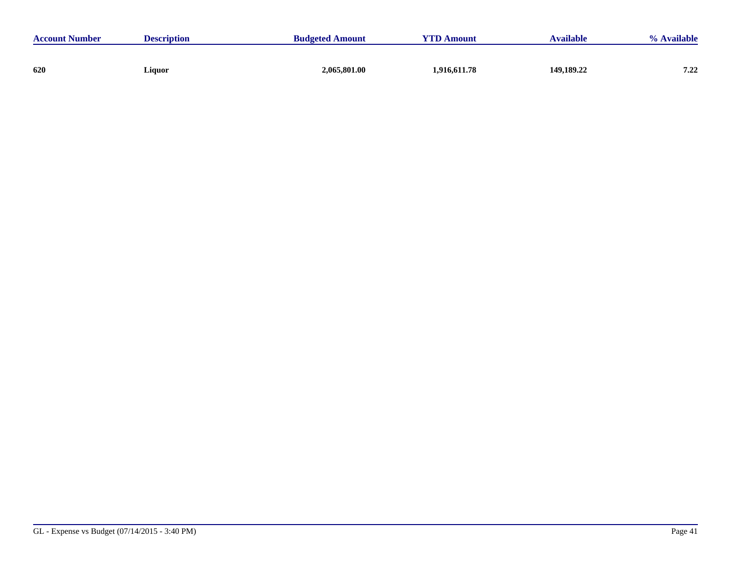| <b>Account Number</b> | <b>Description</b> | <b>Budgeted Amount</b> | <b>YTD Amount</b> | <b>Available</b> | % Available |
|-----------------------|--------------------|------------------------|-------------------|------------------|-------------|
|                       |                    |                        |                   |                  |             |
| 620                   | Liquor             | 2,065,801.00           | 1,916,611.78      | 149,189.22       | 7.22        |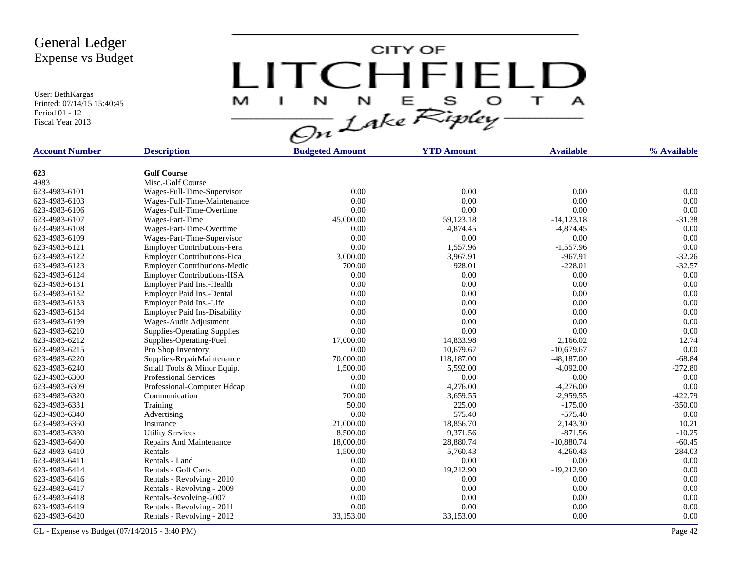User: BethKargas Printed: 07/14/15 15:40:45 Period 01 - 12 Fiscal Year 2013

CITY OF LITCHFIELD E S O  $\top$ N M J.  $\frac{N}{\mathcal{O}n}$  Lake Ripley N  $\mathbf{A}$ 

| <b>Account Number</b> | <b>Description</b>                  | <b>Budgeted Amount</b> | <b>YTD Amount</b> | <b>Available</b> | % Available |
|-----------------------|-------------------------------------|------------------------|-------------------|------------------|-------------|
|                       |                                     |                        |                   |                  |             |
| 623                   | <b>Golf Course</b>                  |                        |                   |                  |             |
| 4983                  | Misc.-Golf Course                   |                        |                   |                  |             |
| 623-4983-6101         | Wages-Full-Time-Supervisor          | 0.00                   | 0.00              | 0.00             | 0.00        |
| 623-4983-6103         | Wages-Full-Time-Maintenance         | 0.00                   | 0.00              | 0.00             | 0.00        |
| 623-4983-6106         | Wages-Full-Time-Overtime            | 0.00                   | 0.00              | 0.00             | 0.00        |
| 623-4983-6107         | Wages-Part-Time                     | 45,000.00              | 59,123.18         | $-14,123.18$     | $-31.38$    |
| 623-4983-6108         | Wages-Part-Time-Overtime            | 0.00                   | 4,874.45          | $-4,874.45$      | 0.00        |
| 623-4983-6109         | Wages-Part-Time-Supervisor          | 0.00                   | 0.00              | 0.00             | 0.00        |
| 623-4983-6121         | <b>Employer Contributions-Pera</b>  | 0.00                   | 1,557.96          | $-1,557.96$      | 0.00        |
| 623-4983-6122         | <b>Employer Contributions-Fica</b>  | 3,000.00               | 3,967.91          | $-967.91$        | $-32.26$    |
| 623-4983-6123         | <b>Employer Contributions-Medic</b> | 700.00                 | 928.01            | $-228.01$        | $-32.57$    |
| 623-4983-6124         | <b>Employer Contributions-HSA</b>   | 0.00                   | 0.00              | 0.00             | 0.00        |
| 623-4983-6131         | Employer Paid Ins.-Health           | 0.00                   | 0.00              | 0.00             | 0.00        |
| 623-4983-6132         | Employer Paid Ins.-Dental           | 0.00                   | 0.00              | 0.00             | 0.00        |
| 623-4983-6133         | Employer Paid Ins.-Life             | 0.00                   | 0.00              | 0.00             | 0.00        |
| 623-4983-6134         | <b>Employer Paid Ins-Disability</b> | 0.00                   | 0.00              | 0.00             | 0.00        |
| 623-4983-6199         | Wages-Audit Adjustment              | 0.00                   | 0.00              | 0.00             | 0.00        |
| 623-4983-6210         | <b>Supplies-Operating Supplies</b>  | 0.00                   | 0.00              | 0.00             | 0.00        |
| 623-4983-6212         | Supplies-Operating-Fuel             | 17,000.00              | 14,833.98         | 2,166.02         | 12.74       |
| 623-4983-6215         | Pro Shop Inventory                  | 0.00                   | 10,679.67         | $-10,679.67$     | 0.00        |
| 623-4983-6220         | Supplies-RepairMaintenance          | 70,000.00              | 118,187.00        | $-48,187.00$     | $-68.84$    |
| 623-4983-6240         | Small Tools & Minor Equip.          | 1,500.00               | 5,592.00          | $-4.092.00$      | $-272.80$   |
| 623-4983-6300         | <b>Professional Services</b>        | 0.00                   | 0.00              | 0.00             | 0.00        |
| 623-4983-6309         | Professional-Computer Hdcap         | 0.00                   | 4,276.00          | $-4,276.00$      | 0.00        |
| 623-4983-6320         | Communication                       | 700.00                 | 3,659.55          | $-2,959.55$      | $-422.79$   |
| 623-4983-6331         | Training                            | 50.00                  | 225.00            | $-175.00$        | $-350.00$   |
| 623-4983-6340         | Advertising                         | 0.00                   | 575.40            | $-575.40$        | 0.00        |
| 623-4983-6360         | Insurance                           | 21,000.00              | 18,856.70         | 2,143.30         | 10.21       |
| 623-4983-6380         | <b>Utility Services</b>             | 8,500.00               | 9,371.56          | $-871.56$        | $-10.25$    |
| 623-4983-6400         | Repairs And Maintenance             | 18,000.00              | 28,880.74         | $-10,880.74$     | $-60.45$    |
| 623-4983-6410         | Rentals                             | 1,500.00               | 5,760.43          | $-4,260.43$      | $-284.03$   |
| 623-4983-6411         | Rentals - Land                      | 0.00                   | 0.00              | 0.00             | 0.00        |
| 623-4983-6414         | Rentals - Golf Carts                | 0.00                   | 19,212.90         | $-19,212.90$     | 0.00        |
| 623-4983-6416         | Rentals - Revolving - 2010          | 0.00                   | 0.00              | 0.00             | 0.00        |
| 623-4983-6417         | Rentals - Revolving - 2009          | 0.00                   | 0.00              | 0.00             | 0.00        |
| 623-4983-6418         | Rentals-Revolving-2007              | 0.00                   | 0.00              | 0.00             | 0.00        |
| 623-4983-6419         | Rentals - Revolving - 2011          | 0.00                   | 0.00              | 0.00             | 0.00        |
| 623-4983-6420         | Rentals - Revolving - 2012          | 33,153.00              | 33,153.00         | 0.00             | 0.00        |
|                       |                                     |                        |                   |                  |             |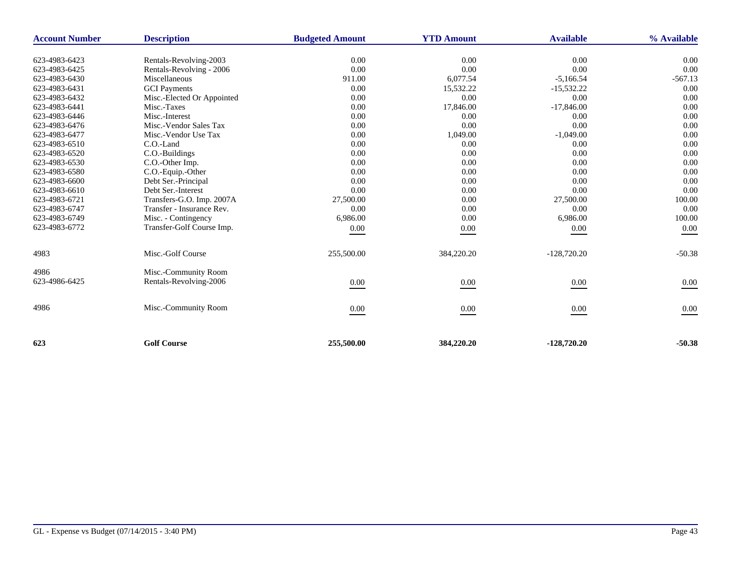| <b>Account Number</b> | <b>Description</b>         | <b>Budgeted Amount</b> | <b>YTD Amount</b> | <b>Available</b> | % Available |
|-----------------------|----------------------------|------------------------|-------------------|------------------|-------------|
| 623-4983-6423         | Rentals-Revolving-2003     | 0.00                   | 0.00              | 0.00             | 0.00        |
| 623-4983-6425         | Rentals-Revolving - 2006   | 0.00                   | 0.00              | 0.00             | 0.00        |
| 623-4983-6430         | Miscellaneous              | 911.00                 | 6,077.54          | $-5,166.54$      | $-567.13$   |
| 623-4983-6431         | <b>GCI</b> Payments        | 0.00                   | 15,532.22         | $-15,532.22$     | 0.00        |
| 623-4983-6432         | Misc.-Elected Or Appointed | 0.00                   | 0.00              | 0.00             | 0.00        |
| 623-4983-6441         | Misc.-Taxes                | 0.00                   | 17,846.00         | $-17,846.00$     | 0.00        |
| 623-4983-6446         | Misc.-Interest             | 0.00                   | 0.00              | 0.00             | 0.00        |
| 623-4983-6476         | Misc.-Vendor Sales Tax     | 0.00                   | 0.00              | 0.00             | 0.00        |
| 623-4983-6477         | Misc.-Vendor Use Tax       | 0.00                   | 1,049.00          | $-1,049.00$      | 0.00        |
| 623-4983-6510         | C.O.-Land                  | 0.00                   | 0.00              | 0.00             | 0.00        |
| 623-4983-6520         | C.O.-Buildings             | 0.00                   | 0.00              | 0.00             | 0.00        |
| 623-4983-6530         | C.O.-Other Imp.            | 0.00                   | 0.00              | 0.00             | 0.00        |
| 623-4983-6580         | C.O.-Equip.-Other          | 0.00                   | 0.00              | 0.00             | 0.00        |
| 623-4983-6600         | Debt Ser.-Principal        | 0.00                   | 0.00              | 0.00             | 0.00        |
| 623-4983-6610         | Debt Ser.-Interest         | 0.00                   | 0.00              | 0.00             | 0.00        |
| 623-4983-6721         | Transfers-G.O. Imp. 2007A  | 27,500.00              | 0.00              | 27,500.00        | 100.00      |
| 623-4983-6747         | Transfer - Insurance Rev.  | 0.00                   | 0.00              | 0.00             | 0.00        |
| 623-4983-6749         | Misc. - Contingency        | 6,986.00               | 0.00              | 6,986.00         | 100.00      |
| 623-4983-6772         | Transfer-Golf Course Imp.  | 0.00                   | 0.00              | 0.00             | 0.00        |
| 4983                  | Misc.-Golf Course          | 255,500.00             | 384,220.20        | $-128,720.20$    | $-50.38$    |
| 4986                  | Misc.-Community Room       |                        |                   |                  |             |
| 623-4986-6425         | Rentals-Revolving-2006     | 0.00                   | 0.00              | 0.00             | 0.00        |
| 4986                  | Misc.-Community Room       | 0.00                   | 0.00              | 0.00             | 0.00        |
| 623                   | <b>Golf Course</b>         | 255,500.00             | 384,220.20        | $-128,720,20$    | $-50.38$    |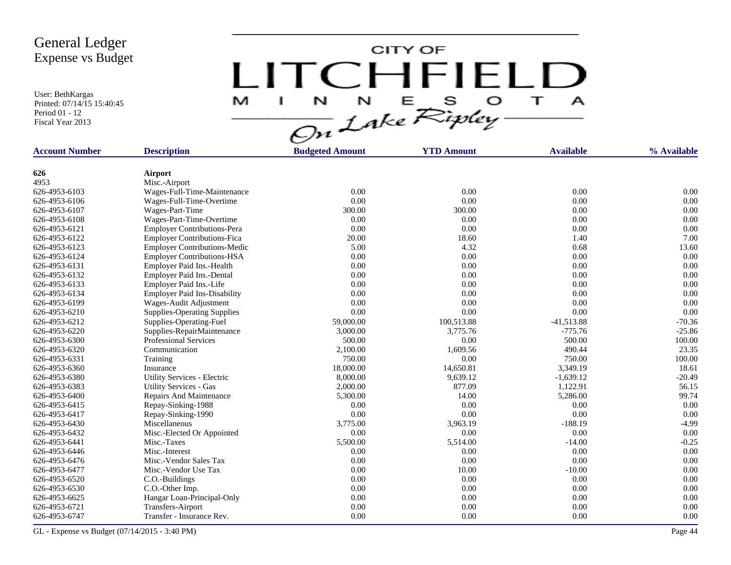User: BethKargas Printed: 07/14/15 15:40:45 Period 01 - 12 Fiscal Year 2013

CITY OF LITCHFIELD  $\mathbf{T}$ M  $\mathbf{I}$  $\mathbf{A}$ 

| <b>Account Number</b> | <b>Description</b>                  | <b>Budgeted Amount</b> | <b>YTD Amount</b> | <b>Available</b> | % Available |
|-----------------------|-------------------------------------|------------------------|-------------------|------------------|-------------|
|                       |                                     |                        |                   |                  |             |
| 626                   | Airport                             |                        |                   |                  |             |
| 4953                  | Misc.-Airport                       |                        |                   |                  |             |
| 626-4953-6103         | Wages-Full-Time-Maintenance         | 0.00                   | 0.00              | 0.00             | 0.00        |
| 626-4953-6106         | Wages-Full-Time-Overtime            | 0.00                   | 0.00              | 0.00             | 0.00        |
| 626-4953-6107         | Wages-Part-Time                     | 300.00                 | 300.00            | 0.00             | 0.00        |
| 626-4953-6108         | Wages-Part-Time-Overtime            | 0.00                   | 0.00              | 0.00             | 0.00        |
| 626-4953-6121         | <b>Employer Contributions-Pera</b>  | 0.00                   | 0.00              | 0.00             | 0.00        |
| 626-4953-6122         | <b>Employer Contributions-Fica</b>  | 20.00                  | 18.60             | 1.40             | 7.00        |
| 626-4953-6123         | <b>Employer Contributions-Medic</b> | 5.00                   | 4.32              | 0.68             | 13.60       |
| 626-4953-6124         | <b>Employer Contributions-HSA</b>   | 0.00                   | 0.00              | 0.00             | 0.00        |
| 626-4953-6131         | Employer Paid Ins.-Health           | 0.00                   | 0.00              | 0.00             | 0.00        |
| 626-4953-6132         | Employer Paid Ins.-Dental           | 0.00                   | 0.00              | 0.00             | 0.00        |
| 626-4953-6133         | Employer Paid Ins.-Life             | 0.00                   | 0.00              | 0.00             | 0.00        |
| 626-4953-6134         | <b>Employer Paid Ins-Disability</b> | 0.00                   | 0.00              | 0.00             | 0.00        |
| 626-4953-6199         | Wages-Audit Adjustment              | 0.00                   | 0.00              | 0.00             | 0.00        |
| 626-4953-6210         | <b>Supplies-Operating Supplies</b>  | 0.00                   | 0.00              | 0.00             | 0.00        |
| 626-4953-6212         | Supplies-Operating-Fuel             | 59,000.00              | 100,513.88        | $-41,513.88$     | $-70.36$    |
| 626-4953-6220         | Supplies-RepairMaintenance          | 3,000.00               | 3,775.76          | $-775.76$        | $-25.86$    |
| 626-4953-6300         | <b>Professional Services</b>        | 500.00                 | 0.00              | 500.00           | 100.00      |
| 626-4953-6320         | Communication                       | 2,100.00               | 1,609.56          | 490.44           | 23.35       |
| 626-4953-6331         | Training                            | 750.00                 | 0.00              | 750.00           | 100.00      |
| 626-4953-6360         | Insurance                           | 18,000.00              | 14,650.81         | 3.349.19         | 18.61       |
| 626-4953-6380         | Utility Services - Electric         | 8,000.00               | 9,639.12          | $-1,639.12$      | $-20.49$    |
| 626-4953-6383         | <b>Utility Services - Gas</b>       | 2,000.00               | 877.09            | 1,122.91         | 56.15       |
| 626-4953-6400         | Repairs And Maintenance             | 5,300.00               | 14.00             | 5,286.00         | 99.74       |
| 626-4953-6415         | Repay-Sinking-1988                  | 0.00                   | 0.00              | 0.00             | 0.00        |
| 626-4953-6417         | Repay-Sinking-1990                  | 0.00                   | 0.00              | 0.00             | 0.00        |
| 626-4953-6430         | Miscellaneous                       | 3,775.00               | 3,963.19          | $-188.19$        | $-4.99$     |
| 626-4953-6432         | Misc.-Elected Or Appointed          | 0.00                   | 0.00              | 0.00             | 0.00        |
| 626-4953-6441         | Misc.-Taxes                         | 5,500.00               | 5,514.00          | $-14.00$         | $-0.25$     |
| 626-4953-6446         | Misc.-Interest                      | 0.00                   | 0.00              | 0.00             | 0.00        |
| 626-4953-6476         | Misc.-Vendor Sales Tax              | 0.00                   | 0.00              | 0.00             | 0.00        |
| 626-4953-6477         | Misc.-Vendor Use Tax                | 0.00                   | 10.00             | $-10.00$         | 0.00        |
| 626-4953-6520         | C.O.-Buildings                      | 0.00                   | 0.00              | 0.00             | 0.00        |
| 626-4953-6530         | C.O.-Other Imp.                     | 0.00                   | 0.00              | 0.00             | 0.00        |
| 626-4953-6625         | Hangar Loan-Principal-Only          | 0.00                   | 0.00              | 0.00             | 0.00        |
| 626-4953-6721         | Transfers-Airport                   | 0.00                   | 0.00              | 0.00             | 0.00        |
| 626-4953-6747         | Transfer - Insurance Rev.           | 0.00                   | 0.00              | 0.00             | 0.00        |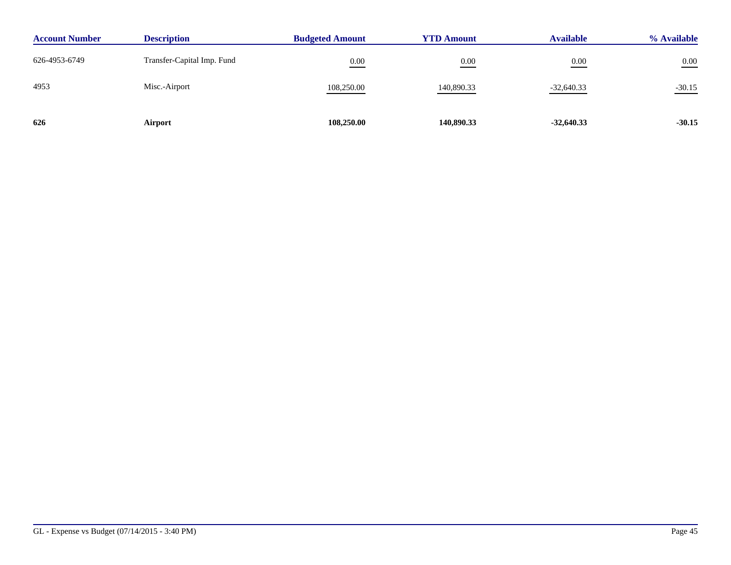| <b>Account Number</b> | <b>Description</b>         | <b>Budgeted Amount</b> | <b>YTD Amount</b> | <b>Available</b> | % Available |
|-----------------------|----------------------------|------------------------|-------------------|------------------|-------------|
| 626-4953-6749         | Transfer-Capital Imp. Fund | 0.00                   | 0.00              | 0.00             | $0.00\,$    |
| 4953                  | Misc.-Airport              | 108,250.00             | 140,890.33        | $-32,640.33$     | $-30.15$    |
| 626                   | Airport                    | 108,250.00             | 140,890.33        | $-32,640.33$     | $-30.15$    |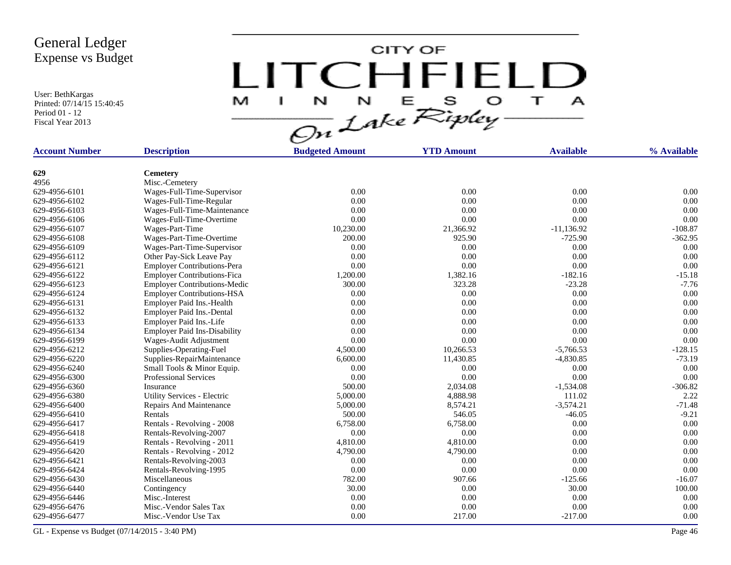User: BethKargas Printed: 07/14/15 15:40:45 Period 01 - 12 Fiscal Year 2013

CITY OF LITCHFIELD  $\overline{1}$ M  $\mathbf{A}$ H.

| <b>Account Number</b> | <b>Description</b>                  | <b>Budgeted Amount</b> | <b>YTD Amount</b> | <b>Available</b> | % Available |
|-----------------------|-------------------------------------|------------------------|-------------------|------------------|-------------|
|                       |                                     |                        |                   |                  |             |
| 629                   | <b>Cemetery</b>                     |                        |                   |                  |             |
| 4956                  | Misc.-Cemetery                      |                        |                   |                  |             |
| 629-4956-6101         | Wages-Full-Time-Supervisor          | 0.00                   | 0.00              | 0.00             | 0.00        |
| 629-4956-6102         | Wages-Full-Time-Regular             | 0.00                   | 0.00              | 0.00             | 0.00        |
| 629-4956-6103         | Wages-Full-Time-Maintenance         | 0.00                   | 0.00              | 0.00             | 0.00        |
| 629-4956-6106         | Wages-Full-Time-Overtime            | 0.00                   | 0.00              | 0.00             | 0.00        |
| 629-4956-6107         | Wages-Part-Time                     | 10,230.00              | 21,366.92         | $-11,136.92$     | $-108.87$   |
| 629-4956-6108         | Wages-Part-Time-Overtime            | 200.00                 | 925.90            | $-725.90$        | $-362.95$   |
| 629-4956-6109         | Wages-Part-Time-Supervisor          | 0.00                   | 0.00              | 0.00             | 0.00        |
| 629-4956-6112         | Other Pay-Sick Leave Pay            | 0.00                   | 0.00              | 0.00             | 0.00        |
| 629-4956-6121         | <b>Employer Contributions-Pera</b>  | 0.00                   | 0.00              | 0.00             | 0.00        |
| 629-4956-6122         | <b>Employer Contributions-Fica</b>  | 1,200.00               | 1,382.16          | $-182.16$        | $-15.18$    |
| 629-4956-6123         | <b>Employer Contributions-Medic</b> | 300.00                 | 323.28            | $-23.28$         | $-7.76$     |
| 629-4956-6124         | <b>Employer Contributions-HSA</b>   | 0.00                   | 0.00              | 0.00             | 0.00        |
| 629-4956-6131         | Employer Paid Ins.-Health           | 0.00                   | 0.00              | 0.00             | 0.00        |
| 629-4956-6132         | Employer Paid Ins.-Dental           | 0.00                   | 0.00              | 0.00             | 0.00        |
| 629-4956-6133         | Employer Paid Ins.-Life             | 0.00                   | 0.00              | 0.00             | 0.00        |
| 629-4956-6134         | <b>Employer Paid Ins-Disability</b> | 0.00                   | 0.00              | 0.00             | 0.00        |
| 629-4956-6199         | Wages-Audit Adjustment              | 0.00                   | 0.00              | 0.00             | 0.00        |
| 629-4956-6212         | Supplies-Operating-Fuel             | 4,500.00               | 10,266.53         | $-5,766.53$      | $-128.15$   |
| 629-4956-6220         | Supplies-RepairMaintenance          | 6,600.00               | 11,430.85         | $-4,830.85$      | $-73.19$    |
| 629-4956-6240         | Small Tools & Minor Equip.          | 0.00                   | 0.00              | 0.00             | 0.00        |
| 629-4956-6300         | <b>Professional Services</b>        | 0.00                   | 0.00              | 0.00             | 0.00        |
| 629-4956-6360         | Insurance                           | 500.00                 | 2,034.08          | $-1,534.08$      | $-306.82$   |
| 629-4956-6380         | Utility Services - Electric         | 5,000.00               | 4,888.98          | 111.02           | 2.22        |
| 629-4956-6400         | <b>Repairs And Maintenance</b>      | 5,000.00               | 8,574.21          | $-3,574.21$      | $-71.48$    |
| 629-4956-6410         | Rentals                             | 500.00                 | 546.05            | $-46.05$         | $-9.21$     |
| 629-4956-6417         | Rentals - Revolving - 2008          | 6,758.00               | 6,758.00          | 0.00             | 0.00        |
| 629-4956-6418         | Rentals-Revolving-2007              | 0.00                   | 0.00              | 0.00             | 0.00        |
| 629-4956-6419         | Rentals - Revolving - 2011          | 4,810.00               | 4,810.00          | 0.00             | 0.00        |
| 629-4956-6420         | Rentals - Revolving - 2012          | 4,790.00               | 4,790.00          | 0.00             | 0.00        |
| 629-4956-6421         | Rentals-Revolving-2003              | 0.00                   | 0.00              | 0.00             | 0.00        |
| 629-4956-6424         | Rentals-Revolving-1995              | 0.00                   | 0.00              | 0.00             | 0.00        |
| 629-4956-6430         | Miscellaneous                       | 782.00                 | 907.66            | $-125.66$        | $-16.07$    |
| 629-4956-6440         |                                     | 30.00                  | 0.00              | 30.00            | 100.00      |
| 629-4956-6446         | Contingency<br>Misc.-Interest       | 0.00                   | 0.00              | 0.00             | 0.00        |
| 629-4956-6476         | Misc.-Vendor Sales Tax              | 0.00                   | 0.00              | 0.00             | 0.00        |
|                       |                                     |                        |                   |                  |             |
| 629-4956-6477         | Misc.-Vendor Use Tax                | 0.00                   | 217.00            | $-217.00$        | 0.00        |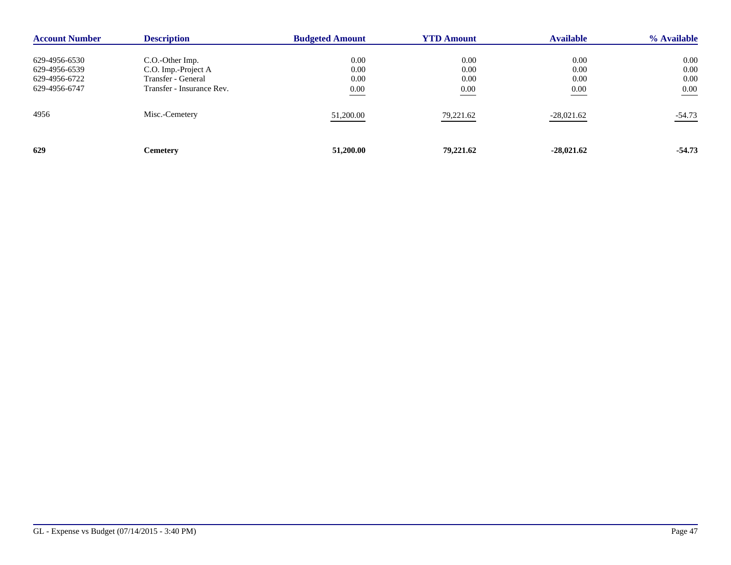| <b>Account Number</b> | <b>Description</b>        | <b>Budgeted Amount</b> | <b>YTD Amount</b> | <b>Available</b> | % Available |
|-----------------------|---------------------------|------------------------|-------------------|------------------|-------------|
| 629-4956-6530         | C.O.-Other Imp.           | 0.00                   | 0.00              | 0.00             | $0.00\,$    |
| 629-4956-6539         | C.O. Imp.-Project A       | 0.00                   | 0.00              | 0.00             | 0.00        |
| 629-4956-6722         | Transfer - General        | 0.00                   | 0.00              | 0.00             | 0.00        |
| 629-4956-6747         | Transfer - Insurance Rev. | $0.00\,$               | 0.00              | 0.00             | $0.00\,$    |
| 4956                  | Misc.-Cemetery            | 51,200.00              | 79,221.62         | $-28,021.62$     | $-54.73$    |
| 629                   | <b>Cemetery</b>           | 51,200.00              | 79,221.62         | $-28,021.62$     | $-54.73$    |